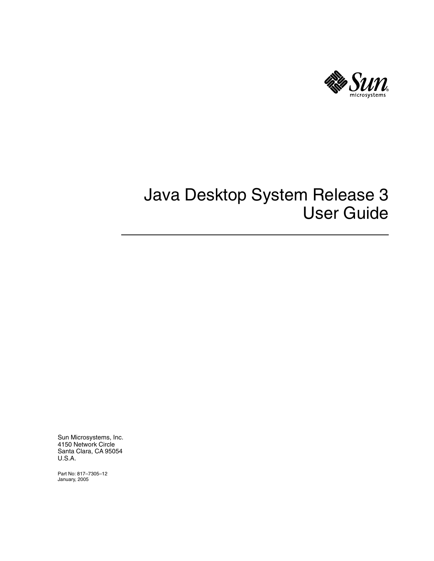

# Java Desktop System Release 3 User Guide

Sun Microsystems, Inc. 4150 Network Circle Santa Clara, CA 95054 U.S.A.

Part No: 817–7305–12 January, 2005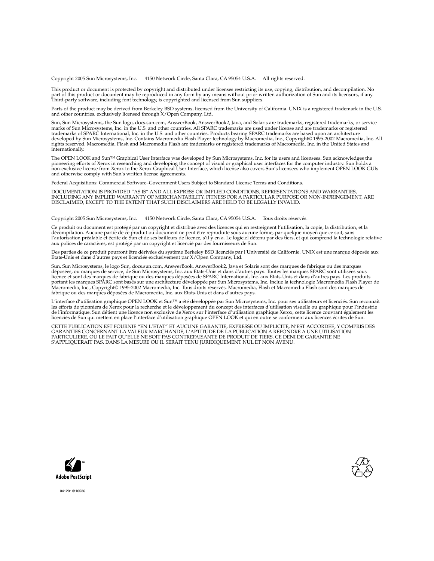Copyright 2005 Sun Microsystems, Inc. 4150 Network Circle, Santa Clara, CA 95054 U.S.A. All rights reserved.

This product or document is protected by copyright and distributed under licenses restricting its use, copying, distribution, and decompilation. No part of this product or document may be reproduced in any form by any means without prior written authorization of Sun and its licensors, if any.<br>Third-party software, including font technology, is copyrighted and licensed

Parts of the product may be derived from Berkeley BSD systems, licensed from the University of California. UNIX is a registered trademark in the U.S. and other countries, exclusively licensed through X/Open Company, Ltd.

Sun, Sun Microsystems, the Sun logo, docs.sun.com, AnswerBook, AnswerBook2, Java, and Solaris are trademarks, registered trademarks, or service<br>marks of Sun Microsystems, Inc. in the U.S. and other countries. All SPARC tr rights reserved. Macromedia, Flash and Macromedia Flash are trademarks or registered trademarks of Macromedia, Inc. in the United States and internationally.

The OPEN LOOK and Sun™ Graphical User Interface was developed by Sun Microsystems, Inc. for its users and licensees. Sun acknowledges the pioneering efforts of Xerox in researching and developing the concept of visual or graphical user interfaces for the computer industry. Sun holds a<br>non-exclusive license from Xerox to the Xerox Graphical User Interface, wh and otherwise comply with Sun's written license agreements.

Federal Acquisitions: Commercial Software–Government Users Subject to Standard License Terms and Conditions.

DOCUMENTATION IS PROVIDED "AS IS" AND ALL EXPRESS OR IMPLIED CONDITIONS, REPRESENTATIONS AND WARRANTIES, INCLUDING ANY IMPLIED WARRANTY OF MERCHANTABILITY, FITNESS FOR A PARTICULAR PURPOSE OR NON-INFRINGEMENT, ARE DISCLAIMED, EXCEPT TO THE EXTENT THAT SUCH DISCLAIMERS ARE HELD TO BE LEGALLY INVALID.

Copyright 2005 Sun Microsystems, Inc. 4150 Network Circle, Santa Clara, CA 95054 U.S.A. Tous droits réservés.

Ce produit ou document est protégé par un copyright et distribué avec des licences qui en restreignent l'utilisation, la copie, la distribution, et la décompilation. Aucune partie de ce produit ou document ne peut être reproduite sous aucune forme, par quelque moyen que ce soit, sans<br>l'autorisation préalable et écrite de Sun et de ses bailleurs de licence, s'il y en a. L aux polices de caractères, est protégé par un copyright et licencié par des fournisseurs de Sun.

Des parties de ce produit pourront être dérivées du système Berkeley BSD licenciés par l'Université de Californie. UNIX est une marque déposée aux Etats-Unis et dans d'autres pays et licenciée exclusivement par X/Open Company, Ltd.

Sun, Sun Microsystems, le logo Sun, docs.sun.com, AnswerBook, AnswerBook2, Java et Solaris sont des marques de fabrique ou des marques déposées, ou marques de service, de Sun Microsystems, Inc. aux Etats-Unis et dans d'autres pays. Toutes les marques SPARC sont utilisées sous licence et sont des marques de fabrique ou des marques déposées de SPARC International, Inc. aux Etats-Unis et dans d'autres pays. Les produits portant les marques SPARC sont basés sur une architecture développée par Sun Microsystems, Inc. Inclue la technologie Macromedia Flash Player de<br>Macromedia, Inc., Copyright© 1995-2002 Macromedia, Inc. Tous droits réservés fabrique ou des marques déposées de Macromedia, Inc. aux Etats-Unis et dans d'autres pays.

L'interface d'utilisation graphique OPEN LOOK et Sun™a été développée par Sun Microsystems, Inc. pour ses utilisateurs et licenciés. Sun reconnaît<br>les efforts de pionniers de Xerox pour la recherche et le développement du licenciés de Sun qui mettent en place l'interface d'utilisation graphique OPEN LOOK et qui en outre se conforment aux licences écrites de Sun.

CETTE PUBLICATION EST FOURNIE "EN L'ETAT" ET AUCUNE GARANTIE, EXPRESSE OU IMPLICITE, N'EST ACCORDEE, Y COMPRIS DES GARANTIES CONCERNANT LA VALEUR MARCHANDE, L'APTITUDE DE LA PUBLICATION A REPONDRE A UNE UTILISATION PARTICULIERE, OU LE FAIT QU'ELLE NE SOIT PAS CONTREFAISANTE DE PRODUIT DE TIERS. CE DENI DE GARANTIE NE S'APPLIQUERAIT PAS, DANS LA MESURE OU IL SERAIT TENU JURIDIQUEMENT NUL ET NON AVENU.





041201@10536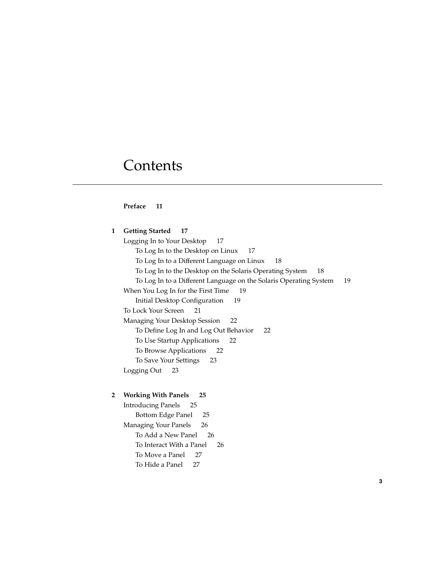### **Contents**

#### **[Preface 11](#page-10-0)**

**[1 Getting Started 17](#page-16-0)** [Logging In to Your Desktop 17](#page-16-0) [To Log In to the Desktop on Linux 17](#page-16-0) [To Log In to a Different Language on Linux 18](#page-17-0) [To Log In to the Desktop on the Solaris Operating System 18](#page-17-0) [To Log In to a Different Language on the Solaris Operating System 19](#page-18-0) [When You Log In for the First Time 19](#page-18-0) [Initial Desktop Configuration 19](#page-18-0) [To Lock Your Screen 21](#page-20-0) [Managing Your Desktop Session 22](#page-21-0) [To Define Log In and Log Out Behavior 22](#page-21-0) [To Use Startup Applications 22](#page-21-0) [To Browse Applications 22](#page-21-0) [To Save Your Settings 23](#page-22-0) [Logging Out 23](#page-22-0) **[2 Working With Panels 25](#page-24-0)**

[Introducing Panels 25](#page-24-0) [Bottom Edge Panel 25](#page-24-0) [Managing Your Panels 26](#page-25-0) [To Add a New Panel 26](#page-25-0) [To Interact With a Panel 26](#page-25-0) [To Move a Panel 27](#page-26-0) [To Hide a Panel 27](#page-26-0)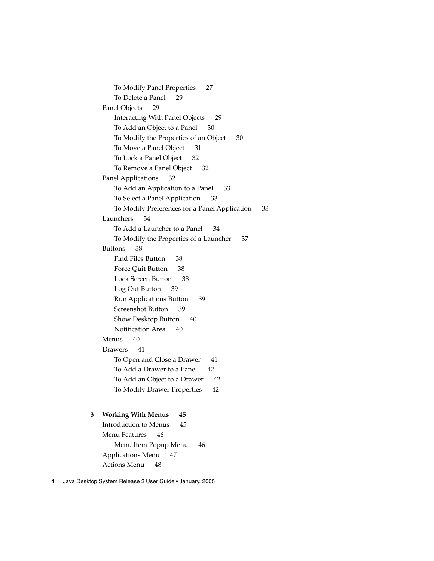[To Modify Panel Properties 27](#page-26-0) [To Delete a Panel 29](#page-28-0) [Panel Objects 29](#page-28-0) [Interacting With Panel Objects 29](#page-28-0) [To Add an Object to a Panel 30](#page-29-0) [To Modify the Properties of an Object 30](#page-29-0) [To Move a Panel Object 31](#page-30-0) [To Lock a Panel Object 32](#page-31-0) [To Remove a Panel Object 32](#page-31-0) [Panel Applications 32](#page-31-0) [To Add an Application to a Panel 33](#page-32-0) [To Select a Panel Application 33](#page-32-0) [To Modify Preferences for a Panel Application 33](#page-32-0) [Launchers 34](#page-33-0) [To Add a Launcher to a Panel 34](#page-33-0) [To Modify the Properties of a Launcher 37](#page-36-0) [Buttons 38](#page-37-0) [Find Files Button 38](#page-37-0) [Force Quit Button 38](#page-37-0) [Lock Screen Button 38](#page-37-0) [Log Out Button 39](#page-38-0) [Run Applications Button 39](#page-38-0) [Screenshot Button 39](#page-38-0) [Show Desktop Button 40](#page-39-0) [Notification Area 40](#page-39-0) [Menus 40](#page-39-0) [Drawers 41](#page-40-0) [To Open and Close a Drawer 41](#page-40-0) [To Add a Drawer to a Panel 42](#page-41-0) [To Add an Object to a Drawer 42](#page-41-0) [To Modify Drawer Properties 42](#page-41-0) **[3 Working With Menus 45](#page-44-0)** [Introduction to Menus 45](#page-44-0) [Menu Features 46](#page-45-0) [Menu Item Popup Menu 46](#page-45-0) [Applications Menu 47](#page-46-0) [Actions Menu 48](#page-47-0)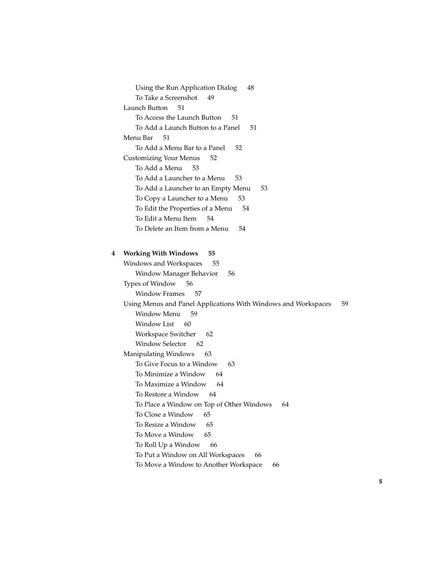|   | Using the Run Application Dialog<br>48                               |
|---|----------------------------------------------------------------------|
|   | To Take a Screenshot<br>49                                           |
|   | Launch Button<br>51                                                  |
|   | To Access the Launch Button<br>51                                    |
|   | To Add a Launch Button to a Panel<br>51                              |
|   | Menu Bar<br>51                                                       |
|   | To Add a Menu Bar to a Panel<br>52                                   |
|   | <b>Customizing Your Menus</b><br>52                                  |
|   | To Add a Menu<br>53                                                  |
|   | To Add a Launcher to a Menu<br>53                                    |
|   | To Add a Launcher to an Empty Menu<br>53                             |
|   | To Copy a Launcher to a Menu<br>53                                   |
|   | To Edit the Properties of a Menu<br>54                               |
|   | To Edit a Menu Item<br>54                                            |
|   | To Delete an Item from a Menu<br>54                                  |
|   |                                                                      |
| 4 | <b>Working With Windows</b><br>55                                    |
|   | Windows and Workspaces<br>55                                         |
|   | Window Manager Behavior<br>56                                        |
|   | Types of Window<br>56                                                |
|   | <b>Window Frames</b><br>57                                           |
|   | Using Menus and Panel Applications With Windows and Workspaces<br>59 |
|   | Window Menu<br>59                                                    |
|   | Window List<br>60                                                    |
|   | Workspace Switcher<br>62                                             |
|   | Window Selector<br>- 62                                              |
|   | Manipulating Windows<br>63                                           |
|   | To Give Focus to a Window<br>63                                      |
|   | To Minimize a Window<br>64                                           |
|   | To Maximize a Window<br>64                                           |
|   | To Restore a Window 64                                               |
|   | To Place a Window on Top of Other Windows<br>64                      |
|   | 65<br>To Close a Window                                              |
|   | 65<br>To Resize a Window                                             |
|   | 65<br>To Move a Window                                               |
|   | To Roll Up a Window<br>66                                            |
|   | To Put a Window on All Workspaces<br>66                              |
|   |                                                                      |

[To Move a Window to Another Workspace 66](#page-65-0)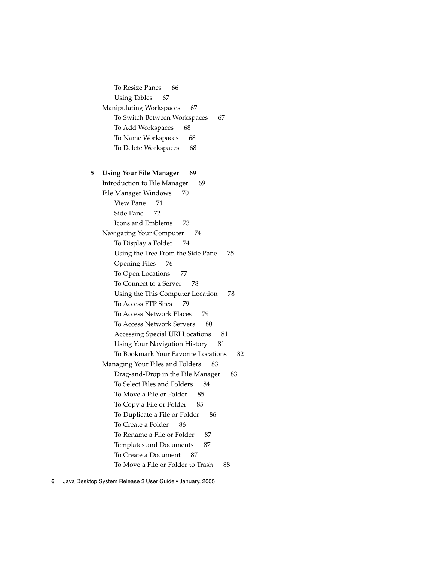[To Resize Panes 66](#page-65-0) [Using Tables 67](#page-66-0) [Manipulating Workspaces 67](#page-66-0) [To Switch Between Workspaces 67](#page-66-0) [To Add Workspaces 68](#page-67-0) [To Name Workspaces 68](#page-67-0) [To Delete Workspaces 68](#page-67-0)

#### **[5 Using Your File Manager 69](#page-68-0)**

[Introduction to File Manager 69](#page-68-0) [File Manager Windows 70](#page-69-0) [View Pane 71](#page-70-0) [Side Pane 72](#page-71-0) [Icons and Emblems 73](#page-72-0) [Navigating Your Computer 74](#page-73-0) [To Display a Folder 74](#page-73-0) [Using the Tree From the Side Pane 75](#page-74-0) [Opening Files 76](#page-75-0) [To Open Locations 77](#page-76-0) [To Connect to a Server 78](#page-77-0) [Using the This Computer Location 78](#page-77-0) [To Access FTP Sites 79](#page-78-0) [To Access Network Places 79](#page-78-0) [To Access Network Servers 80](#page-79-0) [Accessing Special URI Locations 81](#page-80-0) [Using Your Navigation History 81](#page-80-0) [To Bookmark Your Favorite Locations 82](#page-81-0) [Managing Your Files and Folders 83](#page-82-0) [Drag-and-Drop in the File Manager 83](#page-82-0) [To Select Files and Folders 84](#page-83-0) [To Move a File or Folder 85](#page-84-0) [To Copy a File or Folder 85](#page-84-0) [To Duplicate a File or Folder 86](#page-85-0) [To Create a Folder 86](#page-85-0) [To Rename a File or Folder 87](#page-86-0) [Templates and Documents 87](#page-86-0) [To Create a Document 87](#page-86-0) [To Move a File or Folder to Trash 88](#page-87-0)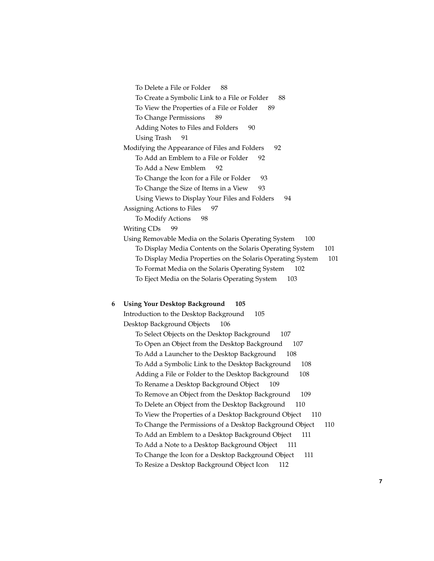| To Delete a File or Folder<br>88                                   |
|--------------------------------------------------------------------|
| To Create a Symbolic Link to a File or Folder<br>88                |
| To View the Properties of a File or Folder<br>89                   |
| To Change Permissions<br>89                                        |
| Adding Notes to Files and Folders<br>90                            |
| Using Trash 91                                                     |
| Modifying the Appearance of Files and Folders<br>92                |
| To Add an Emblem to a File or Folder<br>92                         |
| To Add a New Emblem<br>92                                          |
| To Change the Icon for a File or Folder<br>93                      |
| To Change the Size of Items in a View<br>93                        |
| Using Views to Display Your Files and Folders<br>94                |
| Assigning Actions to Files 97                                      |
| To Modify Actions 98                                               |
| Writing CDs<br>99                                                  |
| Using Removable Media on the Solaris Operating System<br>100       |
| 101<br>To Display Media Contents on the Solaris Operating System   |
| 101<br>To Display Media Properties on the Solaris Operating System |
| To Format Media on the Solaris Operating System<br>102             |
| To Eject Media on the Solaris Operating System<br>103              |
|                                                                    |

#### **[6 Using Your Desktop Background 105](#page-104-0)**

[Introduction to the Desktop Background 105](#page-104-0) [Desktop Background Objects 106](#page-105-0) [To Select Objects on the Desktop Background 107](#page-106-0) [To Open an Object from the Desktop Background 107](#page-106-0) [To Add a Launcher to the Desktop Background 108](#page-107-0) [To Add a Symbolic Link to the Desktop Background 108](#page-107-0) [Adding a File or Folder to the Desktop Background 108](#page-107-0) [To Rename a Desktop Background Object 109](#page-108-0) [To Remove an Object from the Desktop Background 109](#page-108-0) [To Delete an Object from the Desktop Background 110](#page-109-0) [To View the Properties of a Desktop Background Object 110](#page-109-0) [To Change the Permissions of a Desktop Background Object 110](#page-109-0) [To Add an Emblem to a Desktop Background Object 111](#page-110-0) [To Add a Note to a Desktop Background Object 111](#page-110-0) [To Change the Icon for a Desktop Background Object 111](#page-110-0) [To Resize a Desktop Background Object Icon 112](#page-111-0)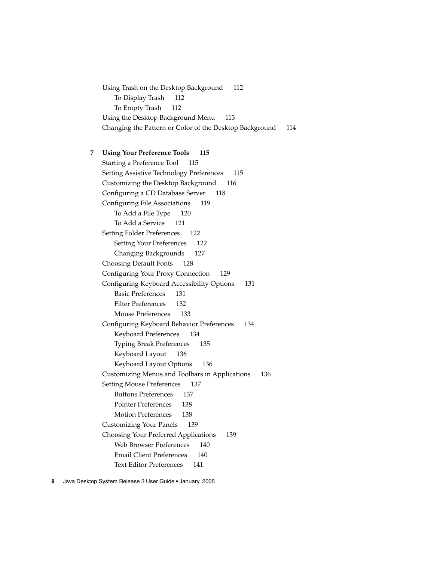[Using Trash on the Desktop Background 112](#page-111-0) [To Display Trash 112](#page-111-0) [To Empty Trash 112](#page-111-0) [Using the Desktop Background Menu 113](#page-112-0) [Changing the Pattern or Color of the Desktop Background 114](#page-113-0)

**[7 Using Your Preference Tools 115](#page-114-0)** [Starting a Preference Tool 115](#page-114-0) [Setting Assistive Technology Preferences 115](#page-114-0) [Customizing the Desktop Background 116](#page-115-0) [Configuring a CD Database Server 118](#page-117-0) [Configuring File Associations 119](#page-118-0) [To Add a File Type 120](#page-119-0) [To Add a Service 121](#page-120-0) [Setting Folder Preferences 122](#page-121-0) [Setting Your Preferences 122](#page-121-0) [Changing Backgrounds 127](#page-126-0) [Choosing Default Fonts 128](#page-127-0) [Configuring Your Proxy Connection 129](#page-128-0) [Configuring Keyboard Accessibility Options 131](#page-130-0) [Basic Preferences 131](#page-130-0) [Filter Preferences 132](#page-131-0) [Mouse Preferences 133](#page-132-0) [Configuring Keyboard Behavior Preferences 134](#page-133-0) [Keyboard Preferences 134](#page-133-0) [Typing Break Preferences 135](#page-134-0) [Keyboard Layout 136](#page-135-0) [Keyboard Layout Options 136](#page-135-0) [Customizing Menus and Toolbars in Applications 136](#page-135-0) [Setting Mouse Preferences 137](#page-136-0) [Buttons Preferences 137](#page-136-0) [Pointer Preferences 138](#page-137-0) [Motion Preferences 138](#page-137-0) [Customizing Your Panels 139](#page-138-0) [Choosing Your Preferred Applications 139](#page-138-0) [Web Browser Preferences 140](#page-139-0) [Email Client Preferences 140](#page-139-0) [Text Editor Preferences 141](#page-140-0)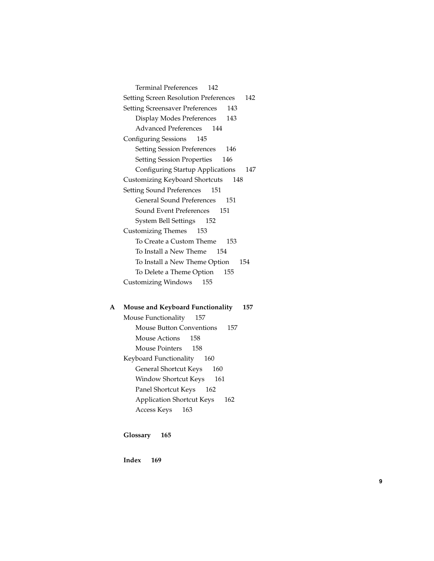[Terminal Preferences 142](#page-141-0) [Setting Screen Resolution Preferences 142](#page-141-0) [Setting Screensaver Preferences 143](#page-142-0) [Display Modes Preferences 143](#page-142-0) [Advanced Preferences 144](#page-143-0) [Configuring Sessions 145](#page-144-0) [Setting Session Preferences 146](#page-145-0) [Setting Session Properties 146](#page-145-0) [Configuring Startup Applications 147](#page-146-0) [Customizing Keyboard Shortcuts 148](#page-147-0) [Setting Sound Preferences 151](#page-150-0) [General Sound Preferences 151](#page-150-0) [Sound Event Preferences 151](#page-150-0) [System Bell Settings 152](#page-151-0) [Customizing Themes 153](#page-152-0) [To Create a Custom Theme 153](#page-152-0) [To Install a New Theme 154](#page-153-0) [To Install a New Theme Option 154](#page-153-0) [To Delete a Theme Option 155](#page-154-0) [Customizing Windows 155](#page-154-0)

#### **[A Mouse and Keyboard Functionality 157](#page-156-0)**

[Mouse Functionality 157](#page-156-0) [Mouse Button Conventions 157](#page-156-0) [Mouse Actions 158](#page-157-0) [Mouse Pointers 158](#page-157-0) [Keyboard Functionality 160](#page-159-0) [General Shortcut Keys 160](#page-159-0) [Window Shortcut Keys 161](#page-160-0) [Panel Shortcut Keys 162](#page-161-0) [Application Shortcut Keys 162](#page-161-0) [Access Keys 163](#page-162-0)

**[Glossary 165](#page-164-0)**

**[Index 169](#page-168-0)**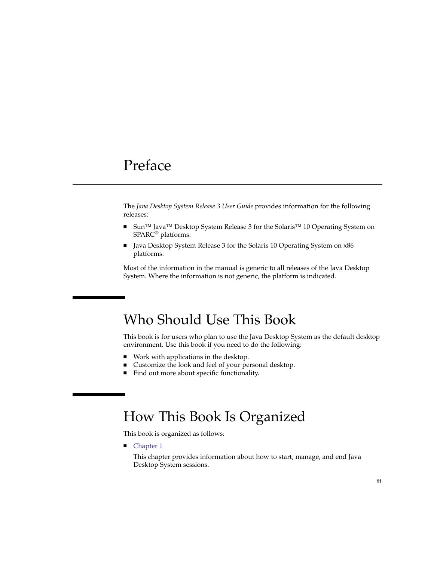### <span id="page-10-0"></span>Preface

The *Java Desktop System Release 3 User Guide* provides information for the following releases:

- Sun™ Java™ Desktop System Release 3 for the Solaris™ 10 Operating System on SPARC® platforms.
- Java Desktop System Release 3 for the Solaris 10 Operating System on x86 platforms.

Most of the information in the manual is generic to all releases of the Java Desktop System. Where the information is not generic, the platform is indicated.

### Who Should Use This Book

This book is for users who plan to use the Java Desktop System as the default desktop environment. Use this book if you need to do the following:

- Work with applications in the desktop.
- Customize the look and feel of your personal desktop.
- Find out more about specific functionality.

### How This Book Is Organized

This book is organized as follows:

■ [Chapter 1](#page-16-0)

This chapter provides information about how to start, manage, and end Java Desktop System sessions.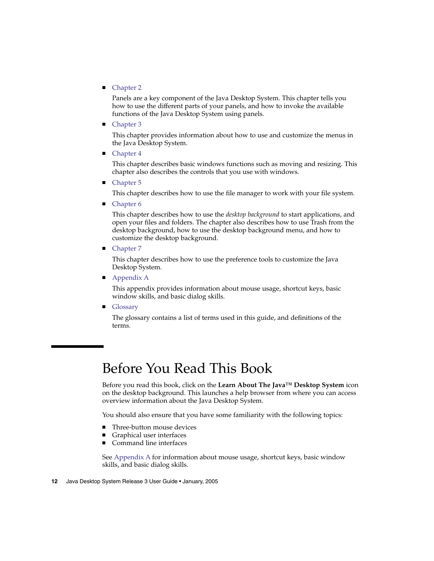#### ■ [Chapter 2](#page-24-0)

Panels are a key component of the Java Desktop System. This chapter tells you how to use the different parts of your panels, and how to invoke the available functions of the Java Desktop System using panels.

■ [Chapter 3](#page-44-0)

This chapter provides information about how to use and customize the menus in the Java Desktop System.

■ [Chapter 4](#page-54-0)

This chapter describes basic windows functions such as moving and resizing. This chapter also describes the controls that you use with windows.

■ [Chapter 5](#page-68-0)

This chapter describes how to use the file manager to work with your file system.

■ [Chapter 6](#page-104-0)

This chapter describes how to use the *desktop background* to start applications, and open your files and folders. The chapter also describes how to use Trash from the desktop background, how to use the desktop background menu, and how to customize the desktop background.

■ [Chapter 7](#page-114-0)

This chapter describes how to use the preference tools to customize the Java Desktop System.

■ [Appendix A](#page-156-0)

This appendix provides information about mouse usage, shortcut keys, basic window skills, and basic dialog skills.

**[Glossary](#page-164-0)** 

The glossary contains a list of terms used in this guide, and definitions of the terms.

### Before You Read This Book

Before you read this book, click on the **Learn About The Java™ Desktop System** icon on the desktop background. This launches a help browser from where you can access overview information about the Java Desktop System.

You should also ensure that you have some familiarity with the following topics:

- Three-button mouse devices
- Graphical user interfaces
- Command line interfaces

See [Appendix A](#page-156-0) for information about mouse usage, shortcut keys, basic window skills, and basic dialog skills.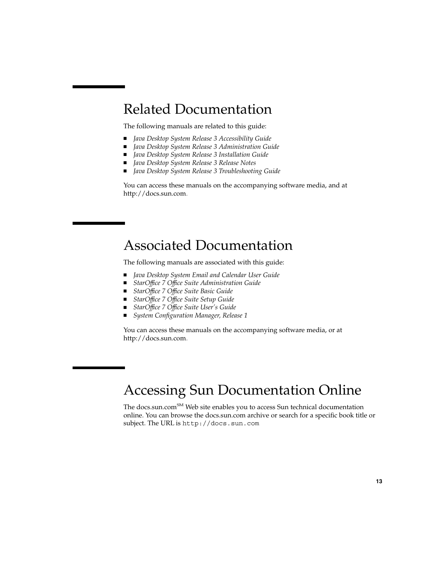### Related Documentation

The following manuals are related to this guide:

- *Java Desktop System Release 3 Accessibility Guide*
- *Java Desktop System Release 3 Administration Guide*
- *Java Desktop System Release 3 Installation Guide*
- *Java Desktop System Release 3 Release Notes*
- *Java Desktop System Release 3 Troubleshooting Guide*

You can access these manuals on the accompanying software media, and at [http://docs.sun.com.](http://docs.sun.com)

### Associated Documentation

The following manuals are associated with this guide:

- *Java Desktop System Email and Calendar User Guide*
- *StarOffice 7 Office Suite Administration Guide*
- *StarOffice 7 Office Suite Basic Guide*
- *StarOffice 7 Office Suite Setup Guide*
- *StarOffice 7 Office Suite User's Guide*
- *System Configuration Manager, Release 1*

You can access these manuals on the accompanying software media, or at [http://docs.sun.com.](http://docs.sun.com)

### Accessing Sun Documentation Online

The docs.sun.com<sup>SM</sup> Web site enables you to access Sun technical documentation online. You can browse the docs.sun.com archive or search for a specific book title or subject. The URL is <http://docs.sun.com>.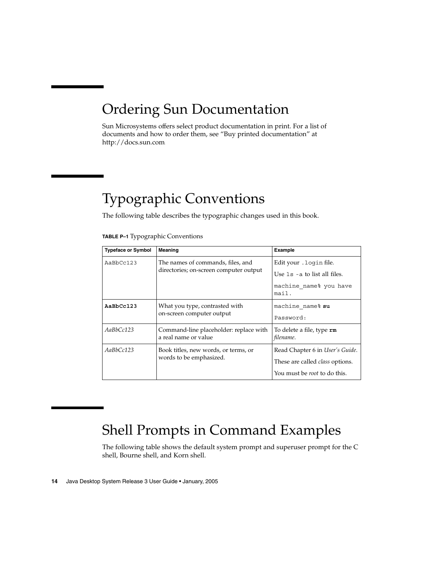## Ordering Sun Documentation

Sun Microsystems offers select product documentation in print. For a list of documents and how to order them, see "Buy printed documentation" at [http://docs.sun.com.](http://docs.sun.com)

## Typographic Conventions

The following table describes the typographic changes used in this book.

| <b>TABLE P–1</b> Typographic Conventions |  |
|------------------------------------------|--|
|------------------------------------------|--|

| <b>Typeface or Symbol</b> | <b>Meaning</b>                                                  | Example                                  |
|---------------------------|-----------------------------------------------------------------|------------------------------------------|
| AaBbCc123                 | The names of commands, files, and                               | Edit your . login file.                  |
|                           | directories; on-screen computer output                          | Use $1s$ -a to list all files.           |
|                           |                                                                 | machine name% you have<br>mail.          |
| AaBbCc123                 | What you type, contrasted with<br>on-screen computer output     | machine name% su                         |
|                           |                                                                 | Password:                                |
| AaBbCc123                 | Command-line placeholder: replace with<br>a real name or value  | To delete a file, type $rm$<br>filename. |
| AaBbCc123                 | Book titles, new words, or terms, or<br>words to be emphasized. | Read Chapter 6 in User's Guide.          |
|                           |                                                                 | These are called <i>class</i> options.   |
|                           |                                                                 | You must be <i>root</i> to do this.      |

### Shell Prompts in Command Examples

The following table shows the default system prompt and superuser prompt for the C shell, Bourne shell, and Korn shell.

**<sup>14</sup>** Java Desktop System Release 3 User Guide • January, 2005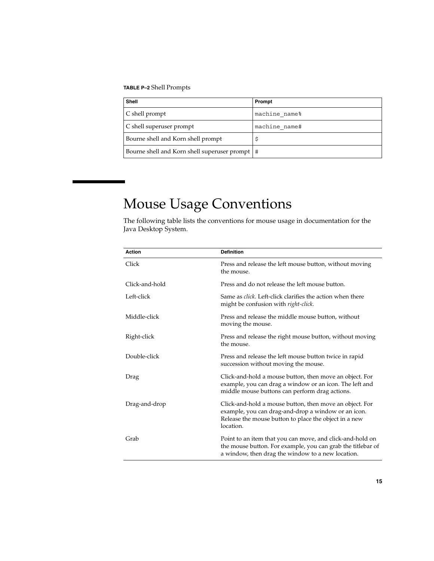#### **TABLE P–2** Shell Prompts

| <b>Shell</b>                                     | Prompt        |
|--------------------------------------------------|---------------|
| C shell prompt                                   | machine name% |
| C shell superuser prompt                         | machine name# |
| Bourne shell and Korn shell prompt               | \$            |
| Bourne shell and Korn shell superuser prompt   # |               |

## Mouse Usage Conventions

The following table lists the conventions for mouse usage in documentation for the Java Desktop System.

| <b>Action</b>  | <b>Definition</b>                                                                                                                                                                    |
|----------------|--------------------------------------------------------------------------------------------------------------------------------------------------------------------------------------|
| Click          | Press and release the left mouse button, without moving<br>the mouse.                                                                                                                |
| Click-and-hold | Press and do not release the left mouse button.                                                                                                                                      |
| Left-click     | Same as <i>click</i> . Left-click clarifies the action when there<br>might be confusion with right-click.                                                                            |
| Middle-click   | Press and release the middle mouse button, without<br>moving the mouse.                                                                                                              |
| Right-click    | Press and release the right mouse button, without moving<br>the mouse.                                                                                                               |
| Double-click   | Press and release the left mouse button twice in rapid<br>succession without moving the mouse.                                                                                       |
| Drag           | Click-and-hold a mouse button, then move an object. For<br>example, you can drag a window or an icon. The left and<br>middle mouse buttons can perform drag actions.                 |
| Drag-and-drop  | Click-and-hold a mouse button, then move an object. For<br>example, you can drag-and-drop a window or an icon.<br>Release the mouse button to place the object in a new<br>location. |
| Grab           | Point to an item that you can move, and click-and-hold on<br>the mouse button. For example, you can grab the titlebar of<br>a window, then drag the window to a new location.        |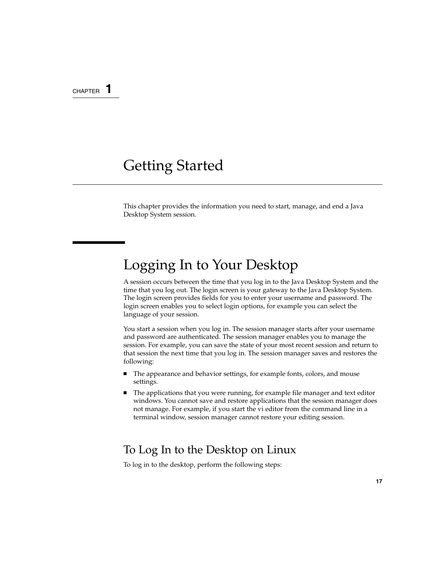#### <span id="page-16-0"></span>CHAPTER **1**

### Getting Started

This chapter provides the information you need to start, manage, and end a Java Desktop System session.

### Logging In to Your Desktop

A session occurs between the time that you log in to the Java Desktop System and the time that you log out. The login screen is your gateway to the Java Desktop System. The login screen provides fields for you to enter your username and password. The login screen enables you to select login options, for example you can select the language of your session.

You start a session when you log in. The session manager starts after your username and password are authenticated. The session manager enables you to manage the session. For example, you can save the state of your most recent session and return to that session the next time that you log in. The session manager saves and restores the following:

- The appearance and behavior settings, for example fonts, colors, and mouse settings.
- The applications that you were running, for example file manager and text editor windows. You cannot save and restore applications that the session manager does not manage. For example, if you start the vi editor from the command line in a terminal window, session manager cannot restore your editing session.

#### To Log In to the Desktop on Linux

To log in to the desktop, perform the following steps: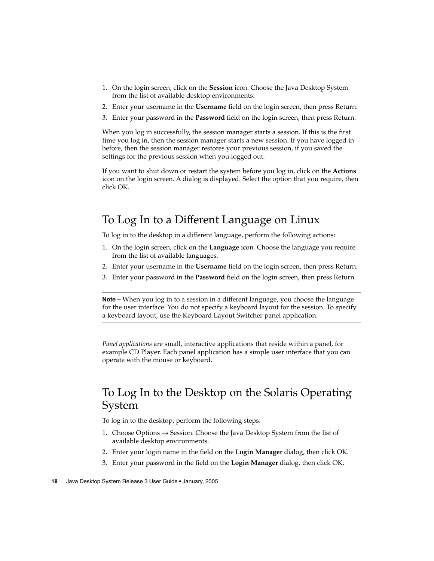- <span id="page-17-0"></span>1. On the login screen, click on the **Session** icon. Choose the Java Desktop System from the list of available desktop environments.
- 2. Enter your username in the **Username** field on the login screen, then press Return.
- 3. Enter your password in the **Password** field on the login screen, then press Return.

When you log in successfully, the session manager starts a session. If this is the first time you log in, then the session manager starts a new session. If you have logged in before, then the session manager restores your previous session, if you saved the settings for the previous session when you logged out.

If you want to shut down or restart the system before you log in, click on the **Actions** icon on the login screen. A dialog is displayed. Select the option that you require, then click OK.

#### To Log In to a Different Language on Linux

To log in to the desktop in a different language, perform the following actions:

- 1. On the login screen, click on the **Language** icon. Choose the language you require from the list of available languages.
- 2. Enter your username in the **Username** field on the login screen, then press Return.
- 3. Enter your password in the **Password** field on the login screen, then press Return.

**Note –** When you log in to a session in a different language, you choose the language for the user interface. You do not specify a keyboard layout for the session. To specify a keyboard layout, use the Keyboard Layout Switcher panel application.

*Panel applications* are small, interactive applications that reside within a panel, for example CD Player. Each panel application has a simple user interface that you can operate with the mouse or keyboard.

#### To Log In to the Desktop on the Solaris Operating System

To log in to the desktop, perform the following steps:

- 1. Choose Options  $\rightarrow$  Session. Choose the Java Desktop System from the list of available desktop environments.
- 2. Enter your login name in the field on the **Login Manager** dialog, then click OK.
- 3. Enter your password in the field on the **Login Manager** dialog, then click OK.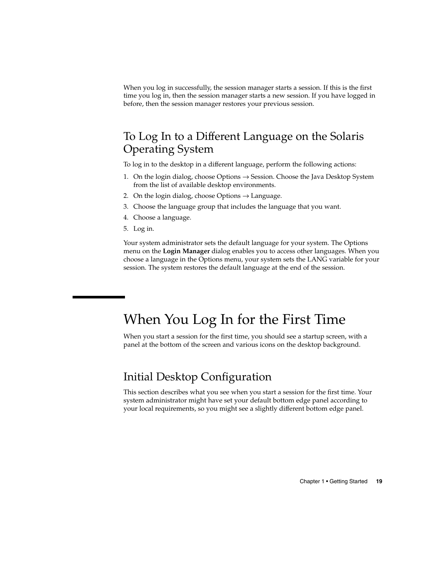<span id="page-18-0"></span>When you log in successfully, the session manager starts a session. If this is the first time you log in, then the session manager starts a new session. If you have logged in before, then the session manager restores your previous session.

#### To Log In to a Different Language on the Solaris Operating System

To log in to the desktop in a different language, perform the following actions:

- 1. On the login dialog, choose Options  $\rightarrow$  Session. Choose the Java Desktop System from the list of available desktop environments.
- 2. On the login dialog, choose Options  $\rightarrow$  Language.
- 3. Choose the language group that includes the language that you want.
- 4. Choose a language.
- 5. Log in.

Your system administrator sets the default language for your system. The Options menu on the **Login Manager** dialog enables you to access other languages. When you choose a language in the Options menu, your system sets the LANG variable for your session. The system restores the default language at the end of the session.

### When You Log In for the First Time

When you start a session for the first time, you should see a startup screen, with a panel at the bottom of the screen and various icons on the desktop background.

#### Initial Desktop Configuration

This section describes what you see when you start a session for the first time. Your system administrator might have set your default bottom edge panel according to your local requirements, so you might see a slightly different bottom edge panel.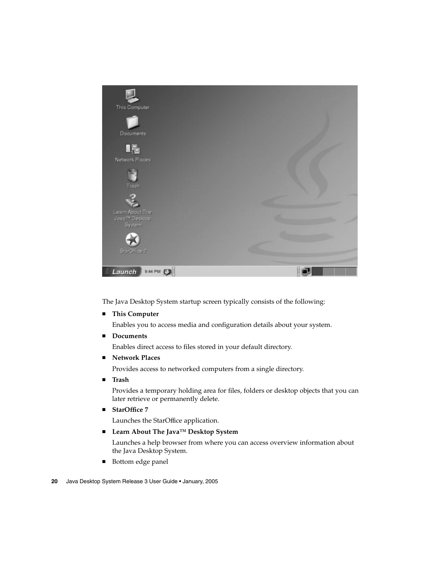

The Java Desktop System startup screen typically consists of the following:

■ **This Computer**

Enables you to access media and configuration details about your system.

■ **Documents** 

Enables direct access to files stored in your default directory.

■ **Network Places**

Provides access to networked computers from a single directory.

■ **Trash**

Provides a temporary holding area for files, folders or desktop objects that you can later retrieve or permanently delete.

■ **StarOffice 7**

Launches the StarOffice application.

■ **Learn About The Java™ Desktop System**

Launches a help browser from where you can access overview information about the Java Desktop System.

- Bottom edge panel
- **20** Java Desktop System Release 3 User Guide January, 2005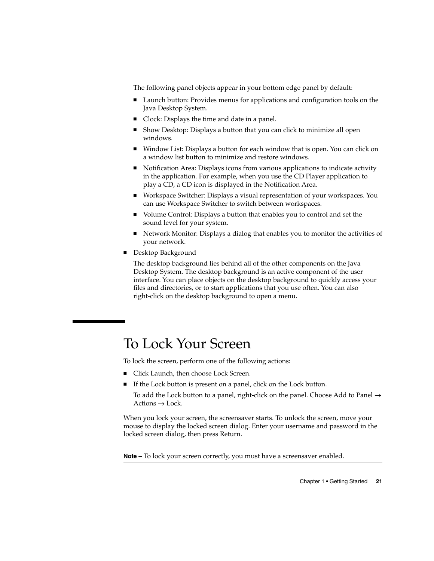<span id="page-20-0"></span>The following panel objects appear in your bottom edge panel by default:

- Launch button: Provides menus for applications and configuration tools on the Java Desktop System.
- Clock: Displays the time and date in a panel.
- Show Desktop: Displays a button that you can click to minimize all open windows.
- Window List: Displays a button for each window that is open. You can click on a window list button to minimize and restore windows.
- Notification Area: Displays icons from various applications to indicate activity in the application. For example, when you use the CD Player application to play a CD, a CD icon is displayed in the Notification Area.
- Workspace Switcher: Displays a visual representation of your workspaces. You can use Workspace Switcher to switch between workspaces.
- Volume Control: Displays a button that enables you to control and set the sound level for your system.
- Network Monitor: Displays a dialog that enables you to monitor the activities of your network.
- Desktop Background

The desktop background lies behind all of the other components on the Java Desktop System. The desktop background is an active component of the user interface. You can place objects on the desktop background to quickly access your files and directories, or to start applications that you use often. You can also right-click on the desktop background to open a menu.

### To Lock Your Screen

To lock the screen, perform one of the following actions:

- Click Launch, then choose Lock Screen.
- If the Lock button is present on a panel, click on the Lock button.

To add the Lock button to a panel, right-click on the panel. Choose Add to Panel  $\rightarrow$ Actions  $\rightarrow$  Lock.

When you lock your screen, the screensaver starts. To unlock the screen, move your mouse to display the locked screen dialog. Enter your username and password in the locked screen dialog, then press Return.

**Note –** To lock your screen correctly, you must have a screensaver enabled.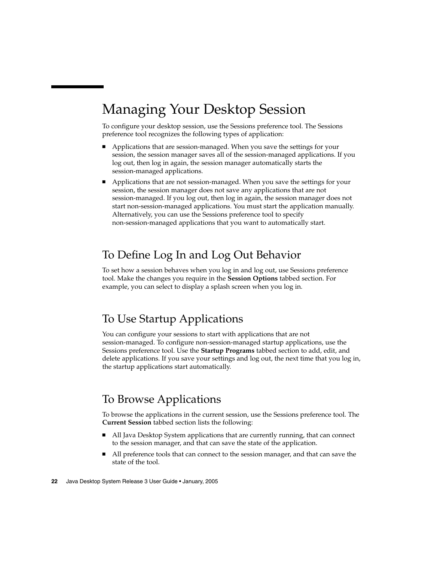## <span id="page-21-0"></span>Managing Your Desktop Session

To configure your desktop session, use the Sessions preference tool. The Sessions preference tool recognizes the following types of application:

- Applications that are session-managed. When you save the settings for your session, the session manager saves all of the session-managed applications. If you log out, then log in again, the session manager automatically starts the session-managed applications.
- Applications that are not session-managed. When you save the settings for your session, the session manager does not save any applications that are not session-managed. If you log out, then log in again, the session manager does not start non-session-managed applications. You must start the application manually. Alternatively, you can use the Sessions preference tool to specify non-session-managed applications that you want to automatically start.

### To Define Log In and Log Out Behavior

To set how a session behaves when you log in and log out, use Sessions preference tool. Make the changes you require in the **Session Options** tabbed section. For example, you can select to display a splash screen when you log in.

### To Use Startup Applications

You can configure your sessions to start with applications that are not session-managed. To configure non-session-managed startup applications, use the Sessions preference tool. Use the **Startup Programs** tabbed section to add, edit, and delete applications. If you save your settings and log out, the next time that you log in, the startup applications start automatically.

### To Browse Applications

To browse the applications in the current session, use the Sessions preference tool. The **Current Session** tabbed section lists the following:

- All Java Desktop System applications that are currently running, that can connect to the session manager, and that can save the state of the application.
- All preference tools that can connect to the session manager, and that can save the state of the tool.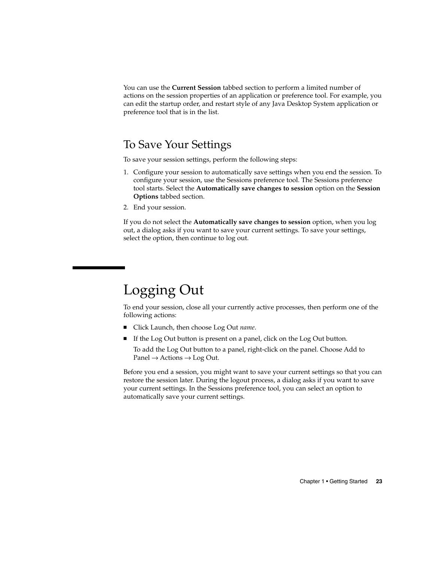<span id="page-22-0"></span>You can use the **Current Session** tabbed section to perform a limited number of actions on the session properties of an application or preference tool. For example, you can edit the startup order, and restart style of any Java Desktop System application or preference tool that is in the list.

#### To Save Your Settings

To save your session settings, perform the following steps:

- 1. Configure your session to automatically save settings when you end the session. To configure your session, use the Sessions preference tool. The Sessions preference tool starts. Select the **Automatically save changes to session** option on the **Session Options** tabbed section.
- 2. End your session.

If you do not select the **Automatically save changes to session** option, when you log out, a dialog asks if you want to save your current settings. To save your settings, select the option, then continue to log out.

## Logging Out

To end your session, close all your currently active processes, then perform one of the following actions:

- Click Launch, then choose Log Out *name*.
- If the Log Out button is present on a panel, click on the Log Out button.

To add the Log Out button to a panel, right-click on the panel. Choose Add to Panel  $\rightarrow$  Actions  $\rightarrow$  Log Out.

Before you end a session, you might want to save your current settings so that you can restore the session later. During the logout process, a dialog asks if you want to save your current settings. In the Sessions preference tool, you can select an option to automatically save your current settings.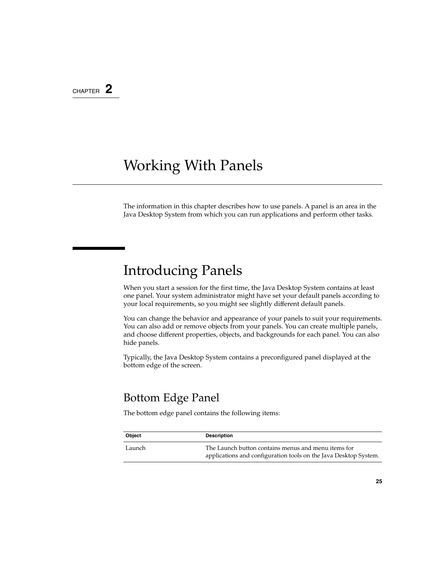### <span id="page-24-0"></span>CHAPTER **2**

## Working With Panels

The information in this chapter describes how to use panels. A panel is an area in the Java Desktop System from which you can run applications and perform other tasks.

## Introducing Panels

When you start a session for the first time, the Java Desktop System contains at least one panel. Your system administrator might have set your default panels according to your local requirements, so you might see slightly different default panels.

You can change the behavior and appearance of your panels to suit your requirements. You can also add or remove objects from your panels. You can create multiple panels, and choose different properties, objects, and backgrounds for each panel. You can also hide panels.

Typically, the Java Desktop System contains a preconfigured panel displayed at the bottom edge of the screen.

#### Bottom Edge Panel

The bottom edge panel contains the following items:

| <b>Object</b> | <b>Description</b>                                                                                                      |
|---------------|-------------------------------------------------------------------------------------------------------------------------|
| Launch        | The Launch button contains menus and menu items for<br>applications and configuration tools on the Java Desktop System. |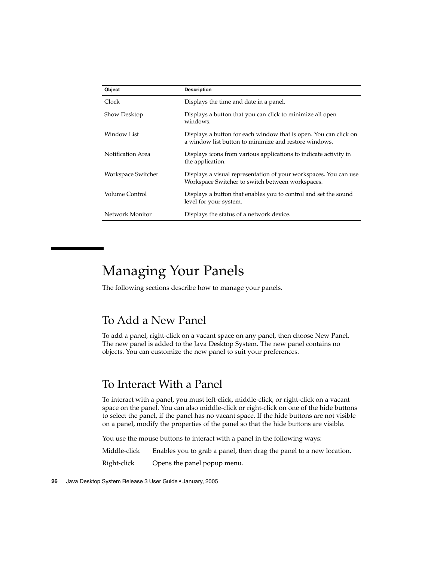<span id="page-25-0"></span>

| <b>Object</b>      | <b>Description</b>                                                                                                        |
|--------------------|---------------------------------------------------------------------------------------------------------------------------|
| Clock              | Displays the time and date in a panel.                                                                                    |
| Show Desktop       | Displays a button that you can click to minimize all open<br>windows.                                                     |
| Window List        | Displays a button for each window that is open. You can click on<br>a window list button to minimize and restore windows. |
| Notification Area  | Displays icons from various applications to indicate activity in<br>the application.                                      |
| Workspace Switcher | Displays a visual representation of your workspaces. You can use<br>Workspace Switcher to switch between workspaces.      |
| Volume Control     | Displays a button that enables you to control and set the sound<br>level for your system.                                 |
| Network Monitor    | Displays the status of a network device.                                                                                  |

## Managing Your Panels

The following sections describe how to manage your panels.

### To Add a New Panel

To add a panel, right-click on a vacant space on any panel, then choose New Panel. The new panel is added to the Java Desktop System. The new panel contains no objects. You can customize the new panel to suit your preferences.

#### To Interact With a Panel

To interact with a panel, you must left-click, middle-click, or right-click on a vacant space on the panel. You can also middle-click or right-click on one of the hide buttons to select the panel, if the panel has no vacant space. If the hide buttons are not visible on a panel, modify the properties of the panel so that the hide buttons are visible.

You use the mouse buttons to interact with a panel in the following ways:

Middle-click Enables you to grab a panel, then drag the panel to a new location.

Right-click Opens the panel popup menu.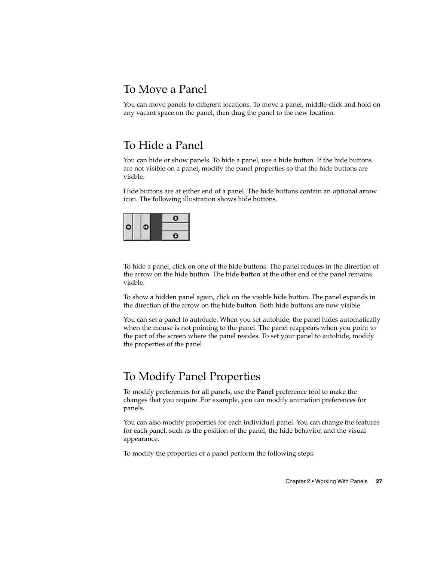### <span id="page-26-0"></span>To Move a Panel

You can move panels to different locations. To move a panel, middle-click and hold on any vacant space on the panel, then drag the panel to the new location.

#### To Hide a Panel

You can hide or show panels. To hide a panel, use a hide button. If the hide buttons are not visible on a panel, modify the panel properties so that the hide buttons are visible.

Hide buttons are at either end of a panel. The hide buttons contain an optional arrow icon. The following illustration shows hide buttons.



To hide a panel, click on one of the hide buttons. The panel reduces in the direction of the arrow on the hide button. The hide button at the other end of the panel remains visible.

To show a hidden panel again, click on the visible hide button. The panel expands in the direction of the arrow on the hide button. Both hide buttons are now visible.

You can set a panel to autohide. When you set autohide, the panel hides automatically when the mouse is not pointing to the panel. The panel reappears when you point to the part of the screen where the panel resides. To set your panel to autohide, modify the properties of the panel.

### To Modify Panel Properties

To modify preferences for all panels, use the **Panel** preference tool to make the changes that you require. For example, you can modify animation preferences for panels.

You can also modify properties for each individual panel. You can change the features for each panel, such as the position of the panel, the hide behavior, and the visual appearance.

To modify the properties of a panel perform the following steps: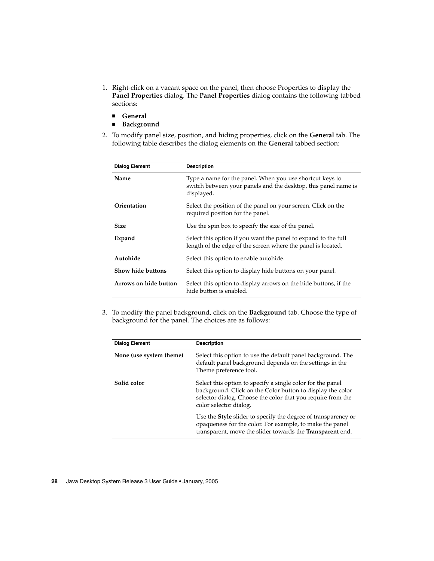- 1. Right-click on a vacant space on the panel, then choose Properties to display the **Panel Properties** dialog. The **Panel Properties** dialog contains the following tabbed sections:
	- **General**
	- **Background**
- 2. To modify panel size, position, and hiding properties, click on the **General** tab. The following table describes the dialog elements on the **General** tabbed section:

| <b>Dialog Element</b>    | <b>Description</b>                                                                                                                       |
|--------------------------|------------------------------------------------------------------------------------------------------------------------------------------|
| Name                     | Type a name for the panel. When you use shortcut keys to<br>switch between your panels and the desktop, this panel name is<br>displayed. |
| Orientation              | Select the position of the panel on your screen. Click on the<br>required position for the panel.                                        |
| <b>Size</b>              | Use the spin box to specify the size of the panel.                                                                                       |
| Expand                   | Select this option if you want the panel to expand to the full<br>length of the edge of the screen where the panel is located.           |
| Autohide                 | Select this option to enable autohide.                                                                                                   |
| <b>Show hide buttons</b> | Select this option to display hide buttons on your panel.                                                                                |
| Arrows on hide button    | Select this option to display arrows on the hide buttons, if the<br>hide button is enabled.                                              |

3. To modify the panel background, click on the **Background** tab. Choose the type of background for the panel. The choices are as follows:

| <b>Dialog Element</b>   | <b>Description</b>                                                                                                                                                                                                |
|-------------------------|-------------------------------------------------------------------------------------------------------------------------------------------------------------------------------------------------------------------|
| None (use system theme) | Select this option to use the default panel background. The<br>default panel background depends on the settings in the<br>Theme preference tool.                                                                  |
| Solid color             | Select this option to specify a single color for the panel<br>background. Click on the Color button to display the color<br>selector dialog. Choose the color that you require from the<br>color selector dialog. |
|                         | Use the <b>Style</b> slider to specify the degree of transparency or<br>opaqueness for the color. For example, to make the panel<br>transparent, move the slider towards the Transparent end.                     |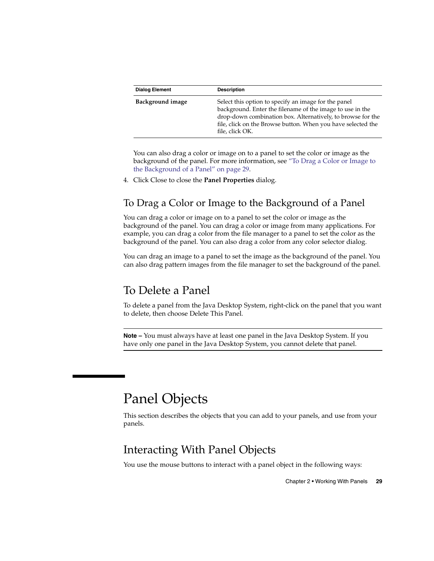<span id="page-28-0"></span>

| <b>Dialog Element</b> | <b>Description</b>                                                                                                                                                                                                                                                  |
|-----------------------|---------------------------------------------------------------------------------------------------------------------------------------------------------------------------------------------------------------------------------------------------------------------|
| Background image      | Select this option to specify an image for the panel<br>background. Enter the filename of the image to use in the<br>drop-down combination box. Alternatively, to browse for the<br>file, click on the Browse button. When you have selected the<br>file, click OK. |

You can also drag a color or image on to a panel to set the color or image as the background of the panel. For more information, see "To Drag a Color or Image to the Background of a Panel" on page 29.

4. Click Close to close the **Panel Properties** dialog.

#### To Drag a Color or Image to the Background of a Panel

You can drag a color or image on to a panel to set the color or image as the background of the panel. You can drag a color or image from many applications. For example, you can drag a color from the file manager to a panel to set the color as the background of the panel. You can also drag a color from any color selector dialog.

You can drag an image to a panel to set the image as the background of the panel. You can also drag pattern images from the file manager to set the background of the panel.

#### To Delete a Panel

To delete a panel from the Java Desktop System, right-click on the panel that you want to delete, then choose Delete This Panel.

**Note –** You must always have at least one panel in the Java Desktop System. If you have only one panel in the Java Desktop System, you cannot delete that panel.

### Panel Objects

This section describes the objects that you can add to your panels, and use from your panels.

### Interacting With Panel Objects

You use the mouse buttons to interact with a panel object in the following ways: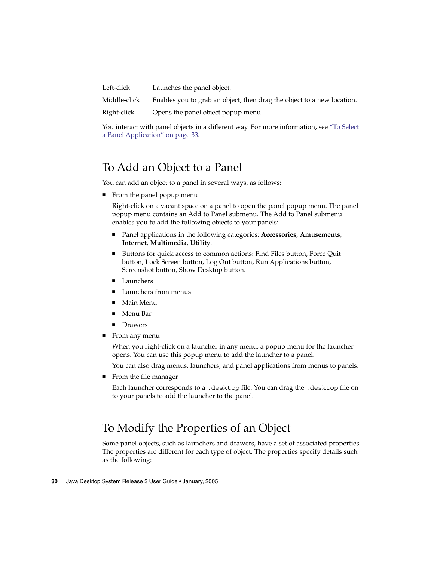<span id="page-29-0"></span>

| Left-click   | Launches the panel object.                                             |
|--------------|------------------------------------------------------------------------|
| Middle-click | Enables you to grab an object, then drag the object to a new location. |
| Right-click  | Opens the panel object popup menu.                                     |

You interact with panel objects in a different way. For more information, see ["To Select](#page-32-0) [a Panel Application"](#page-32-0) on page 33.

#### To Add an Object to a Panel

You can add an object to a panel in several ways, as follows:

■ From the panel popup menu

Right-click on a vacant space on a panel to open the panel popup menu. The panel popup menu contains an Add to Panel submenu. The Add to Panel submenu enables you to add the following objects to your panels:

- Panel applications in the following categories: **Accessories**, **Amusements**, **Internet**, **Multimedia**, **Utility**.
- Buttons for quick access to common actions: Find Files button, Force Quit button, Lock Screen button, Log Out button, Run Applications button, Screenshot button, Show Desktop button.
- Launchers
- Launchers from menus
- Main Menu
- Menu Bar
- Drawers
- From any menu

When you right-click on a launcher in any menu, a popup menu for the launcher opens. You can use this popup menu to add the launcher to a panel.

You can also drag menus, launchers, and panel applications from menus to panels.

■ From the file manager

Each launcher corresponds to a .desktop file. You can drag the .desktop file on to your panels to add the launcher to the panel.

### To Modify the Properties of an Object

Some panel objects, such as launchers and drawers, have a set of associated properties. The properties are different for each type of object. The properties specify details such as the following: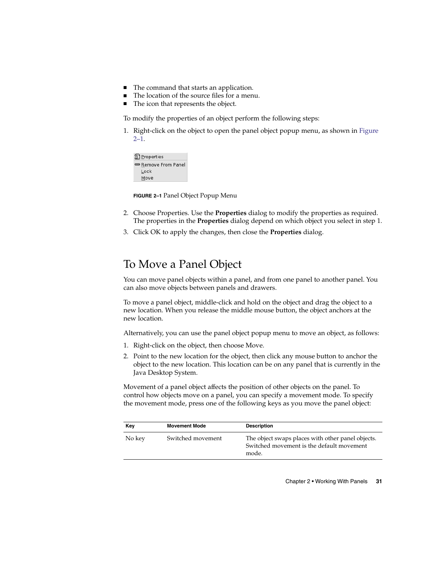- <span id="page-30-0"></span>■ The command that starts an application.
- The location of the source files for a menu.
- The icon that represents the object.

To modify the properties of an object perform the following steps:

1. Right-click on the object to open the panel object popup menu, as shown in Figure 2–1.

| <b>XI</b> Properties |  |
|----------------------|--|
| Remove From Panel    |  |
| Lock                 |  |
| Move                 |  |

**FIGURE 2–1** Panel Object Popup Menu

- 2. Choose Properties. Use the **Properties** dialog to modify the properties as required. The properties in the **Properties** dialog depend on which object you select in step 1.
- 3. Click OK to apply the changes, then close the **Properties** dialog.

#### To Move a Panel Object

You can move panel objects within a panel, and from one panel to another panel. You can also move objects between panels and drawers.

To move a panel object, middle-click and hold on the object and drag the object to a new location. When you release the middle mouse button, the object anchors at the new location.

Alternatively, you can use the panel object popup menu to move an object, as follows:

- 1. Right-click on the object, then choose Move.
- 2. Point to the new location for the object, then click any mouse button to anchor the object to the new location. This location can be on any panel that is currently in the Java Desktop System.

Movement of a panel object affects the position of other objects on the panel. To control how objects move on a panel, you can specify a movement mode. To specify the movement mode, press one of the following keys as you move the panel object:

| Key    | <b>Movement Mode</b> | <b>Description</b>                                                                                      |
|--------|----------------------|---------------------------------------------------------------------------------------------------------|
| No key | Switched movement    | The object swaps places with other panel objects.<br>Switched movement is the default movement<br>mode. |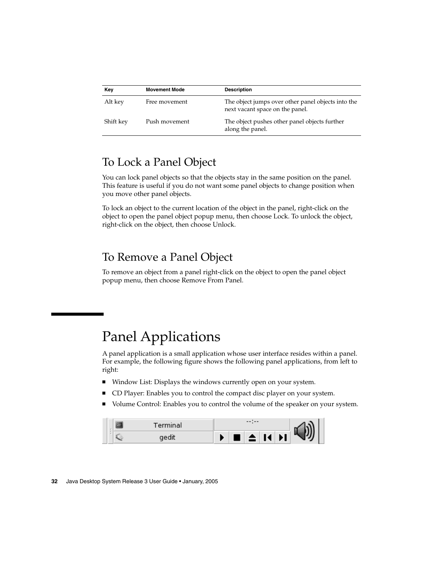<span id="page-31-0"></span>

| Key       | <b>Movement Mode</b> | <b>Description</b>                                                                    |
|-----------|----------------------|---------------------------------------------------------------------------------------|
| Alt key   | Free movement        | The object jumps over other panel objects into the<br>next vacant space on the panel. |
| Shift key | Push movement        | The object pushes other panel objects further<br>along the panel.                     |

#### To Lock a Panel Object

You can lock panel objects so that the objects stay in the same position on the panel. This feature is useful if you do not want some panel objects to change position when you move other panel objects.

To lock an object to the current location of the object in the panel, right-click on the object to open the panel object popup menu, then choose Lock. To unlock the object, right-click on the object, then choose Unlock.

#### To Remove a Panel Object

To remove an object from a panel right-click on the object to open the panel object popup menu, then choose Remove From Panel.

## Panel Applications

A panel application is a small application whose user interface resides within a panel. For example, the following figure shows the following panel applications, from left to right:

- Window List: Displays the windows currently open on your system.
- CD Player: Enables you to control the compact disc player on your system.
- Volume Control: Enables you to control the volume of the speaker on your system.

|  | erminal |                                                 |  |
|--|---------|-------------------------------------------------|--|
|  |         | $\triangle$ $\parallel$ $\parallel$ $\parallel$ |  |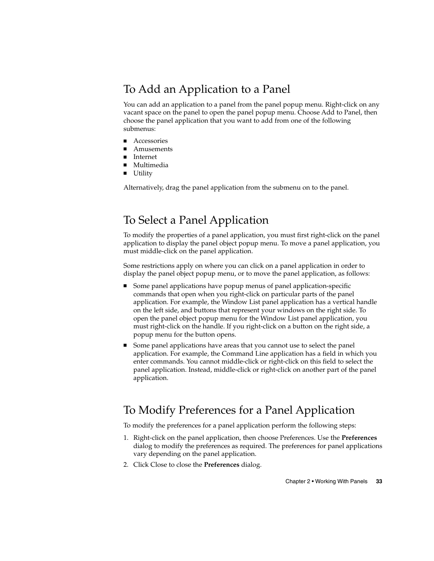### <span id="page-32-0"></span>To Add an Application to a Panel

You can add an application to a panel from the panel popup menu. Right-click on any vacant space on the panel to open the panel popup menu. Choose Add to Panel, then choose the panel application that you want to add from one of the following submenus:

- **Accessories**
- Amusements
- Internet
- Multimedia
- Utility

Alternatively, drag the panel application from the submenu on to the panel.

#### To Select a Panel Application

To modify the properties of a panel application, you must first right-click on the panel application to display the panel object popup menu. To move a panel application, you must middle-click on the panel application.

Some restrictions apply on where you can click on a panel application in order to display the panel object popup menu, or to move the panel application, as follows:

- Some panel applications have popup menus of panel application-specific commands that open when you right-click on particular parts of the panel application. For example, the Window List panel application has a vertical handle on the left side, and buttons that represent your windows on the right side. To open the panel object popup menu for the Window List panel application, you must right-click on the handle. If you right-click on a button on the right side, a popup menu for the button opens.
- Some panel applications have areas that you cannot use to select the panel application. For example, the Command Line application has a field in which you enter commands. You cannot middle-click or right-click on this field to select the panel application. Instead, middle-click or right-click on another part of the panel application.

#### To Modify Preferences for a Panel Application

To modify the preferences for a panel application perform the following steps:

- 1. Right-click on the panel application, then choose Preferences. Use the **Preferences** dialog to modify the preferences as required. The preferences for panel applications vary depending on the panel application.
- 2. Click Close to close the **Preferences** dialog.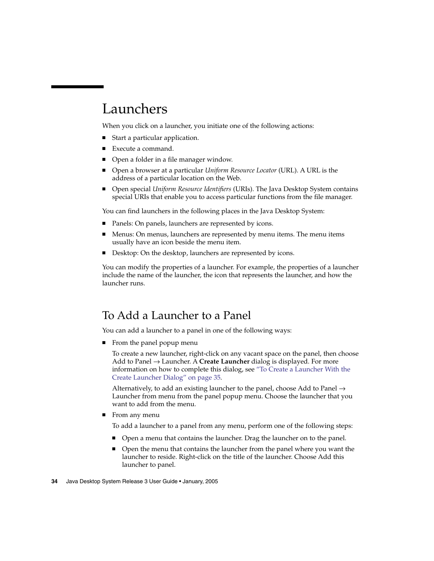### <span id="page-33-0"></span>Launchers

When you click on a launcher, you initiate one of the following actions:

- Start a particular application.
- Execute a command.
- Open a folder in a file manager window.
- Open a browser at a particular *Uniform Resource Locator* (URL). A URL is the address of a particular location on the Web.
- Open special *Uniform Resource Identifiers* (URIs). The Java Desktop System contains special URIs that enable you to access particular functions from the file manager.

You can find launchers in the following places in the Java Desktop System:

- Panels: On panels, launchers are represented by icons.
- Menus: On menus, launchers are represented by menu items. The menu items usually have an icon beside the menu item.
- Desktop: On the desktop, launchers are represented by icons.

You can modify the properties of a launcher. For example, the properties of a launcher include the name of the launcher, the icon that represents the launcher, and how the launcher runs.

#### To Add a Launcher to a Panel

You can add a launcher to a panel in one of the following ways:

■ From the panel popup menu

To create a new launcher, right-click on any vacant space on the panel, then choose Add to Panel → Launcher. A **Create Launcher** dialog is displayed. For more information on how to complete this dialog, see ["To Create a Launcher With the](#page-34-0) [Create Launcher Dialog"](#page-34-0) on page 35.

Alternatively, to add an existing launcher to the panel, choose Add to Panel  $\rightarrow$ Launcher from menu from the panel popup menu. Choose the launcher that you want to add from the menu.

■ From any menu

To add a launcher to a panel from any menu, perform one of the following steps:

- Open a menu that contains the launcher. Drag the launcher on to the panel.
- Open the menu that contains the launcher from the panel where you want the launcher to reside. Right-click on the title of the launcher. Choose Add this launcher to panel.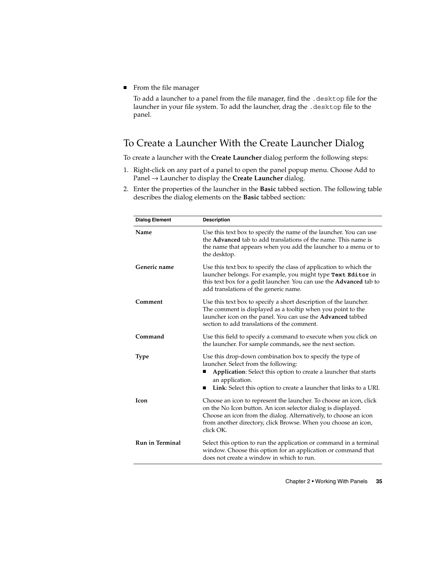<span id="page-34-0"></span>■ From the file manager

To add a launcher to a panel from the file manager, find the .desktop file for the launcher in your file system. To add the launcher, drag the .desktop file to the panel.

#### To Create a Launcher With the Create Launcher Dialog

To create a launcher with the **Create Launcher** dialog perform the following steps:

- 1. Right-click on any part of a panel to open the panel popup menu. Choose Add to Panel → Launcher to display the **Create Launcher** dialog.
- 2. Enter the properties of the launcher in the **Basic** tabbed section. The following table describes the dialog elements on the **Basic** tabbed section:

| <b>Dialog Element</b>  | <b>Description</b>                                                                                                                                                                                                                                                                    |
|------------------------|---------------------------------------------------------------------------------------------------------------------------------------------------------------------------------------------------------------------------------------------------------------------------------------|
| Name                   | Use this text box to specify the name of the launcher. You can use<br>the <b>Advanced</b> tab to add translations of the name. This name is<br>the name that appears when you add the launcher to a menu or to<br>the desktop.                                                        |
| Generic name           | Use this text box to specify the class of application to which the<br>launcher belongs. For example, you might type Text Editor in<br>this text box for a gedit launcher. You can use the <b>Advanced</b> tab to<br>add translations of the generic name.                             |
| Comment                | Use this text box to specify a short description of the launcher.<br>The comment is displayed as a tooltip when you point to the<br>launcher icon on the panel. You can use the Advanced tabbed<br>section to add translations of the comment.                                        |
| Command                | Use this field to specify a command to execute when you click on<br>the launcher. For sample commands, see the next section.                                                                                                                                                          |
| <b>Type</b>            | Use this drop-down combination box to specify the type of<br>launcher. Select from the following:<br>Application: Select this option to create a launcher that starts<br>an application.<br>Link: Select this option to create a launcher that links to a URI.                        |
| Icon                   | Choose an icon to represent the launcher. To choose an icon, click<br>on the No Icon button. An icon selector dialog is displayed.<br>Choose an icon from the dialog. Alternatively, to choose an icon<br>from another directory, click Browse. When you choose an icon,<br>click OK. |
| <b>Run in Terminal</b> | Select this option to run the application or command in a terminal<br>window. Choose this option for an application or command that<br>does not create a window in which to run.                                                                                                      |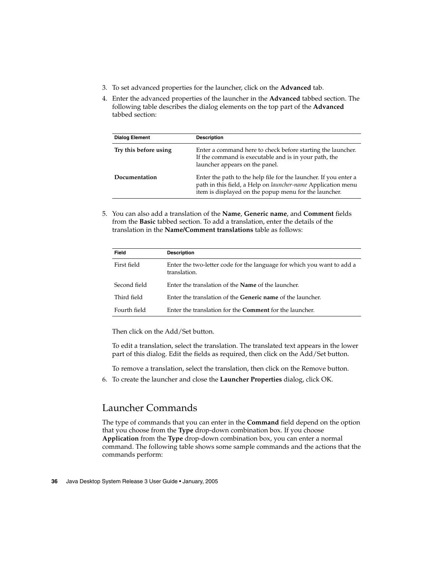- 3. To set advanced properties for the launcher, click on the **Advanced** tab.
- 4. Enter the advanced properties of the launcher in the **Advanced** tabbed section. The following table describes the dialog elements on the top part of the **Advanced** tabbed section:

| <b>Dialog Element</b> | <b>Description</b>                                                                                                                                                                        |
|-----------------------|-------------------------------------------------------------------------------------------------------------------------------------------------------------------------------------------|
| Try this before using | Enter a command here to check before starting the launcher.<br>If the command is executable and is in your path, the<br>launcher appears on the panel.                                    |
| Documentation         | Enter the path to the help file for the launcher. If you enter a<br>path in this field, a Help on launcher-name Application menu<br>item is displayed on the popup menu for the launcher. |

5. You can also add a translation of the **Name**, **Generic name**, and **Comment** fields from the **Basic** tabbed section. To add a translation, enter the details of the translation in the **Name/Comment translations** table as follows:

| Field        | <b>Description</b>                                                                     |
|--------------|----------------------------------------------------------------------------------------|
| First field  | Enter the two-letter code for the language for which you want to add a<br>translation. |
| Second field | Enter the translation of the Name of the launcher.                                     |
| Third field  | Enter the translation of the Generic name of the launcher.                             |
| Fourth field | Enter the translation for the <b>Comment</b> for the launcher.                         |

Then click on the Add/Set button.

To edit a translation, select the translation. The translated text appears in the lower part of this dialog. Edit the fields as required, then click on the Add/Set button.

To remove a translation, select the translation, then click on the Remove button.

6. To create the launcher and close the **Launcher Properties** dialog, click OK.

#### Launcher Commands

The type of commands that you can enter in the **Command** field depend on the option that you choose from the **Type** drop-down combination box. If you choose **Application** from the **Type** drop-down combination box, you can enter a normal command. The following table shows some sample commands and the actions that the commands perform: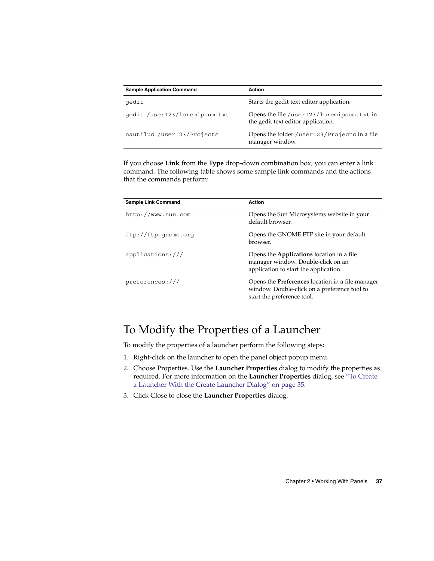| <b>Sample Application Command</b> | Action                                                                          |
|-----------------------------------|---------------------------------------------------------------------------------|
| gedit                             | Starts the gedit text editor application.                                       |
| qedit /user123/loremipsum.txt     | Opens the file /user123/loremipsum.txt in<br>the gedit text editor application. |
| nautilus /user123/Projects        | Opens the folder /user123/Projects in a file<br>manager window.                 |

If you choose **Link** from the **Type** drop-down combination box, you can enter a link command. The following table shows some sample link commands and the actions that the commands perform:

| <b>Sample Link Command</b> | <b>Action</b>                                                                                                                         |
|----------------------------|---------------------------------------------------------------------------------------------------------------------------------------|
| http://www.sun.com         | Opens the Sun Microsystems website in your<br>default browser.                                                                        |
| ftp://ftp.qnome.org        | Opens the GNOME FTP site in your default<br>browser.                                                                                  |
| applications:///           | Opens the Applications location in a file<br>manager window. Double-click on an<br>application to start the application.              |
| preferences:///            | Opens the <b>Preferences</b> location in a file manager<br>window. Double-click on a preference tool to<br>start the preference tool. |

## To Modify the Properties of a Launcher

To modify the properties of a launcher perform the following steps:

- 1. Right-click on the launcher to open the panel object popup menu.
- 2. Choose Properties. Use the **Launcher Properties** dialog to modify the properties as required. For more information on the **Launcher Properties** dialog, see ["To Create](#page-34-0) [a Launcher With the Create Launcher Dialog"](#page-34-0) on page 35.
- 3. Click Close to close the **Launcher Properties** dialog.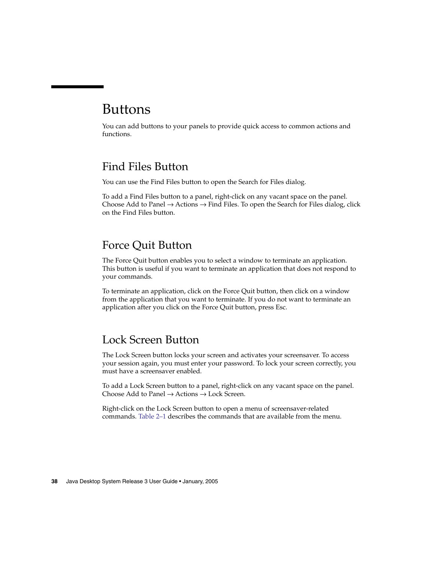# Buttons

You can add buttons to your panels to provide quick access to common actions and functions.

### Find Files Button

You can use the Find Files button to open the Search for Files dialog.

To add a Find Files button to a panel, right-click on any vacant space on the panel. Choose Add to Panel  $\rightarrow$  Actions  $\rightarrow$  Find Files. To open the Search for Files dialog, click on the Find Files button.

### Force Quit Button

The Force Quit button enables you to select a window to terminate an application. This button is useful if you want to terminate an application that does not respond to your commands.

To terminate an application, click on the Force Quit button, then click on a window from the application that you want to terminate. If you do not want to terminate an application after you click on the Force Quit button, press Esc.

## Lock Screen Button

The Lock Screen button locks your screen and activates your screensaver. To access your session again, you must enter your password. To lock your screen correctly, you must have a screensaver enabled.

To add a Lock Screen button to a panel, right-click on any vacant space on the panel. Choose Add to Panel  $\rightarrow$  Actions  $\rightarrow$  Lock Screen.

Right-click on the Lock Screen button to open a menu of screensaver-related commands. [Table 2–1](#page-38-0) describes the commands that are available from the menu.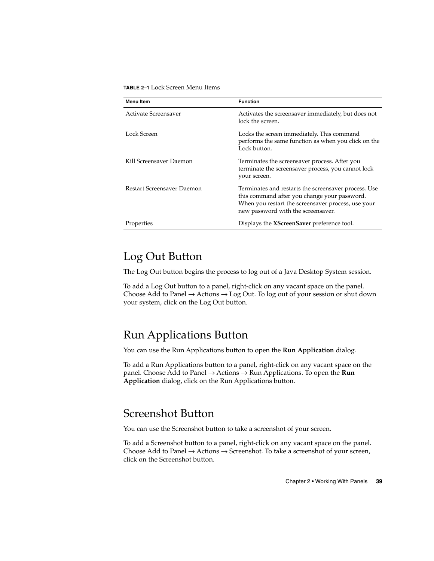<span id="page-38-0"></span>**TABLE 2–1** Lock Screen Menu Items

| <b>Menu Item</b>           | <b>Function</b>                                                                                                                                                                                  |
|----------------------------|--------------------------------------------------------------------------------------------------------------------------------------------------------------------------------------------------|
| Activate Screensaver       | Activates the screensaver immediately, but does not<br>lock the screen.                                                                                                                          |
| Lock Screen                | Locks the screen immediately. This command<br>performs the same function as when you click on the<br>Lock button.                                                                                |
| Kill Screensaver Daemon    | Terminates the screensaver process. After you<br>terminate the screensaver process, you cannot lock<br>your screen.                                                                              |
| Restart Screensaver Daemon | Terminates and restarts the screensaver process. Use<br>this command after you change your password.<br>When you restart the screensaver process, use your<br>new password with the screensaver. |
| Properties                 | Displays the XScreenSaver preference tool.                                                                                                                                                       |

## Log Out Button

The Log Out button begins the process to log out of a Java Desktop System session.

To add a Log Out button to a panel, right-click on any vacant space on the panel. Choose Add to Panel  $\rightarrow$  Actions  $\rightarrow$  Log Out. To log out of your session or shut down your system, click on the Log Out button.

### Run Applications Button

You can use the Run Applications button to open the **Run Application** dialog.

To add a Run Applications button to a panel, right-click on any vacant space on the panel. Choose Add to Panel → Actions → Run Applications. To open the **Run Application** dialog, click on the Run Applications button.

### Screenshot Button

You can use the Screenshot button to take a screenshot of your screen.

To add a Screenshot button to a panel, right-click on any vacant space on the panel. Choose Add to Panel  $\rightarrow$  Actions  $\rightarrow$  Screenshot. To take a screenshot of your screen, click on the Screenshot button.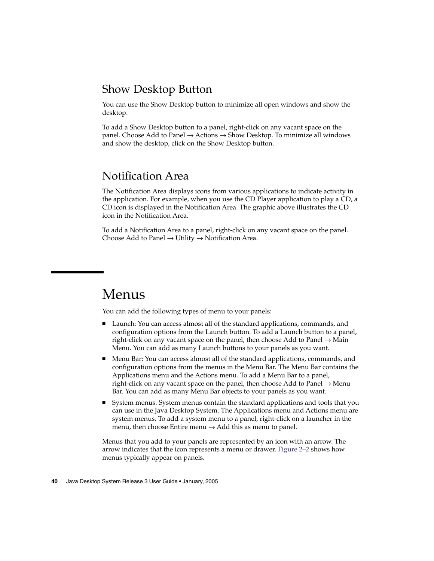### Show Desktop Button

You can use the Show Desktop button to minimize all open windows and show the desktop.

To add a Show Desktop button to a panel, right-click on any vacant space on the panel. Choose Add to Panel  $\rightarrow$  Actions  $\rightarrow$  Show Desktop. To minimize all windows and show the desktop, click on the Show Desktop button.

### Notification Area

The Notification Area displays icons from various applications to indicate activity in the application. For example, when you use the CD Player application to play a CD, a CD icon is displayed in the Notification Area. The graphic above illustrates the CD icon in the Notification Area.

To add a Notification Area to a panel, right-click on any vacant space on the panel. Choose Add to Panel  $\rightarrow$  Utility  $\rightarrow$  Notification Area.

# Menus

You can add the following types of menu to your panels:

- Launch: You can access almost all of the standard applications, commands, and configuration options from the Launch button. To add a Launch button to a panel, right-click on any vacant space on the panel, then choose Add to Panel  $\rightarrow$  Main Menu. You can add as many Launch buttons to your panels as you want.
- Menu Bar: You can access almost all of the standard applications, commands, and configuration options from the menus in the Menu Bar. The Menu Bar contains the Applications menu and the Actions menu. To add a Menu Bar to a panel, right-click on any vacant space on the panel, then choose Add to Panel  $\rightarrow$  Menu Bar. You can add as many Menu Bar objects to your panels as you want.
- System menus: System menus contain the standard applications and tools that you can use in the Java Desktop System. The Applications menu and Actions menu are system menus. To add a system menu to a panel, right-click on a launcher in the menu, then choose Entire menu  $\rightarrow$  Add this as menu to panel.

Menus that you add to your panels are represented by an icon with an arrow. The arrow indicates that the icon represents a menu or drawer. [Figure 2–2](#page-40-0) shows how menus typically appear on panels.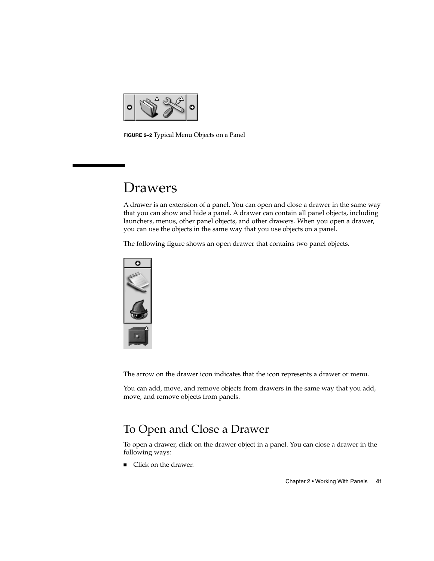<span id="page-40-0"></span>

**FIGURE 2–2** Typical Menu Objects on a Panel

# Drawers

A drawer is an extension of a panel. You can open and close a drawer in the same way that you can show and hide a panel. A drawer can contain all panel objects, including launchers, menus, other panel objects, and other drawers. When you open a drawer, you can use the objects in the same way that you use objects on a panel.

The following figure shows an open drawer that contains two panel objects.



The arrow on the drawer icon indicates that the icon represents a drawer or menu.

You can add, move, and remove objects from drawers in the same way that you add, move, and remove objects from panels.

# To Open and Close a Drawer

To open a drawer, click on the drawer object in a panel. You can close a drawer in the following ways:

■ Click on the drawer.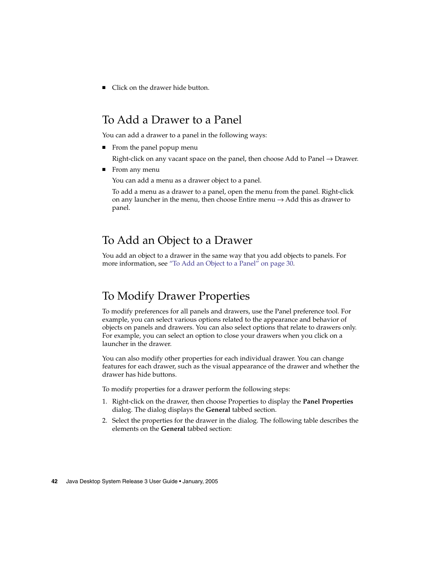■ Click on the drawer hide button.

### To Add a Drawer to a Panel

You can add a drawer to a panel in the following ways:

■ From the panel popup menu

Right-click on any vacant space on the panel, then choose Add to Panel  $\rightarrow$  Drawer.

■ From any menu

You can add a menu as a drawer object to a panel.

To add a menu as a drawer to a panel, open the menu from the panel. Right-click on any launcher in the menu, then choose Entire menu  $\rightarrow$  Add this as drawer to panel.

### To Add an Object to a Drawer

You add an object to a drawer in the same way that you add objects to panels. For more information, see ["To Add an Object to a Panel"](#page-29-0) on page 30.

### To Modify Drawer Properties

To modify preferences for all panels and drawers, use the Panel preference tool. For example, you can select various options related to the appearance and behavior of objects on panels and drawers. You can also select options that relate to drawers only. For example, you can select an option to close your drawers when you click on a launcher in the drawer.

You can also modify other properties for each individual drawer. You can change features for each drawer, such as the visual appearance of the drawer and whether the drawer has hide buttons.

To modify properties for a drawer perform the following steps:

- 1. Right-click on the drawer, then choose Properties to display the **Panel Properties** dialog. The dialog displays the **General** tabbed section.
- 2. Select the properties for the drawer in the dialog. The following table describes the elements on the **General** tabbed section: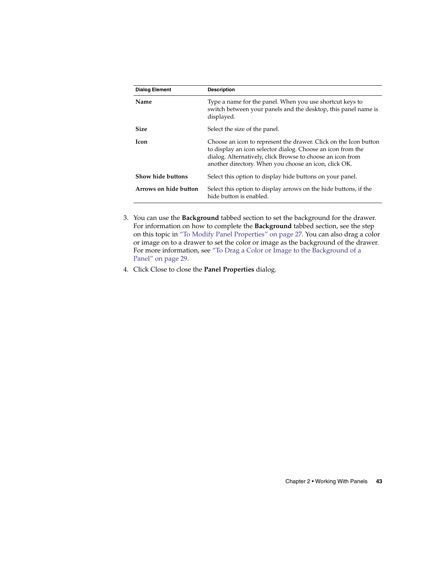| <b>Dialog Element</b>    | <b>Description</b>                                                                                                                                                                                                                                     |
|--------------------------|--------------------------------------------------------------------------------------------------------------------------------------------------------------------------------------------------------------------------------------------------------|
| Name                     | Type a name for the panel. When you use shortcut keys to<br>switch between your panels and the desktop, this panel name is<br>displayed.                                                                                                               |
| <b>Size</b>              | Select the size of the panel.                                                                                                                                                                                                                          |
| <b>Icon</b>              | Choose an icon to represent the drawer. Click on the Icon button<br>to display an icon selector dialog. Choose an icon from the<br>dialog. Alternatively, click Browse to choose an icon from<br>another directory. When you choose an icon, click OK. |
| <b>Show hide buttons</b> | Select this option to display hide buttons on your panel.                                                                                                                                                                                              |
| Arrows on hide button    | Select this option to display arrows on the hide buttons, if the<br>hide button is enabled.                                                                                                                                                            |

- 3. You can use the **Background** tabbed section to set the background for the drawer. For information on how to complete the **Background** tabbed section, see the step on this topic in ["To Modify Panel Properties"](#page-26-0) on page 27. You can also drag a color or image on to a drawer to set the color or image as the background of the drawer. For more information, see ["To Drag a Color or Image to the Background of a](#page-28-0) Panel" [on page 29.](#page-28-0)
- 4. Click Close to close the **Panel Properties** dialog.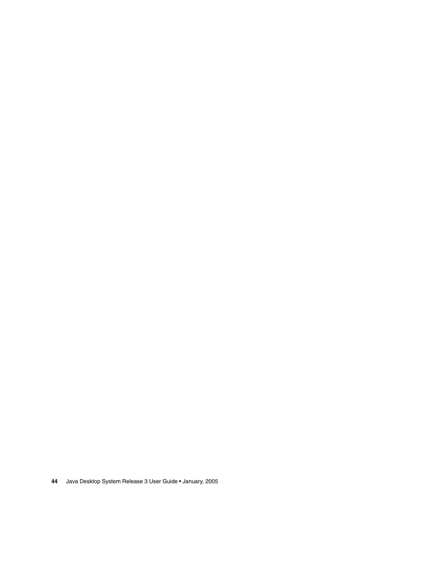Java Desktop System Release 3 User Guide • January, 2005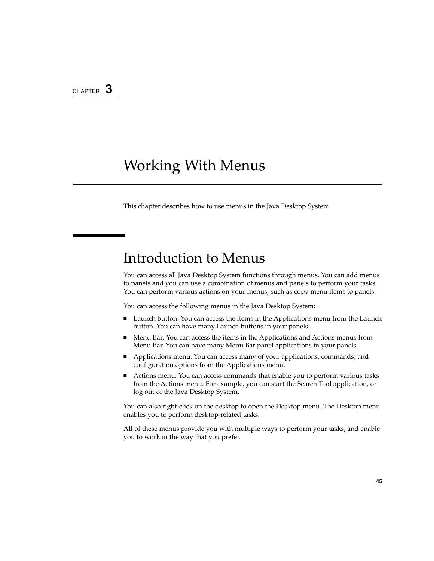#### CHAPTER **3**

# Working With Menus

This chapter describes how to use menus in the Java Desktop System.

## Introduction to Menus

You can access all Java Desktop System functions through menus. You can add menus to panels and you can use a combination of menus and panels to perform your tasks. You can perform various actions on your menus, such as copy menu items to panels.

You can access the following menus in the Java Desktop System:

- Launch button: You can access the items in the Applications menu from the Launch button. You can have many Launch buttons in your panels.
- Menu Bar: You can access the items in the Applications and Actions menus from Menu Bar. You can have many Menu Bar panel applications in your panels.
- Applications menu: You can access many of your applications, commands, and configuration options from the Applications menu.
- Actions menu: You can access commands that enable you to perform various tasks from the Actions menu. For example, you can start the Search Tool application, or log out of the Java Desktop System.

You can also right-click on the desktop to open the Desktop menu. The Desktop menu enables you to perform desktop-related tasks.

All of these menus provide you with multiple ways to perform your tasks, and enable you to work in the way that you prefer.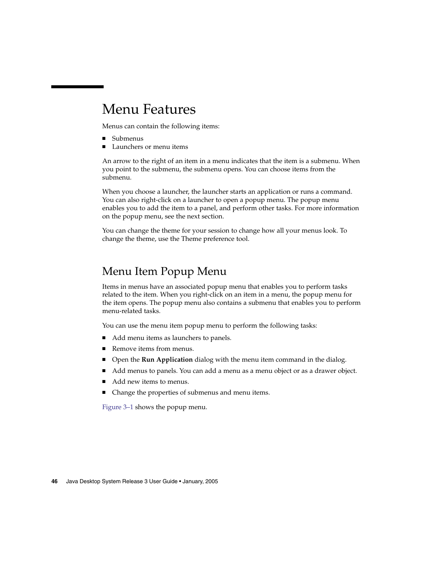# <span id="page-45-0"></span>Menu Features

Menus can contain the following items:

- **Submenus**
- Launchers or menu items

An arrow to the right of an item in a menu indicates that the item is a submenu. When you point to the submenu, the submenu opens. You can choose items from the submenu.

When you choose a launcher, the launcher starts an application or runs a command. You can also right-click on a launcher to open a popup menu. The popup menu enables you to add the item to a panel, and perform other tasks. For more information on the popup menu, see the next section.

You can change the theme for your session to change how all your menus look. To change the theme, use the Theme preference tool.

### Menu Item Popup Menu

Items in menus have an associated popup menu that enables you to perform tasks related to the item. When you right-click on an item in a menu, the popup menu for the item opens. The popup menu also contains a submenu that enables you to perform menu-related tasks.

You can use the menu item popup menu to perform the following tasks:

- Add menu items as launchers to panels.
- Remove items from menus.
- Open the **Run Application** dialog with the menu item command in the dialog.
- Add menus to panels. You can add a menu as a menu object or as a drawer object.
- Add new items to menus.
- Change the properties of submenus and menu items.

[Figure 3–1](#page-46-0) shows the popup menu.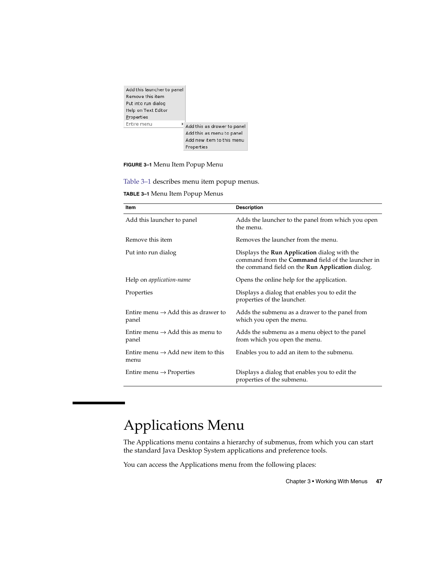<span id="page-46-0"></span>

| Add this launcher to panel<br>Remove this item<br>Put into run dialog<br>Help on Text Editor<br>Properties |                                                                                                     |
|------------------------------------------------------------------------------------------------------------|-----------------------------------------------------------------------------------------------------|
| Entire menu                                                                                                | Add this as drawer to panel<br>Add this as menu to panel<br>Add new item to this menu<br>Properties |

**FIGURE 3–1** Menu Item Popup Menu

Table 3–1 describes menu item popup menus.

**TABLE 3–1** Menu Item Popup Menus

| Item                                                     | <b>Description</b>                                                                                                                                                         |  |
|----------------------------------------------------------|----------------------------------------------------------------------------------------------------------------------------------------------------------------------------|--|
| Add this launcher to panel                               | Adds the launcher to the panel from which you open<br>the menu.                                                                                                            |  |
| Remove this item                                         | Removes the launcher from the menu.                                                                                                                                        |  |
| Put into run dialog                                      | Displays the <b>Run Application</b> dialog with the<br>command from the <b>Command</b> field of the launcher in<br>the command field on the <b>Run Application</b> dialog. |  |
| Help on <i>application-name</i>                          | Opens the online help for the application.                                                                                                                                 |  |
| Properties                                               | Displays a dialog that enables you to edit the<br>properties of the launcher.                                                                                              |  |
| Entire menu $\rightarrow$ Add this as drawer to<br>panel | Adds the submenu as a drawer to the panel from<br>which you open the menu.                                                                                                 |  |
| Entire menu $\rightarrow$ Add this as menu to<br>panel   | Adds the submenu as a menu object to the panel<br>from which you open the menu.                                                                                            |  |
| Entire menu $\rightarrow$ Add new item to this<br>menu   | Enables you to add an item to the submenu.                                                                                                                                 |  |
| Entire menu $\rightarrow$ Properties                     | Displays a dialog that enables you to edit the<br>properties of the submenu.                                                                                               |  |

# Applications Menu

The Applications menu contains a hierarchy of submenus, from which you can start the standard Java Desktop System applications and preference tools.

You can access the Applications menu from the following places: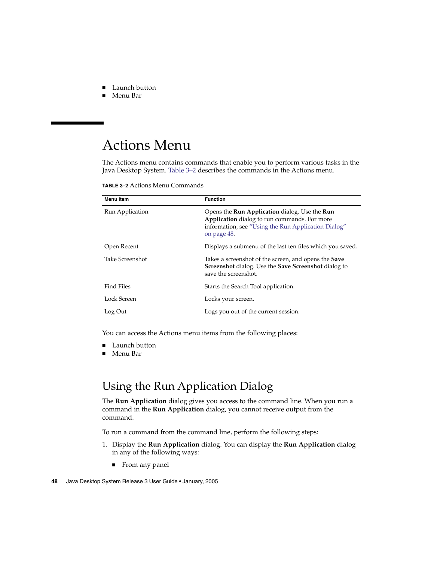- Launch button
- Menu Bar

# Actions Menu

The Actions menu contains commands that enable you to perform various tasks in the Java Desktop System. Table 3–2 describes the commands in the Actions menu.

| <b>TABLE 3-2 Actions Menu Commands</b> |
|----------------------------------------|
|----------------------------------------|

| Menu Item       | <b>Function</b>                                                                                                                                                                   |
|-----------------|-----------------------------------------------------------------------------------------------------------------------------------------------------------------------------------|
| Run Application | Opens the <b>Run Application</b> dialog. Use the <b>Run</b><br>Application dialog to run commands. For more<br>information, see "Using the Run Application Dialog"<br>on page 48. |
| Open Recent     | Displays a submenu of the last ten files which you saved.                                                                                                                         |
| Take Screenshot | Takes a screenshot of the screen, and opens the <b>Save</b><br>Screenshot dialog. Use the Save Screenshot dialog to<br>save the screenshot.                                       |
| Find Files      | Starts the Search Tool application.                                                                                                                                               |
| Lock Screen     | Locks your screen.                                                                                                                                                                |
| Log Out         | Logs you out of the current session.                                                                                                                                              |

You can access the Actions menu items from the following places:

- Launch button
- Menu Bar

## Using the Run Application Dialog

The **Run Application** dialog gives you access to the command line. When you run a command in the **Run Application** dialog, you cannot receive output from the command.

To run a command from the command line, perform the following steps:

- 1. Display the **Run Application** dialog. You can display the **Run Application** dialog in any of the following ways:
	- From any panel
- **48** Java Desktop System Release 3 User Guide January, 2005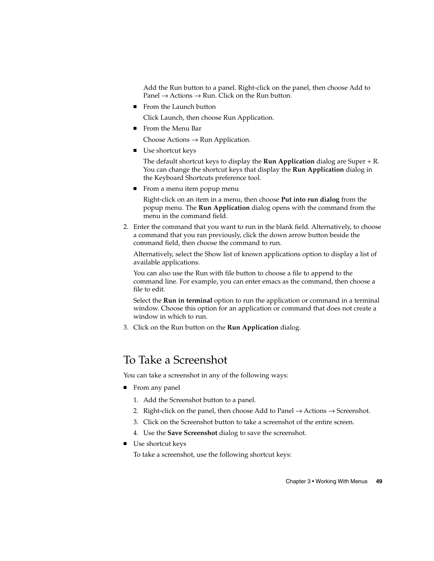Add the Run button to a panel. Right-click on the panel, then choose Add to Panel  $\rightarrow$  Actions  $\rightarrow$  Run. Click on the Run button.

- From the Launch button
	- Click Launch, then choose Run Application.
- From the Menu Bar
	- Choose Actions  $\rightarrow$  Run Application.
- Use shortcut keys

The default shortcut keys to display the **Run Application** dialog are Super + R. You can change the shortcut keys that display the **Run Application** dialog in the Keyboard Shortcuts preference tool.

■ From a menu item popup menu

Right-click on an item in a menu, then choose **Put into run dialog** from the popup menu. The **Run Application** dialog opens with the command from the menu in the command field.

2. Enter the command that you want to run in the blank field. Alternatively, to choose a command that you ran previously, click the down arrow button beside the command field, then choose the command to run.

Alternatively, select the Show list of known applications option to display a list of available applications.

You can also use the Run with file button to choose a file to append to the command line. For example, you can enter emacs as the command, then choose a file to edit.

Select the **Run in terminal** option to run the application or command in a terminal window. Choose this option for an application or command that does not create a window in which to run.

3. Click on the Run button on the **Run Application** dialog.

### To Take a Screenshot

You can take a screenshot in any of the following ways:

- From any panel
	- 1. Add the Screenshot button to a panel.
	- 2. Right-click on the panel, then choose Add to Panel  $\rightarrow$  Actions  $\rightarrow$  Screenshot.
	- 3. Click on the Screenshot button to take a screenshot of the entire screen.
	- 4. Use the **Save Screenshot** dialog to save the screenshot.
- Use shortcut keys

To take a screenshot, use the following shortcut keys: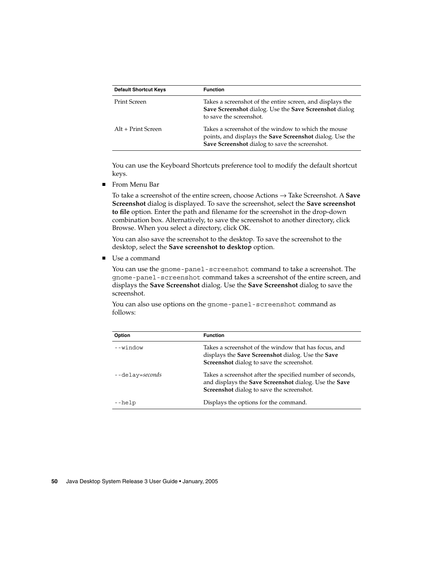| <b>Default Shortcut Keys</b> | <b>Function</b>                                                                                                                                                   |
|------------------------------|-------------------------------------------------------------------------------------------------------------------------------------------------------------------|
| <b>Print Screen</b>          | Takes a screenshot of the entire screen, and displays the<br>Save Screenshot dialog. Use the Save Screenshot dialog<br>to save the screenshot.                    |
| $Alt + Print Screen$         | Takes a screenshot of the window to which the mouse<br>points, and displays the Save Screenshot dialog. Use the<br>Save Screenshot dialog to save the screenshot. |

You can use the Keyboard Shortcuts preference tool to modify the default shortcut keys.

■ From Menu Bar

To take a screenshot of the entire screen, choose Actions → Take Screenshot. A **Save Screenshot** dialog is displayed. To save the screenshot, select the **Save screenshot to file** option. Enter the path and filename for the screenshot in the drop-down combination box. Alternatively, to save the screenshot to another directory, click Browse. When you select a directory, click OK.

You can also save the screenshot to the desktop. To save the screenshot to the desktop, select the **Save screenshot to desktop** option.

■ Use a command

You can use the gnome-panel-screenshot command to take a screenshot. The gnome-panel-screenshot command takes a screenshot of the entire screen, and displays the **Save Screenshot** dialog. Use the **Save Screenshot** dialog to save the screenshot.

You can also use options on the gnome-panel-screenshot command as follows:

| Option          | <b>Function</b>                                                                                                                                                 |
|-----------------|-----------------------------------------------------------------------------------------------------------------------------------------------------------------|
| --window        | Takes a screenshot of the window that has focus, and<br>displays the Save Screenshot dialog. Use the Save<br>Screenshot dialog to save the screenshot.          |
| --delay=seconds | Takes a screenshot after the specified number of seconds,<br>and displays the Save Screenshot dialog. Use the Save<br>Screenshot dialog to save the screenshot. |
| --help          | Displays the options for the command.                                                                                                                           |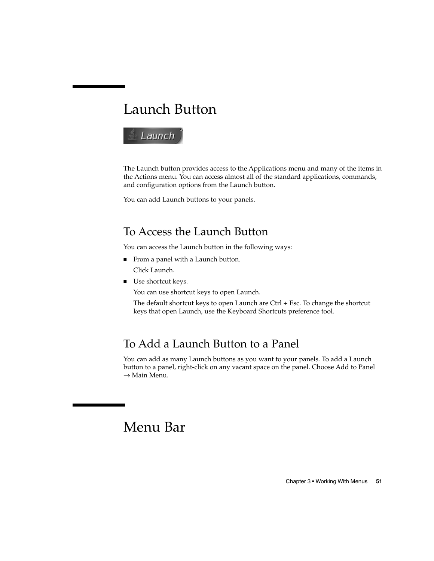# Launch Button



The Launch button provides access to the Applications menu and many of the items in the Actions menu. You can access almost all of the standard applications, commands, and configuration options from the Launch button.

You can add Launch buttons to your panels.

### To Access the Launch Button

You can access the Launch button in the following ways:

- From a panel with a Launch button. Click Launch.
- Use shortcut keys.

You can use shortcut keys to open Launch.

The default shortcut keys to open Launch are Ctrl + Esc. To change the shortcut keys that open Launch, use the Keyboard Shortcuts preference tool.

## To Add a Launch Button to a Panel

You can add as many Launch buttons as you want to your panels. To add a Launch button to a panel, right-click on any vacant space on the panel. Choose Add to Panel  $\rightarrow$  Main Menu.

# Menu Bar

Chapter 3 • Working With Menus **51**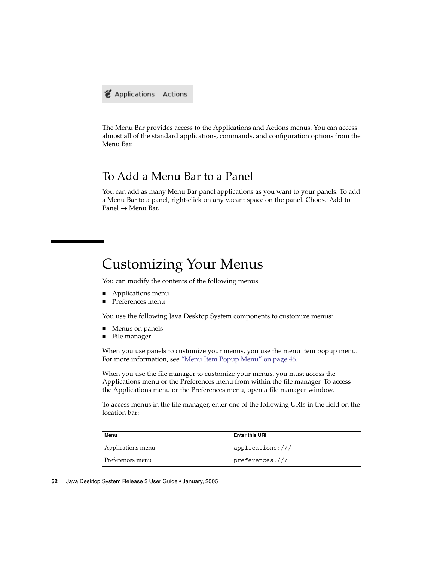Applications Actions

The Menu Bar provides access to the Applications and Actions menus. You can access almost all of the standard applications, commands, and configuration options from the Menu Bar.

### To Add a Menu Bar to a Panel

You can add as many Menu Bar panel applications as you want to your panels. To add a Menu Bar to a panel, right-click on any vacant space on the panel. Choose Add to Panel → Menu Bar.

# Customizing Your Menus

You can modify the contents of the following menus:

- Applications menu
- Preferences menu

You use the following Java Desktop System components to customize menus:

- Menus on panels
- File manager

When you use panels to customize your menus, you use the menu item popup menu. For more information, see ["Menu Item Popup Menu"](#page-45-0) on page 46.

When you use the file manager to customize your menus, you must access the Applications menu or the Preferences menu from within the file manager. To access the Applications menu or the Preferences menu, open a file manager window.

To access menus in the file manager, enter one of the following URIs in the field on the location bar:

| Menu<br><b>Enter this URI</b> |                  |
|-------------------------------|------------------|
| Applications menu             | applications:/// |
| Preferences menu              | preferences:///  |

**52** Java Desktop System Release 3 User Guide • January, 2005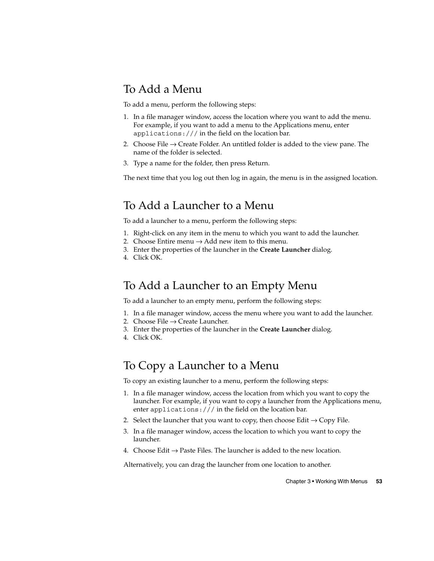## To Add a Menu

To add a menu, perform the following steps:

- 1. In a file manager window, access the location where you want to add the menu. For example, if you want to add a menu to the Applications menu, enter applications:/// in the field on the location bar.
- 2. Choose File  $\rightarrow$  Create Folder. An untitled folder is added to the view pane. The name of the folder is selected.
- 3. Type a name for the folder, then press Return.

The next time that you log out then log in again, the menu is in the assigned location.

### To Add a Launcher to a Menu

To add a launcher to a menu, perform the following steps:

- 1. Right-click on any item in the menu to which you want to add the launcher.
- 2. Choose Entire menu  $\rightarrow$  Add new item to this menu.
- 3. Enter the properties of the launcher in the **Create Launcher** dialog.
- 4. Click OK.

### To Add a Launcher to an Empty Menu

To add a launcher to an empty menu, perform the following steps:

- 1. In a file manager window, access the menu where you want to add the launcher.
- 2. Choose File  $\rightarrow$  Create Launcher.
- 3. Enter the properties of the launcher in the **Create Launcher** dialog.
- 4. Click OK.

### To Copy a Launcher to a Menu

To copy an existing launcher to a menu, perform the following steps:

- 1. In a file manager window, access the location from which you want to copy the launcher. For example, if you want to copy a launcher from the Applications menu, enter applications:/// in the field on the location bar.
- 2. Select the launcher that you want to copy, then choose Edit  $\rightarrow$  Copy File.
- 3. In a file manager window, access the location to which you want to copy the launcher.
- 4. Choose Edit  $\rightarrow$  Paste Files. The launcher is added to the new location.

Alternatively, you can drag the launcher from one location to another.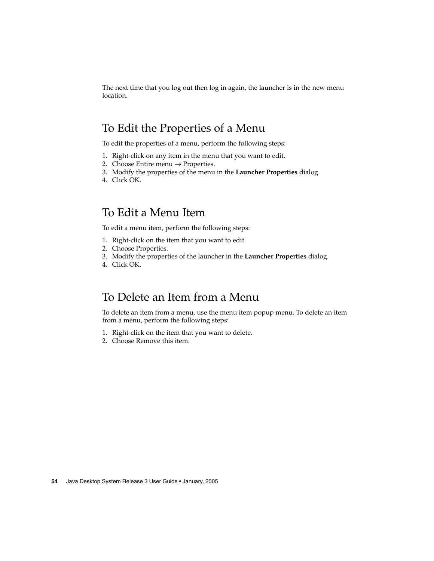The next time that you log out then log in again, the launcher is in the new menu location.

### To Edit the Properties of a Menu

To edit the properties of a menu, perform the following steps:

- 1. Right-click on any item in the menu that you want to edit.
- 2. Choose Entire menu  $\rightarrow$  Properties.
- 3. Modify the properties of the menu in the **Launcher Properties** dialog.
- 4. Click OK.

### To Edit a Menu Item

To edit a menu item, perform the following steps:

- 1. Right-click on the item that you want to edit.
- 2. Choose Properties.
- 3. Modify the properties of the launcher in the **Launcher Properties** dialog.
- 4. Click OK.

### To Delete an Item from a Menu

To delete an item from a menu, use the menu item popup menu. To delete an item from a menu, perform the following steps:

- 1. Right-click on the item that you want to delete.
- 2. Choose Remove this item.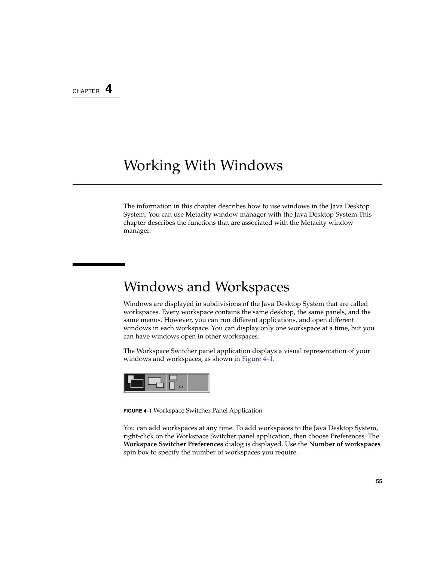#### CHAPTER **4**

# Working With Windows

The information in this chapter describes how to use windows in the Java Desktop System. You can use Metacity window manager with the Java Desktop System.This chapter describes the functions that are associated with the Metacity window manager.

# Windows and Workspaces

Windows are displayed in subdivisions of the Java Desktop System that are called workspaces. Every workspace contains the same desktop, the same panels, and the same menus. However, you can run different applications, and open different windows in each workspace. You can display only one workspace at a time, but you can have windows open in other workspaces.

The Workspace Switcher panel application displays a visual representation of your windows and workspaces, as shown in Figure 4–1.



**FIGURE 4–1** Workspace Switcher Panel Application

You can add workspaces at any time. To add workspaces to the Java Desktop System, right-click on the Workspace Switcher panel application, then choose Preferences. The **Workspace Switcher Preferences** dialog is displayed. Use the **Number of workspaces** spin box to specify the number of workspaces you require.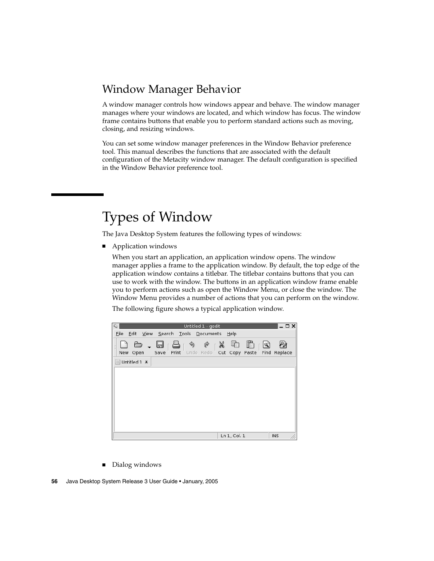## Window Manager Behavior

A window manager controls how windows appear and behave. The window manager manages where your windows are located, and which window has focus. The window frame contains buttons that enable you to perform standard actions such as moving, closing, and resizing windows.

You can set some window manager preferences in the Window Behavior preference tool. This manual describes the functions that are associated with the default configuration of the Metacity window manager. The default configuration is specified in the Window Behavior preference tool.

# Types of Window

The Java Desktop System features the following types of windows:

■ Application windows

When you start an application, an application window opens. The window manager applies a frame to the application window. By default, the top edge of the application window contains a titlebar. The titlebar contains buttons that you can use to work with the window. The buttons in an application window frame enable you to perform actions such as open the Window Menu, or close the window. The Window Menu provides a number of actions that you can perform on the window.

The following figure shows a typical application window.



- Dialog windows
- **56** Java Desktop System Release 3 User Guide January, 2005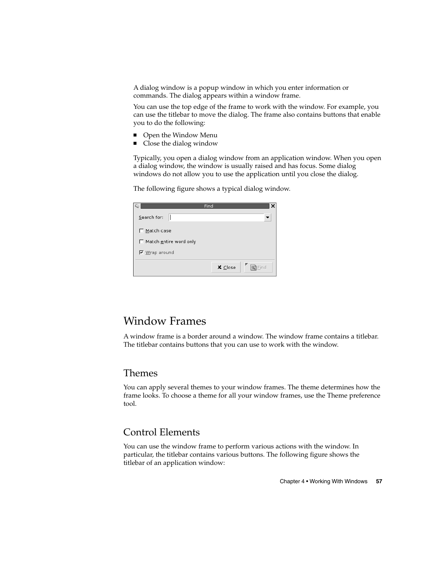A dialog window is a popup window in which you enter information or commands. The dialog appears within a window frame.

You can use the top edge of the frame to work with the window. For example, you can use the titlebar to move the dialog. The frame also contains buttons that enable you to do the following:

- Open the Window Menu
- Close the dialog window

Typically, you open a dialog window from an application window. When you open a dialog window, the window is usually raised and has focus. Some dialog windows do not allow you to use the application until you close the dialog.

The following figure shows a typical dialog window.

|                               | Find    |      | $\mathbf{x}$ |
|-------------------------------|---------|------|--------------|
| Search for:                   |         |      |              |
| □ Match case                  |         |      |              |
| $\Box$ Match entire word only |         |      |              |
| ☑ Wrap around                 |         |      |              |
|                               | X Close | Find |              |

## Window Frames

A window frame is a border around a window. The window frame contains a titlebar. The titlebar contains buttons that you can use to work with the window.

#### Themes

You can apply several themes to your window frames. The theme determines how the frame looks. To choose a theme for all your window frames, use the Theme preference tool.

#### Control Elements

You can use the window frame to perform various actions with the window. In particular, the titlebar contains various buttons. The following figure shows the titlebar of an application window: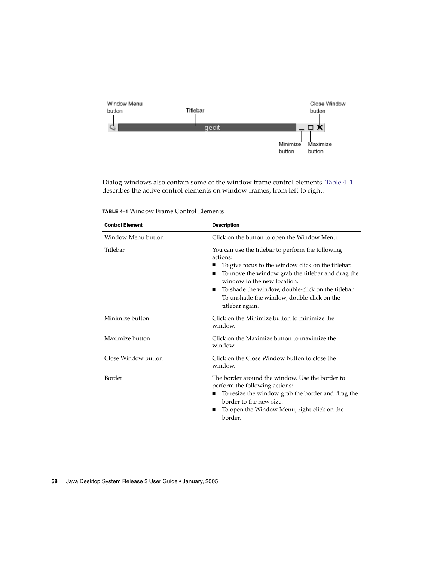

Dialog windows also contain some of the window frame control elements. Table 4–1 describes the active control elements on window frames, from left to right.

| <b>TABLE 4-1 Window Frame Control Elements</b> |  |
|------------------------------------------------|--|
|                                                |  |

| <b>Control Element</b> | <b>Description</b>                                                                                                                                                                                                                                                                                                             |  |
|------------------------|--------------------------------------------------------------------------------------------------------------------------------------------------------------------------------------------------------------------------------------------------------------------------------------------------------------------------------|--|
| Window Menu button     | Click on the button to open the Window Menu.                                                                                                                                                                                                                                                                                   |  |
| Titlebar               | You can use the titlebar to perform the following<br>actions:<br>To give focus to the window click on the titlebar.<br>To move the window grab the titlebar and drag the<br>window to the new location.<br>To shade the window, double-click on the titlebar.<br>To unshade the window, double-click on the<br>titlebar again. |  |
| Minimize button        | Click on the Minimize button to minimize the<br>window.                                                                                                                                                                                                                                                                        |  |
| Maximize button        | Click on the Maximize button to maximize the<br>window.                                                                                                                                                                                                                                                                        |  |
| Close Window button    | Click on the Close Window button to close the<br>window.                                                                                                                                                                                                                                                                       |  |
| Border                 | The border around the window. Use the border to<br>perform the following actions:<br>To resize the window grab the border and drag the<br>■<br>border to the new size.<br>To open the Window Menu, right-click on the<br>■<br>border.                                                                                          |  |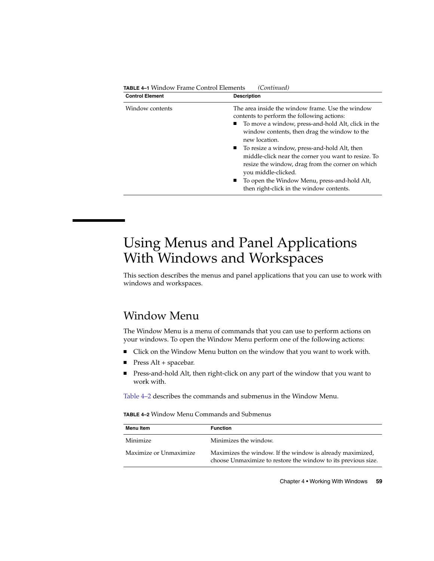| <b>Control Element</b> | <b>Description</b>                                                                                                                                                                                                                                                                                                                                                                                                                                                                                        |
|------------------------|-----------------------------------------------------------------------------------------------------------------------------------------------------------------------------------------------------------------------------------------------------------------------------------------------------------------------------------------------------------------------------------------------------------------------------------------------------------------------------------------------------------|
| Window contents        | The area inside the window frame. Use the window<br>contents to perform the following actions:<br>To move a window, press-and-hold Alt, click in the<br>window contents, then drag the window to the<br>new location.<br>To resize a window, press-and-hold Alt, then<br>middle-click near the corner you want to resize. To<br>resize the window, drag from the corner on which<br>you middle-clicked.<br>To open the Window Menu, press-and-hold Alt,<br>п.<br>then right-click in the window contents. |

<span id="page-58-0"></span>**TABLE 4–1** Window Frame Control Elements *(Continued)*

# Using Menus and Panel Applications With Windows and Workspaces

This section describes the menus and panel applications that you can use to work with windows and workspaces.

## Window Menu

The Window Menu is a menu of commands that you can use to perform actions on your windows. To open the Window Menu perform one of the following actions:

- Click on the Window Menu button on the window that you want to work with.
- Press Alt + spacebar.
- Press-and-hold Alt, then right-click on any part of the window that you want to work with.

Table 4–2 describes the commands and submenus in the Window Menu.

**TABLE 4–2** Window Menu Commands and Submenus

| Menu Item              | <b>Function</b>                                                                                                            |
|------------------------|----------------------------------------------------------------------------------------------------------------------------|
| Minimize               | Minimizes the window.                                                                                                      |
| Maximize or Unmaximize | Maximizes the window. If the window is already maximized,<br>choose Unmaximize to restore the window to its previous size. |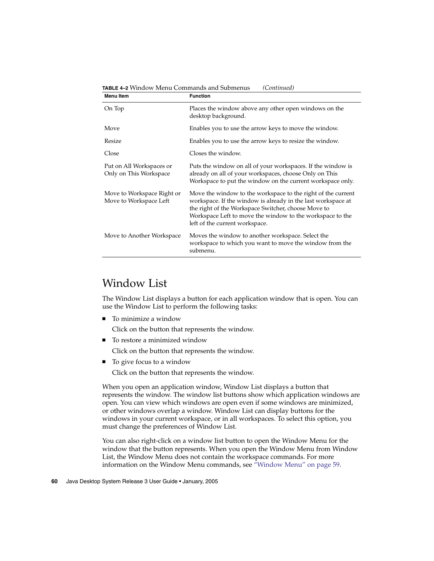| <b>Menu Item</b>                                     | <b>Function</b>                                                                                                                                                                                                                                                                    |
|------------------------------------------------------|------------------------------------------------------------------------------------------------------------------------------------------------------------------------------------------------------------------------------------------------------------------------------------|
| On Top                                               | Places the window above any other open windows on the<br>desktop background.                                                                                                                                                                                                       |
| Move                                                 | Enables you to use the arrow keys to move the window.                                                                                                                                                                                                                              |
| Resize                                               | Enables you to use the arrow keys to resize the window.                                                                                                                                                                                                                            |
| Close                                                | Closes the window.                                                                                                                                                                                                                                                                 |
| Put on All Workspaces or<br>Only on This Workspace   | Puts the window on all of your workspaces. If the window is<br>already on all of your workspaces, choose Only on This<br>Workspace to put the window on the current workspace only.                                                                                                |
| Move to Workspace Right or<br>Move to Workspace Left | Move the window to the workspace to the right of the current<br>workspace. If the window is already in the last workspace at<br>the right of the Workspace Switcher, choose Move to<br>Workspace Left to move the window to the workspace to the<br>left of the current workspace. |
| Move to Another Workspace                            | Moves the window to another workspace. Select the<br>workspace to which you want to move the window from the<br>submenu.                                                                                                                                                           |

**TABLE 4–2** Window Menu Commands and Submenus *(Continued)*

### Window List

The Window List displays a button for each application window that is open. You can use the Window List to perform the following tasks:

■ To minimize a window

Click on the button that represents the window.

- To restore a minimized window Click on the button that represents the window.
- To give focus to a window

Click on the button that represents the window.

When you open an application window, Window List displays a button that represents the window. The window list buttons show which application windows are open. You can view which windows are open even if some windows are minimized, or other windows overlap a window. Window List can display buttons for the windows in your current workspace, or in all workspaces. To select this option, you must change the preferences of Window List.

You can also right-click on a window list button to open the Window Menu for the window that the button represents. When you open the Window Menu from Window List, the Window Menu does not contain the workspace commands. For more information on the Window Menu commands, see ["Window Menu"](#page-58-0) on page 59.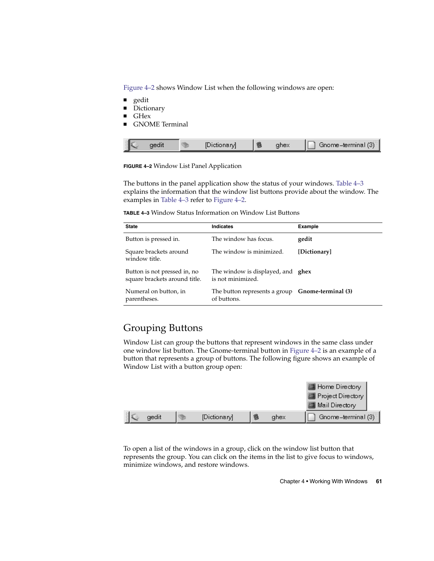Figure 4–2 shows Window List when the following windows are open:

- gedit
- Dictionary
- GHex
- GNOME Terminal

|  | Dictionary |  | Gnome=terminal (3) |
|--|------------|--|--------------------|
|--|------------|--|--------------------|

**FIGURE 4–2** Window List Panel Application

The buttons in the panel application show the status of your windows. Table 4–3 explains the information that the window list buttons provide about the window. The examples in Table 4–3 refer to Figure 4–2.

**TABLE 4–3** Window Status Information on Window List Buttons

| <b>State</b>                                                  | Indicates                                                              | <b>Example</b> |
|---------------------------------------------------------------|------------------------------------------------------------------------|----------------|
| Button is pressed in.                                         | The window has focus.                                                  | gedit          |
| Square brackets around<br>window title.                       | The window is minimized.                                               | [Dictionary]   |
| Button is not pressed in, no<br>square brackets around title. | The window is displayed, and <b>ghex</b><br>is not minimized.          |                |
| Numeral on button, in<br>parentheses.                         | The button represents a group <b>Gnome-terminal</b> (3)<br>of buttons. |                |

#### Grouping Buttons

Window List can group the buttons that represent windows in the same class under one window list button. The Gnome-terminal button in Figure 4–2 is an example of a button that represents a group of buttons. The following figure shows an example of Window List with a button group open:

|       |              |      | Home Directory                   |  |
|-------|--------------|------|----------------------------------|--|
|       |              |      | Project Directory                |  |
|       |              |      | ∥ Mail Directory                 |  |
| aedit | [Dictionary] | ahex | Gnome-terminal (3) <sup>16</sup> |  |

To open a list of the windows in a group, click on the window list button that represents the group. You can click on the items in the list to give focus to windows, minimize windows, and restore windows.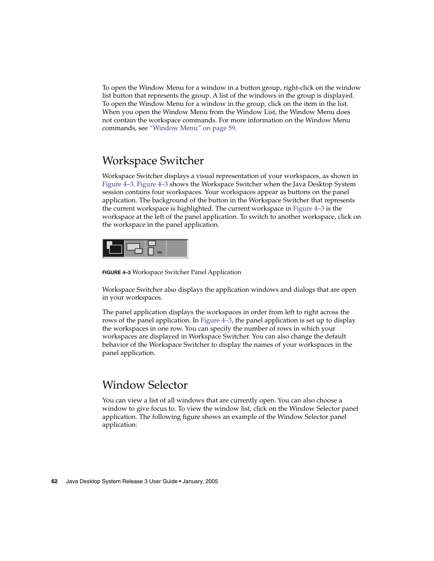To open the Window Menu for a window in a button group, right-click on the window list button that represents the group. A list of the windows in the group is displayed. To open the Window Menu for a window in the group, click on the item in the list. When you open the Window Menu from the Window List, the Window Menu does not contain the workspace commands. For more information on the Window Menu commands, see ["Window Menu"](#page-58-0) on page 59.

### Workspace Switcher

Workspace Switcher displays a visual representation of your workspaces, as shown in Figure 4–3. Figure 4–3 shows the Workspace Switcher when the Java Desktop System session contains four workspaces. Your workspaces appear as buttons on the panel application. The background of the button in the Workspace Switcher that represents the current workspace is highlighted. The current workspace in Figure 4–3 is the workspace at the left of the panel application. To switch to another workspace, click on the workspace in the panel application.



**FIGURE 4–3** Workspace Switcher Panel Application

Workspace Switcher also displays the application windows and dialogs that are open in your workspaces.

The panel application displays the workspaces in order from left to right across the rows of the panel application. In Figure 4–3, the panel application is set up to display the workspaces in one row. You can specify the number of rows in which your workspaces are displayed in Workspace Switcher. You can also change the default behavior of the Workspace Switcher to display the names of your workspaces in the panel application.

### Window Selector

You can view a list of all windows that are currently open. You can also choose a window to give focus to. To view the window list, click on the Window Selector panel application. The following figure shows an example of the Window Selector panel application: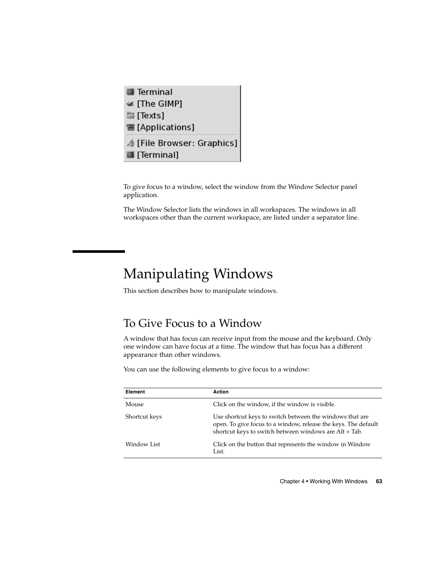

To give focus to a window, select the window from the Window Selector panel application.

The Window Selector lists the windows in all workspaces. The windows in all workspaces other than the current workspace, are listed under a separator line.

# Manipulating Windows

This section describes how to manipulate windows.

### To Give Focus to a Window

A window that has focus can receive input from the mouse and the keyboard. Only one window can have focus at a time. The window that has focus has a different appearance than other windows.

You can use the following elements to give focus to a window:

| Element       | Action                                                                                                                                                                               |
|---------------|--------------------------------------------------------------------------------------------------------------------------------------------------------------------------------------|
| Mouse         | Click on the window, if the window is visible.                                                                                                                                       |
| Shortcut keys | Use shortcut keys to switch between the windows that are<br>open. To give focus to a window, release the keys. The default<br>shortcut keys to switch between windows are Alt + Tab. |
| Window List   | Click on the button that represents the window in Window<br>List.                                                                                                                    |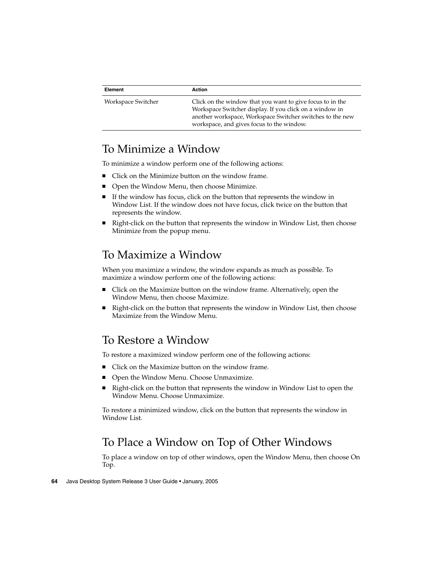| Element            | <b>Action</b>                                                                                                                                                                                                                  |
|--------------------|--------------------------------------------------------------------------------------------------------------------------------------------------------------------------------------------------------------------------------|
| Workspace Switcher | Click on the window that you want to give focus to in the<br>Workspace Switcher display. If you click on a window in<br>another workspace, Workspace Switcher switches to the new<br>workspace, and gives focus to the window. |

### To Minimize a Window

To minimize a window perform one of the following actions:

- Click on the Minimize button on the window frame.
- Open the Window Menu, then choose Minimize.
- If the window has focus, click on the button that represents the window in Window List. If the window does not have focus, click twice on the button that represents the window.
- Right-click on the button that represents the window in Window List, then choose Minimize from the popup menu.

## To Maximize a Window

When you maximize a window, the window expands as much as possible. To maximize a window perform one of the following actions:

- Click on the Maximize button on the window frame. Alternatively, open the Window Menu, then choose Maximize.
- Right-click on the button that represents the window in Window List, then choose Maximize from the Window Menu.

## To Restore a Window

To restore a maximized window perform one of the following actions:

- Click on the Maximize button on the window frame.
- Open the Window Menu. Choose Unmaximize.
- Right-click on the button that represents the window in Window List to open the Window Menu. Choose Unmaximize.

To restore a minimized window, click on the button that represents the window in Window List.

# To Place a Window on Top of Other Windows

To place a window on top of other windows, open the Window Menu, then choose On Top.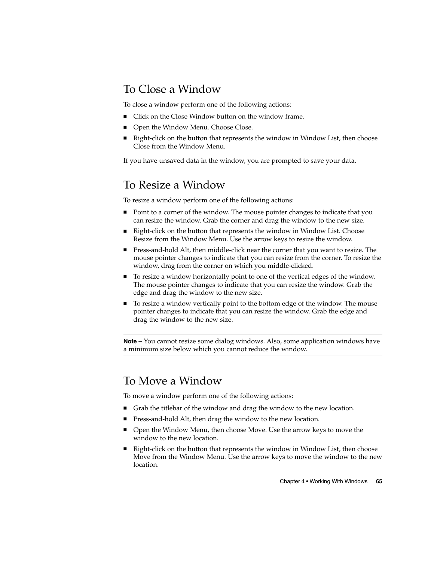### To Close a Window

To close a window perform one of the following actions:

- Click on the Close Window button on the window frame.
- Open the Window Menu. Choose Close.
- Right-click on the button that represents the window in Window List, then choose Close from the Window Menu.

If you have unsaved data in the window, you are prompted to save your data.

### To Resize a Window

To resize a window perform one of the following actions:

- Point to a corner of the window. The mouse pointer changes to indicate that you can resize the window. Grab the corner and drag the window to the new size.
- Right-click on the button that represents the window in Window List. Choose Resize from the Window Menu. Use the arrow keys to resize the window.
- Press-and-hold Alt, then middle-click near the corner that you want to resize. The mouse pointer changes to indicate that you can resize from the corner. To resize the window, drag from the corner on which you middle-clicked.
- To resize a window horizontally point to one of the vertical edges of the window. The mouse pointer changes to indicate that you can resize the window. Grab the edge and drag the window to the new size.
- To resize a window vertically point to the bottom edge of the window. The mouse pointer changes to indicate that you can resize the window. Grab the edge and drag the window to the new size.

**Note –** You cannot resize some dialog windows. Also, some application windows have a minimum size below which you cannot reduce the window.

### To Move a Window

To move a window perform one of the following actions:

- Grab the titlebar of the window and drag the window to the new location.
- Press-and-hold Alt, then drag the window to the new location.
- Open the Window Menu, then choose Move. Use the arrow keys to move the window to the new location.
- Right-click on the button that represents the window in Window List, then choose Move from the Window Menu. Use the arrow keys to move the window to the new location.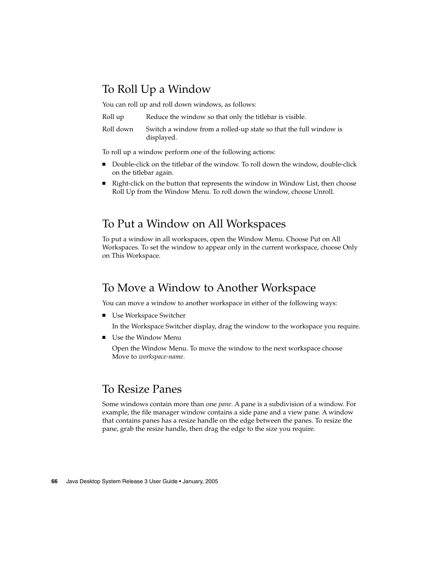## To Roll Up a Window

You can roll up and roll down windows, as follows:

Roll up Reduce the window so that only the titlebar is visible.

Roll down Switch a window from a rolled-up state so that the full window is displayed.

To roll up a window perform one of the following actions:

- Double-click on the titlebar of the window. To roll down the window, double-click on the titlebar again.
- Right-click on the button that represents the window in Window List, then choose Roll Up from the Window Menu. To roll down the window, choose Unroll.

### To Put a Window on All Workspaces

To put a window in all workspaces, open the Window Menu. Choose Put on All Workspaces. To set the window to appear only in the current workspace, choose Only on This Workspace.

### To Move a Window to Another Workspace

You can move a window to another workspace in either of the following ways:

Use Workspace Switcher

In the Workspace Switcher display, drag the window to the workspace you require.

■ Use the Window Menu

Open the Window Menu. To move the window to the next workspace choose Move to *workspace-name*.

### To Resize Panes

Some windows contain more than one *pane*. A pane is a subdivision of a window. For example, the file manager window contains a side pane and a view pane. A window that contains panes has a resize handle on the edge between the panes. To resize the pane, grab the resize handle, then drag the edge to the size you require.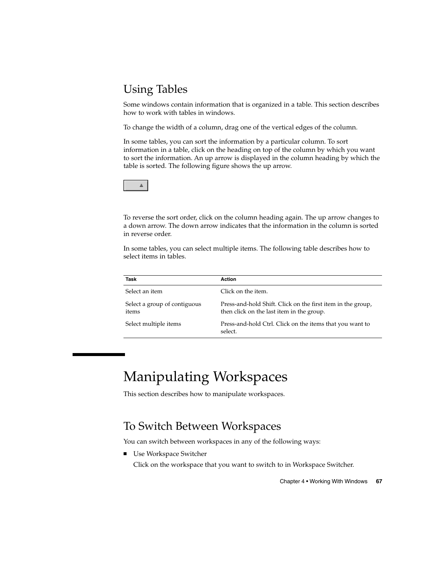## Using Tables

Some windows contain information that is organized in a table. This section describes how to work with tables in windows.

To change the width of a column, drag one of the vertical edges of the column.

In some tables, you can sort the information by a particular column. To sort information in a table, click on the heading on top of the column by which you want to sort the information. An up arrow is displayed in the column heading by which the table is sorted. The following figure shows the up arrow.



To reverse the sort order, click on the column heading again. The up arrow changes to a down arrow. The down arrow indicates that the information in the column is sorted in reverse order.

In some tables, you can select multiple items. The following table describes how to select items in tables.

| Task                                  | <b>Action</b>                                                                                            |
|---------------------------------------|----------------------------------------------------------------------------------------------------------|
| Select an item                        | Click on the item.                                                                                       |
| Select a group of contiguous<br>items | Press-and-hold Shift. Click on the first item in the group,<br>then click on the last item in the group. |
| Select multiple items                 | Press-and-hold Ctrl. Click on the items that you want to<br>select.                                      |

# Manipulating Workspaces

This section describes how to manipulate workspaces.

### To Switch Between Workspaces

You can switch between workspaces in any of the following ways:

■ Use Workspace Switcher Click on the workspace that you want to switch to in Workspace Switcher.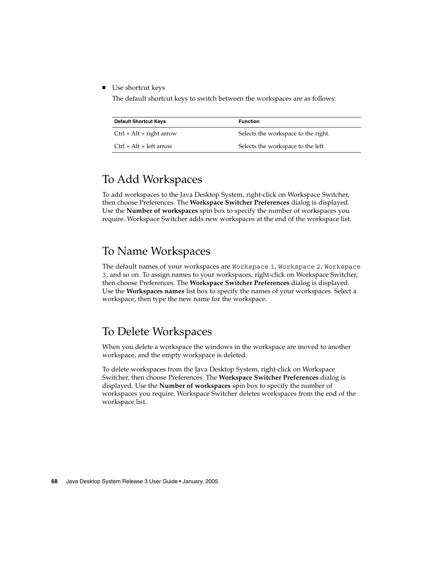■ Use shortcut keys

The default shortcut keys to switch between the workspaces are as follows:

| <b>Default Shortcut Keys</b> | <b>Function</b>                     |
|------------------------------|-------------------------------------|
| $Ctrl + Alt + right arrow$   | Selects the workspace to the right. |
| $Ctrl + Alt + left arrow$    | Selects the workspace to the left.  |

### To Add Workspaces

To add workspaces to the Java Desktop System, right-click on Workspace Switcher, then choose Preferences. The **Workspace Switcher Preferences** dialog is displayed. Use the **Number of workspaces** spin box to specify the number of workspaces you require. Workspace Switcher adds new workspaces at the end of the workspace list.

### To Name Workspaces

The default names of your workspaces are Workspace 1, Workspace 2, Workspace 3, and so on. To assign names to your workspaces, right-click on Workspace Switcher, then choose Preferences. The **Workspace Switcher Preferences** dialog is displayed. Use the **Workspaces names** list box to specify the names of your workspaces. Select a workspace, then type the new name for the workspace.

### To Delete Workspaces

When you delete a workspace the windows in the workspace are moved to another workspace, and the empty workspace is deleted.

To delete workspaces from the Java Desktop System, right-click on Workspace Switcher, then choose Preferences. The **Workspace Switcher Preferences** dialog is displayed. Use the **Number of workspaces** spin box to specify the number of workspaces you require. Workspace Switcher deletes workspaces from the end of the workspace list.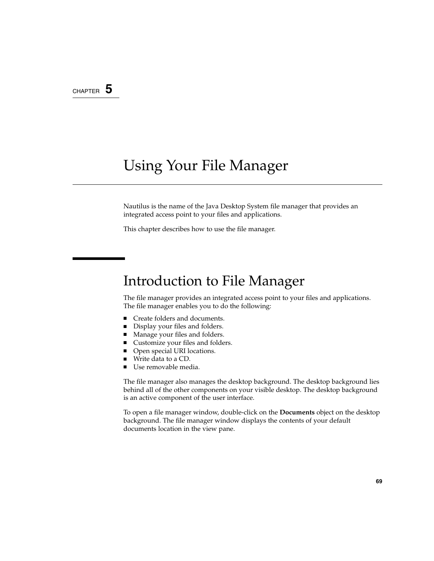### CHAPTER **5**

# Using Your File Manager

Nautilus is the name of the Java Desktop System file manager that provides an integrated access point to your files and applications.

This chapter describes how to use the file manager.

# Introduction to File Manager

The file manager provides an integrated access point to your files and applications. The file manager enables you to do the following:

- Create folders and documents.
- Display your files and folders.
- Manage your files and folders.
- Customize your files and folders.
- Open special URI locations.
- Write data to a CD.
- Use removable media.

The file manager also manages the desktop background. The desktop background lies behind all of the other components on your visible desktop. The desktop background is an active component of the user interface.

To open a file manager window, double-click on the **Documents** object on the desktop background. The file manager window displays the contents of your default documents location in the view pane.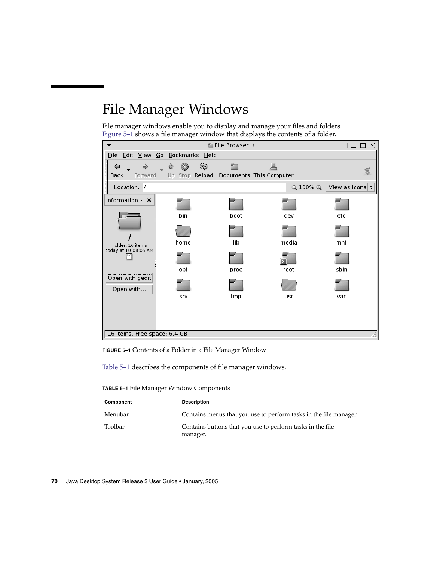# File Manager Windows

File manager windows enable you to display and manage your files and folders. Figure 5–1 shows a file manager window that displays the contents of a folder.

|                                          |                                  | File Browser: /         |              | $ \Box$ $\times$     |
|------------------------------------------|----------------------------------|-------------------------|--------------|----------------------|
| Eile Edit View Go Bookmarks Help         |                                  |                         |              |                      |
| Forward<br><b>Back</b>                   | ⊗<br>Up<br>Stop<br><b>Reload</b> | Documents This Computer |              | 邕                    |
| Location: $ /$                           |                                  |                         | $Q$ 100% $Q$ | View as Icons $\div$ |
| Information $\sim$ X                     | bin                              | boot                    | dev          | etc                  |
| Folder, 16 items<br>today at 10:08:05 AM | home                             | lib                     | media        | mnt                  |
| m                                        | opt                              | proc                    | root         | sbin                 |
| Open with gedit<br>Open with             | srv                              | tmp                     | usr          | var                  |
|                                          |                                  |                         |              |                      |
| 16 items, Free space: 6.4 GB             |                                  |                         |              |                      |

**FIGURE 5–1** Contents of a Folder in a File Manager Window

Table 5–1 describes the components of file manager windows.

**TABLE 5–1** File Manager Window Components

| Component | <b>Description</b>                                                     |
|-----------|------------------------------------------------------------------------|
| Menubar   | Contains menus that you use to perform tasks in the file manager.      |
| Toolbar   | Contains buttons that you use to perform tasks in the file<br>manager. |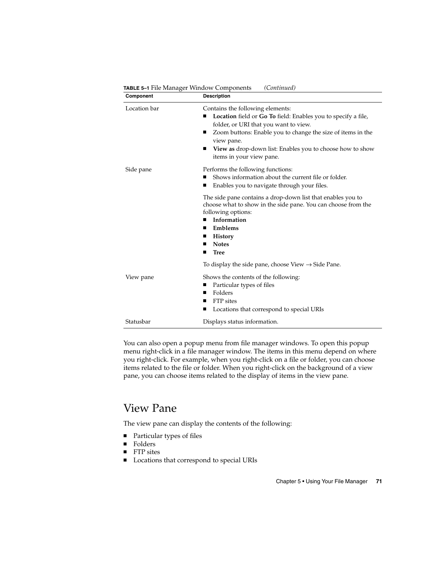| Component    | <b>HOLL 5-1</b> THE IVIDING POLICIPORTIES<br><b>Description</b>                                                                                                                                                                                                                                                                                                                                   |  |
|--------------|---------------------------------------------------------------------------------------------------------------------------------------------------------------------------------------------------------------------------------------------------------------------------------------------------------------------------------------------------------------------------------------------------|--|
| Location bar | Contains the following elements:<br>Location field or Go To field: Enables you to specify a file,<br>■<br>folder, or URI that you want to view.<br>Zoom buttons: Enable you to change the size of items in the<br>■<br>view pane.<br>View as drop-down list: Enables you to choose how to show<br>ш<br>items in your view pane.                                                                   |  |
| Side pane    | Performs the following functions:<br>Shows information about the current file or folder.<br>Enables you to navigate through your files.<br>The side pane contains a drop-down list that enables you to<br>choose what to show in the side pane. You can choose from the<br>following options:<br>Information<br>■<br>Emblems<br>■<br><b>History</b><br>п<br><b>Notes</b><br>■<br><b>Tree</b><br>п |  |
| View pane    | To display the side pane, choose View $\rightarrow$ Side Pane.<br>Shows the contents of the following:<br>Particular types of files<br>ш<br>Folders<br>■<br>FTP sites<br>п<br>Locations that correspond to special URIs<br>ш                                                                                                                                                                      |  |
| Statusbar    | Displays status information.                                                                                                                                                                                                                                                                                                                                                                      |  |

**TABLE 5–1** File Manager Window Components *(Continued)*

You can also open a popup menu from file manager windows. To open this popup menu right-click in a file manager window. The items in this menu depend on where you right-click. For example, when you right-click on a file or folder, you can choose items related to the file or folder. When you right-click on the background of a view pane, you can choose items related to the display of items in the view pane.

## View Pane

The view pane can display the contents of the following:

- Particular types of files
- Folders
- FTP sites
- Locations that correspond to special URIs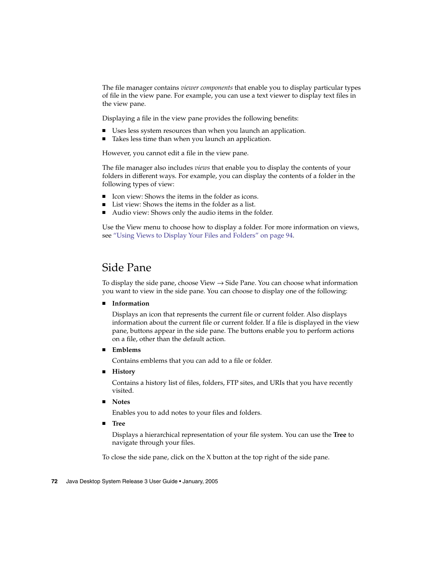The file manager contains *viewer components* that enable you to display particular types of file in the view pane. For example, you can use a text viewer to display text files in the view pane.

Displaying a file in the view pane provides the following benefits:

- Uses less system resources than when you launch an application.
- Takes less time than when you launch an application.

However, you cannot edit a file in the view pane.

The file manager also includes *views* that enable you to display the contents of your folders in different ways. For example, you can display the contents of a folder in the following types of view:

- Icon view: Shows the items in the folder as icons.
- List view: Shows the items in the folder as a list.
- Audio view: Shows only the audio items in the folder.

Use the View menu to choose how to display a folder. For more information on views, see ["Using Views to Display Your Files and Folders"](#page-93-0) on page 94.

### Side Pane

To display the side pane, choose View  $\rightarrow$  Side Pane. You can choose what information you want to view in the side pane. You can choose to display one of the following:

■ **Information**

Displays an icon that represents the current file or current folder. Also displays information about the current file or current folder. If a file is displayed in the view pane, buttons appear in the side pane. The buttons enable you to perform actions on a file, other than the default action.

■ **Emblems**

Contains emblems that you can add to a file or folder.

■ **History**

Contains a history list of files, folders, FTP sites, and URIs that you have recently visited.

■ **Notes**

Enables you to add notes to your files and folders.

■ **Tree**

Displays a hierarchical representation of your file system. You can use the **Tree** to navigate through your files.

To close the side pane, click on the X button at the top right of the side pane.

**72** Java Desktop System Release 3 User Guide • January, 2005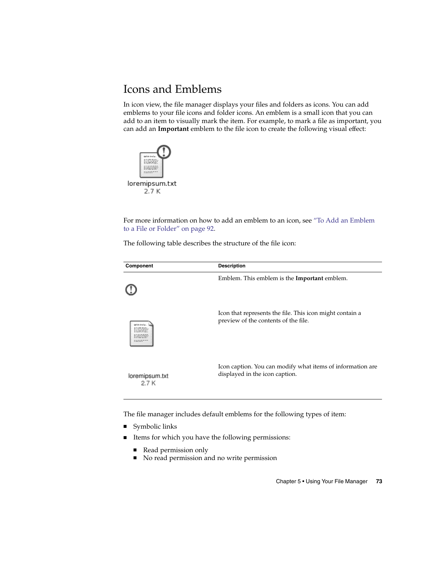## Icons and Emblems

In icon view, the file manager displays your files and folders as icons. You can add emblems to your file icons and folder icons. An emblem is a small icon that you can add to an item to visually mark the item. For example, to mark a file as important, you can add an **Important** emblem to the file icon to create the following visual effect:



For more information on how to add an emblem to an icon, see ["To Add an Emblem](#page-91-0) [to a File or Folder"](#page-91-0) on page 92.

The following table describes the structure of the file icon:

| <b>Component</b>       | <b>Description</b>                                                                               |
|------------------------|--------------------------------------------------------------------------------------------------|
|                        | Emblem. This emblem is the <b>Important</b> emblem.                                              |
|                        | Icon that represents the file. This icon might contain a<br>preview of the contents of the file. |
| loremipsum.txt<br>2.7K | Icon caption. You can modify what items of information are<br>displayed in the icon caption.     |

The file manager includes default emblems for the following types of item:

- Symbolic links
- Items for which you have the following permissions:
	- Read permission only
	- No read permission and no write permission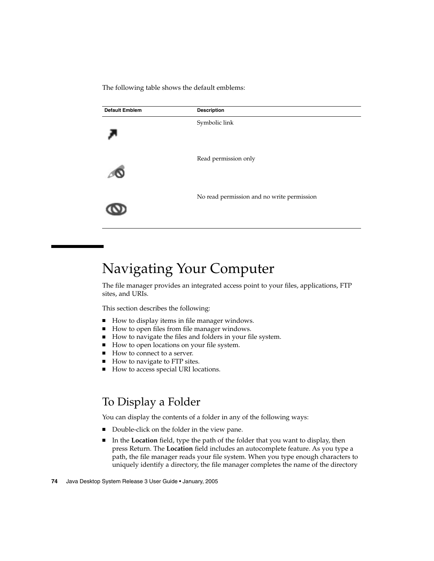The following table shows the default emblems:

| <b>Default Emblem</b> | <b>Description</b>                         |
|-----------------------|--------------------------------------------|
|                       | Symbolic link                              |
|                       | Read permission only                       |
| $\mathbf{\omega}$     | No read permission and no write permission |

# Navigating Your Computer

The file manager provides an integrated access point to your files, applications, FTP sites, and URIs.

This section describes the following:

- How to display items in file manager windows.
- How to open files from file manager windows.
- How to navigate the files and folders in your file system.
- How to open locations on your file system.
- How to connect to a server.
- How to navigate to FTP sites.
- How to access special URI locations.

### To Display a Folder

You can display the contents of a folder in any of the following ways:

- Double-click on the folder in the view pane.
- In the **Location** field, type the path of the folder that you want to display, then press Return. The **Location** field includes an autocomplete feature. As you type a path, the file manager reads your file system. When you type enough characters to uniquely identify a directory, the file manager completes the name of the directory

**74** Java Desktop System Release 3 User Guide • January, 2005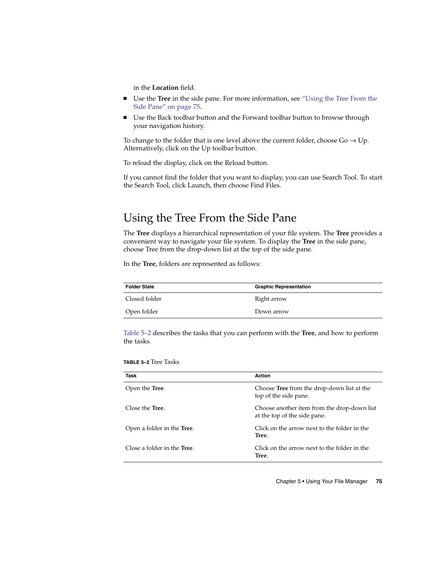in the **Location** field.

- Use the **Tree** in the side pane. For more information, see "Using the Tree From the Side Pane" on page 75.
- Use the Back toolbar button and the Forward toolbar button to browse through your navigation history.

To change to the folder that is one level above the current folder, choose  $Go \rightarrow Up$ . Alternatively, click on the Up toolbar button.

To reload the display, click on the Reload button.

If you cannot find the folder that you want to display, you can use Search Tool. To start the Search Tool, click Launch, then choose Find Files.

## Using the Tree From the Side Pane

The **Tree** displays a hierarchical representation of your file system. The **Tree** provides a convenient way to navigate your file system. To display the **Tree** in the side pane, choose Tree from the drop-down list at the top of the side pane.

In the **Tree**, folders are represented as follows:

| <b>Folder State</b> | <b>Graphic Representation</b> |
|---------------------|-------------------------------|
| Closed folder       | Right arrow                   |
| Open folder         | Down arrow                    |

Table 5–2 describes the tasks that you can perform with the **Tree**, and how to perform the tasks.

**TABLE 5–2** Tree Tasks

| Task                                | <b>Action</b>                                                               |
|-------------------------------------|-----------------------------------------------------------------------------|
| Open the <b>Tree</b> .              | Choose <b>Tree</b> from the drop-down list at the<br>top of the side pane.  |
| Close the <b>Tree</b> .             | Choose another item from the drop-down list<br>at the top of the side pane. |
| Open a folder in the <b>Tree</b> .  | Click on the arrow next to the folder in the<br>Tree.                       |
| Close a folder in the <b>Tree</b> . | Click on the arrow next to the folder in the<br>Tree.                       |

Chapter 5 • Using Your File Manager **75**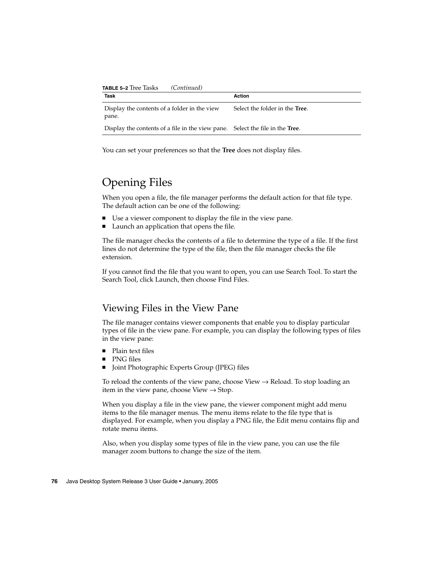<span id="page-75-0"></span>

| <b>TABLE 5-2 Tree Tasks</b><br>(Continued)                                    |                                        |
|-------------------------------------------------------------------------------|----------------------------------------|
| Task                                                                          | Action                                 |
| Display the contents of a folder in the view<br>pane.                         | Select the folder in the <b>Tree</b> . |
| Display the contents of a file in the view pane. Select the file in the Tree. |                                        |

You can set your preferences so that the **Tree** does not display files.

## Opening Files

When you open a file, the file manager performs the default action for that file type. The default action can be one of the following:

- Use a viewer component to display the file in the view pane.
- Launch an application that opens the file.

The file manager checks the contents of a file to determine the type of a file. If the first lines do not determine the type of the file, then the file manager checks the file extension.

If you cannot find the file that you want to open, you can use Search Tool. To start the Search Tool, click Launch, then choose Find Files.

#### Viewing Files in the View Pane

The file manager contains viewer components that enable you to display particular types of file in the view pane. For example, you can display the following types of files in the view pane:

- Plain text files
- PNG files
- Joint Photographic Experts Group (JPEG) files

To reload the contents of the view pane, choose View  $\rightarrow$  Reload. To stop loading an item in the view pane, choose View  $\rightarrow$  Stop.

When you display a file in the view pane, the viewer component might add menu items to the file manager menus. The menu items relate to the file type that is displayed. For example, when you display a PNG file, the Edit menu contains flip and rotate menu items.

Also, when you display some types of file in the view pane, you can use the file manager zoom buttons to change the size of the item.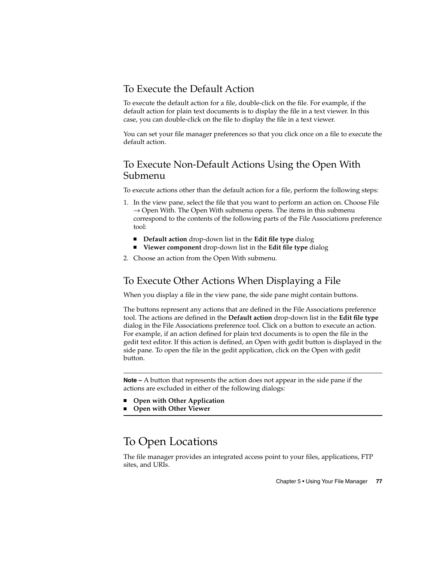#### To Execute the Default Action

To execute the default action for a file, double-click on the file. For example, if the default action for plain text documents is to display the file in a text viewer. In this case, you can double-click on the file to display the file in a text viewer.

You can set your file manager preferences so that you click once on a file to execute the default action.

#### To Execute Non-Default Actions Using the Open With Submenu

To execute actions other than the default action for a file, perform the following steps:

- 1. In the view pane, select the file that you want to perform an action on. Choose File  $\rightarrow$  Open With. The Open With submenu opens. The items in this submenu correspond to the contents of the following parts of the File Associations preference tool:
	- **Default action** drop-down list in the **Edit file type** dialog
	- **Viewer component** drop-down list in the **Edit file type** dialog
- 2. Choose an action from the Open With submenu.

#### To Execute Other Actions When Displaying a File

When you display a file in the view pane, the side pane might contain buttons.

The buttons represent any actions that are defined in the File Associations preference tool. The actions are defined in the **Default action** drop-down list in the **Edit file type** dialog in the File Associations preference tool. Click on a button to execute an action. For example, if an action defined for plain text documents is to open the file in the gedit text editor. If this action is defined, an Open with gedit button is displayed in the side pane. To open the file in the gedit application, click on the Open with gedit button.

**Note –** A button that represents the action does not appear in the side pane if the actions are excluded in either of the following dialogs:

- **Open with Other Application**
- **Open with Other Viewer**

# To Open Locations

The file manager provides an integrated access point to your files, applications, FTP sites, and URIs.

Chapter 5 • Using Your File Manager **77**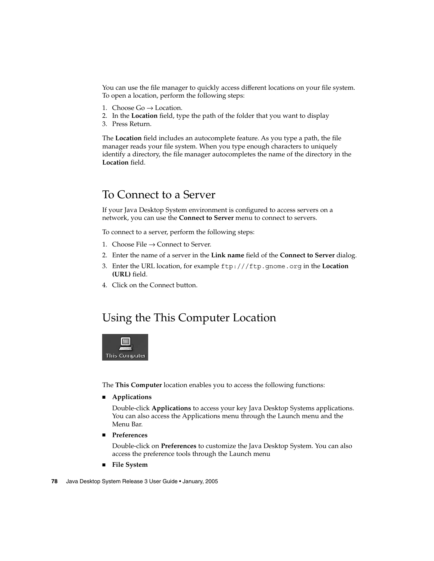You can use the file manager to quickly access different locations on your file system. To open a location, perform the following steps:

- 1. Choose  $Go \rightarrow Location$ .
- 2. In the **Location** field, type the path of the folder that you want to display
- 3. Press Return.

The **Location** field includes an autocomplete feature. As you type a path, the file manager reads your file system. When you type enough characters to uniquely identify a directory, the file manager autocompletes the name of the directory in the **Location** field.

## To Connect to a Server

If your Java Desktop System environment is configured to access servers on a network, you can use the **Connect to Server** menu to connect to servers.

To connect to a server, perform the following steps:

- 1. Choose File  $\rightarrow$  Connect to Server.
- 2. Enter the name of a server in the **Link name** field of the **Connect to Server** dialog.
- 3. Enter the URL location, for example ftp:///ftp.gnome.org in the **Location (URL)** field.
- 4. Click on the Connect button.

### Using the This Computer Location



The **This Computer** location enables you to access the following functions:

■ **Applications**

Double-click **Applications** to access your key Java Desktop Systems applications. You can also access the Applications menu through the Launch menu and the Menu Bar.

■ **Preferences**

Double-click on **Preferences** to customize the Java Desktop System. You can also access the preference tools through the Launch menu

- **File System**
- **78** Java Desktop System Release 3 User Guide January, 2005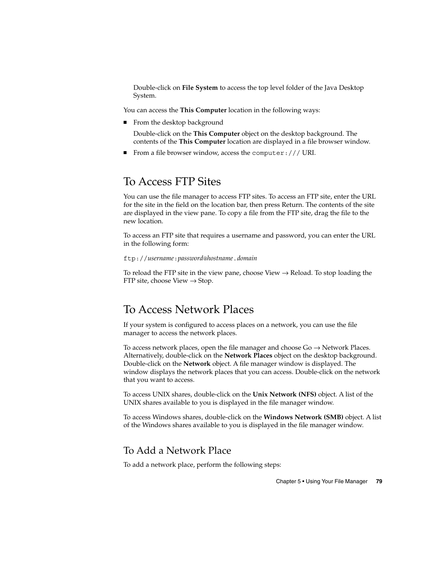Double-click on **File System** to access the top level folder of the Java Desktop System.

You can access the **This Computer** location in the following ways:

■ From the desktop background

Double-click on the **This Computer** object on the desktop background. The contents of the **This Computer** location are displayed in a file browser window.

■ From a file browser window, access the computer:  $///$  URI.

### To Access FTP Sites

You can use the file manager to access FTP sites. To access an FTP site, enter the URL for the site in the field on the location bar, then press Return. The contents of the site are displayed in the view pane. To copy a file from the FTP site, drag the file to the new location.

To access an FTP site that requires a username and password, you can enter the URL in the following form:

#### ftp://*username*:*password*@*hostname*.*domain*

To reload the FTP site in the view pane, choose View  $\rightarrow$  Reload. To stop loading the FTP site, choose View  $\rightarrow$  Stop.

#### To Access Network Places

If your system is configured to access places on a network, you can use the file manager to access the network places.

To access network places, open the file manager and choose  $Go \rightarrow$  Network Places. Alternatively, double-click on the **Network Places** object on the desktop background. Double-click on the **Network** object. A file manager window is displayed. The window displays the network places that you can access. Double-click on the network that you want to access.

To access UNIX shares, double-click on the **Unix Network (NFS)** object. A list of the UNIX shares available to you is displayed in the file manager window.

To access Windows shares, double-click on the **Windows Network (SMB)** object. A list of the Windows shares available to you is displayed in the file manager window.

#### To Add a Network Place

To add a network place, perform the following steps: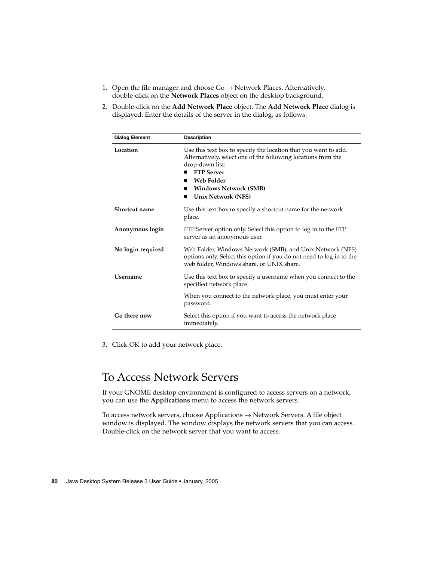- 1. Open the file manager and choose  $Go \rightarrow$  Network Places. Alternatively, double-click on the **Network Places** object on the desktop background.
- 2. Double-click on the **Add Network Place** object. The **Add Network Place** dialog is displayed. Enter the details of the server in the dialog, as follows:

| <b>Dialog Element</b> | <b>Description</b>                                                                                                                                                                                                                                       |
|-----------------------|----------------------------------------------------------------------------------------------------------------------------------------------------------------------------------------------------------------------------------------------------------|
| Location              | Use this text box to specify the location that you want to add.<br>Alternatively, select one of the following locations from the<br>drop-down list:<br><b>FTP Server</b><br>Web Folder<br>■<br><b>Windows Network (SMB)</b><br><b>Unix Network (NFS)</b> |
| <b>Shortcut name</b>  | Use this text box to specify a shortcut name for the network<br>place.                                                                                                                                                                                   |
| Anonymous login       | FTP Server option only. Select this option to log in to the FTP<br>server as an anonymous user.                                                                                                                                                          |
| No login required     | Web Folder, Windows Network (SMB), and Unix Network (NFS)<br>options only. Select this option if you do not need to log in to the<br>web folder, Windows share, or UNIX share.                                                                           |
| <b>Username</b>       | Use this text box to specify a username when you connect to the<br>specified network place.                                                                                                                                                              |
|                       | When you connect to the network place, you must enter your<br>password.                                                                                                                                                                                  |
| Go there now          | Select this option if you want to access the network place<br>immediately.                                                                                                                                                                               |

3. Click OK to add your network place.

## To Access Network Servers

If your GNOME desktop environment is configured to access servers on a network, you can use the **Applications** menu to access the network servers.

To access network servers, choose Applications  $\rightarrow$  Network Servers. A file object window is displayed. The window displays the network servers that you can access. Double-click on the network server that you want to access.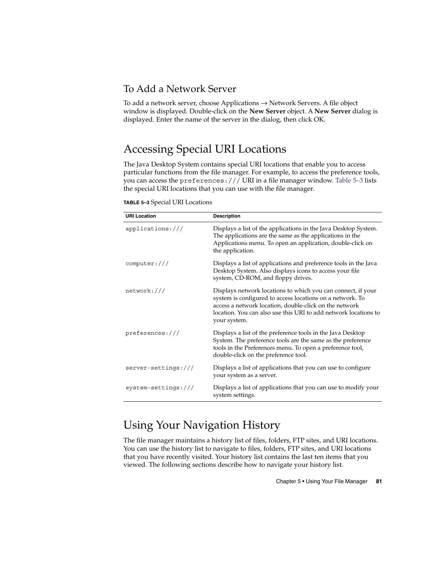#### To Add a Network Server

To add a network server, choose Applications → Network Servers. A file object window is displayed. Double-click on the **New Server** object. A **New Server** dialog is displayed. Enter the name of the server in the dialog, then click OK.

## Accessing Special URI Locations

The Java Desktop System contains special URI locations that enable you to access particular functions from the file manager. For example, to access the preference tools, you can access the preferences:/// URI in a file manager window. Table 5–3 lists the special URI locations that you can use with the file manager.

**TABLE 5–3** Special URI Locations

| <b>URI Location</b>          | <b>Description</b>                                                                                                                                                                                                                                                     |
|------------------------------|------------------------------------------------------------------------------------------------------------------------------------------------------------------------------------------------------------------------------------------------------------------------|
| applications:///             | Displays a list of the applications in the Java Desktop System.<br>The applications are the same as the applications in the<br>Applications menu. To open an application, double-click on<br>the application.                                                          |
| computer:///                 | Displays a list of applications and preference tools in the Java<br>Desktop System. Also displays icons to access your file<br>system, CD-ROM, and floppy drives.                                                                                                      |
| network:///                  | Displays network locations to which you can connect, if your<br>system is configured to access locations on a network. To<br>access a network location, double-click on the network<br>location. You can also use this URI to add network locations to<br>your system. |
| preferences:///              | Displays a list of the preference tools in the Java Desktop<br>System. The preference tools are the same as the preference<br>tools in the Preferences menu. To open a preference tool,<br>double-click on the preference tool.                                        |
| server-settings:///          | Displays a list of applications that you can use to configure<br>your system as a server.                                                                                                                                                                              |
| $system\text{-}settings:///$ | Displays a list of applications that you can use to modify your<br>system settings.                                                                                                                                                                                    |

## Using Your Navigation History

The file manager maintains a history list of files, folders, FTP sites, and URI locations. You can use the history list to navigate to files, folders, FTP sites, and URI locations that you have recently visited. Your history list contains the last ten items that you viewed. The following sections describe how to navigate your history list.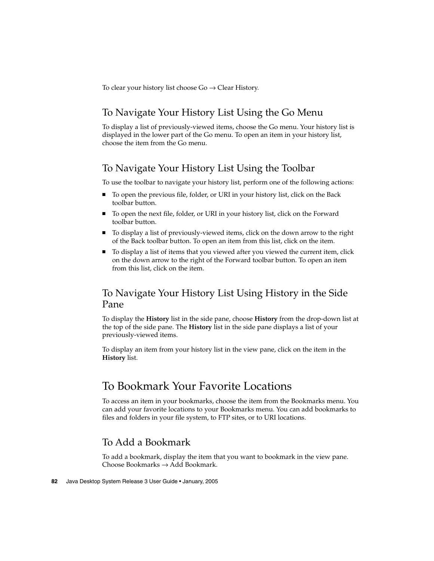To clear your history list choose  $Go \rightarrow Clear$  History.

#### To Navigate Your History List Using the Go Menu

To display a list of previously-viewed items, choose the Go menu. Your history list is displayed in the lower part of the Go menu. To open an item in your history list, choose the item from the Go menu.

#### To Navigate Your History List Using the Toolbar

To use the toolbar to navigate your history list, perform one of the following actions:

- To open the previous file, folder, or URI in your history list, click on the Back toolbar button.
- To open the next file, folder, or URI in your history list, click on the Forward toolbar button.
- To display a list of previously-viewed items, click on the down arrow to the right of the Back toolbar button. To open an item from this list, click on the item.
- To display a list of items that you viewed after you viewed the current item, click on the down arrow to the right of the Forward toolbar button. To open an item from this list, click on the item.

#### To Navigate Your History List Using History in the Side Pane

To display the **History** list in the side pane, choose **History** from the drop-down list at the top of the side pane. The **History** list in the side pane displays a list of your previously-viewed items.

To display an item from your history list in the view pane, click on the item in the **History** list.

## To Bookmark Your Favorite Locations

To access an item in your bookmarks, choose the item from the Bookmarks menu. You can add your favorite locations to your Bookmarks menu. You can add bookmarks to files and folders in your file system, to FTP sites, or to URI locations.

#### To Add a Bookmark

To add a bookmark, display the item that you want to bookmark in the view pane. Choose Bookmarks → Add Bookmark.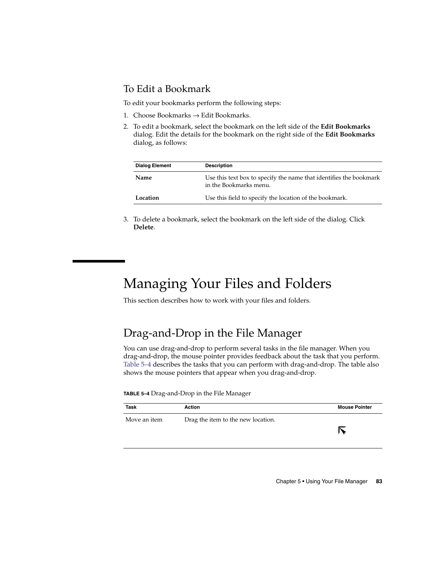#### To Edit a Bookmark

To edit your bookmarks perform the following steps:

- 1. Choose Bookmarks  $\rightarrow$  Edit Bookmarks.
- 2. To edit a bookmark, select the bookmark on the left side of the **Edit Bookmarks** dialog. Edit the details for the bookmark on the right side of the **Edit Bookmarks** dialog, as follows:

| <b>Dialog Element</b> | <b>Description</b>                                                                           |
|-----------------------|----------------------------------------------------------------------------------------------|
| Name                  | Use this text box to specify the name that identifies the bookmark<br>in the Bookmarks menu. |
| Location              | Use this field to specify the location of the bookmark.                                      |

3. To delete a bookmark, select the bookmark on the left side of the dialog. Click **Delete**.

# Managing Your Files and Folders

This section describes how to work with your files and folders.

# Drag-and-Drop in the File Manager

You can use drag-and-drop to perform several tasks in the file manager. When you drag-and-drop, the mouse pointer provides feedback about the task that you perform. Table 5–4 describes the tasks that you can perform with drag-and-drop. The table also shows the mouse pointers that appear when you drag-and-drop.

**TABLE 5–4** Drag-and-Drop in the File Manager

| <b>Task</b>  | <b>Action</b>                      | <b>Mouse Pointer</b> |
|--------------|------------------------------------|----------------------|
| Move an item | Drag the item to the new location. |                      |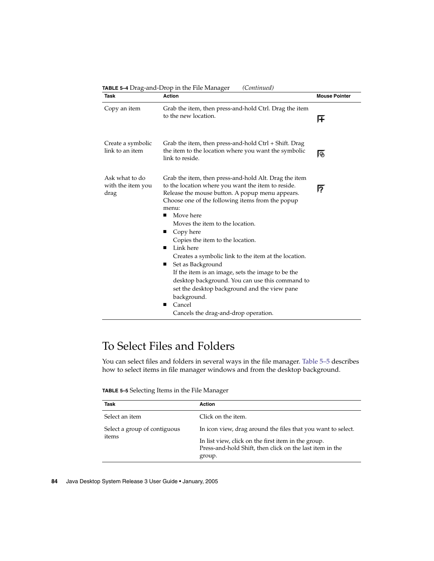| <b>Task</b>                                 | <b>Action</b>                                                                                                                                                                                                      | <b>Mouse Pointer</b> |
|---------------------------------------------|--------------------------------------------------------------------------------------------------------------------------------------------------------------------------------------------------------------------|----------------------|
| Copy an item                                | Grab the item, then press-and-hold Ctrl. Drag the item<br>to the new location.                                                                                                                                     | 厈                    |
| Create a symbolic<br>link to an item        | Grab the item, then press-and-hold Ctrl + Shift. Drag<br>the item to the location where you want the symbolic<br>link to reside.                                                                                   | ि                    |
| Ask what to do<br>with the item you<br>drag | Grab the item, then press-and-hold Alt. Drag the item<br>to the location where you want the item to reside.<br>Release the mouse button. A popup menu appears.<br>Choose one of the following items from the popup | 13                   |
|                                             | menu:<br>Move here<br>■                                                                                                                                                                                            |                      |
|                                             | Moves the item to the location.                                                                                                                                                                                    |                      |
|                                             | Copy here<br>ш                                                                                                                                                                                                     |                      |
|                                             | Copies the item to the location.                                                                                                                                                                                   |                      |
|                                             | Link here<br>■                                                                                                                                                                                                     |                      |
|                                             | Creates a symbolic link to the item at the location.                                                                                                                                                               |                      |
|                                             | Set as Background<br>п                                                                                                                                                                                             |                      |
|                                             | If the item is an image, sets the image to be the                                                                                                                                                                  |                      |
|                                             | desktop background. You can use this command to                                                                                                                                                                    |                      |
|                                             | set the desktop background and the view pane                                                                                                                                                                       |                      |
|                                             | background.                                                                                                                                                                                                        |                      |
|                                             | Cancel<br>■<br>Cancels the drag-and-drop operation.                                                                                                                                                                |                      |
|                                             |                                                                                                                                                                                                                    |                      |

**TABLE 5–4** Drag-and-Drop in the File Manager *(Continued)*

# To Select Files and Folders

You can select files and folders in several ways in the file manager. Table 5–5 describes how to select items in file manager windows and from the desktop background.

| Task                         | <b>Action</b>                                                                                                             |
|------------------------------|---------------------------------------------------------------------------------------------------------------------------|
| Select an item               | Click on the item.                                                                                                        |
| Select a group of contiguous | In icon view, drag around the files that you want to select.                                                              |
| items                        | In list view, click on the first item in the group.<br>Press-and-hold Shift, then click on the last item in the<br>group. |

**TABLE 5–5** Selecting Items in the File Manager

**<sup>84</sup>** Java Desktop System Release 3 User Guide • January, 2005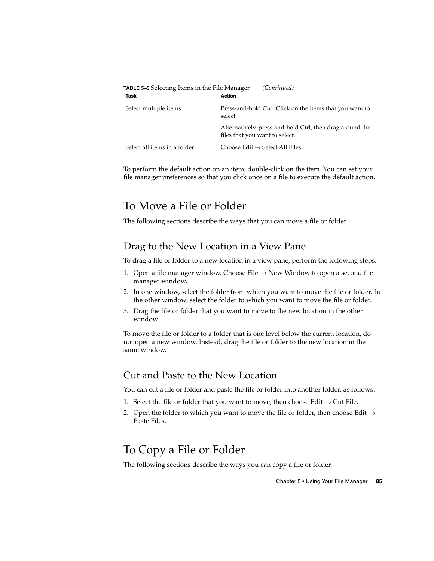| Task                         | <b>Action</b>                                                                              |
|------------------------------|--------------------------------------------------------------------------------------------|
| Select multiple items        | Press-and-hold Ctrl. Click on the items that you want to<br>select.                        |
|                              | Alternatively, press-and-hold Ctrl, then drag around the<br>files that you want to select. |
| Select all items in a folder | Choose Edit $\rightarrow$ Select All Files.                                                |

**TABLE 5–5** Selecting Items in the File Manager *(Continued)*

To perform the default action on an item, double-click on the item. You can set your file manager preferences so that you click once on a file to execute the default action.

## To Move a File or Folder

The following sections describe the ways that you can move a file or folder.

#### Drag to the New Location in a View Pane

To drag a file or folder to a new location in a view pane, perform the following steps:

- 1. Open a file manager window. Choose File  $\rightarrow$  New Window to open a second file manager window.
- 2. In one window, select the folder from which you want to move the file or folder. In the other window, select the folder to which you want to move the file or folder.
- 3. Drag the file or folder that you want to move to the new location in the other window.

To move the file or folder to a folder that is one level below the current location, do not open a new window. Instead, drag the file or folder to the new location in the same window.

#### Cut and Paste to the New Location

You can cut a file or folder and paste the file or folder into another folder, as follows:

- 1. Select the file or folder that you want to move, then choose Edit  $\rightarrow$  Cut File.
- 2. Open the folder to which you want to move the file or folder, then choose Edit  $\rightarrow$ Paste Files.

## To Copy a File or Folder

The following sections describe the ways you can copy a file or folder.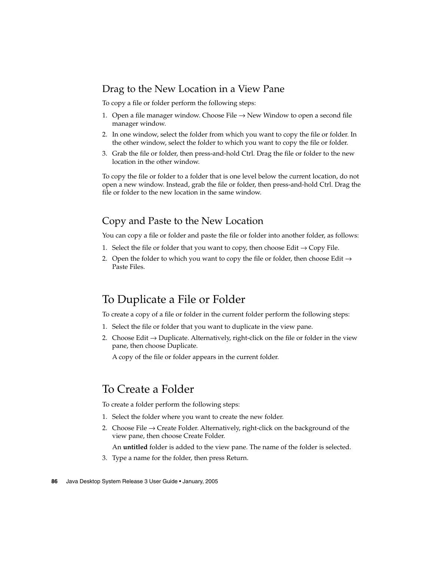#### Drag to the New Location in a View Pane

To copy a file or folder perform the following steps:

- 1. Open a file manager window. Choose File  $\rightarrow$  New Window to open a second file manager window.
- 2. In one window, select the folder from which you want to copy the file or folder. In the other window, select the folder to which you want to copy the file or folder.
- 3. Grab the file or folder, then press-and-hold Ctrl. Drag the file or folder to the new location in the other window.

To copy the file or folder to a folder that is one level below the current location, do not open a new window. Instead, grab the file or folder, then press-and-hold Ctrl. Drag the file or folder to the new location in the same window.

#### Copy and Paste to the New Location

You can copy a file or folder and paste the file or folder into another folder, as follows:

- 1. Select the file or folder that you want to copy, then choose Edit  $\rightarrow$  Copy File.
- 2. Open the folder to which you want to copy the file or folder, then choose Edit  $\rightarrow$ Paste Files.

### To Duplicate a File or Folder

To create a copy of a file or folder in the current folder perform the following steps:

- 1. Select the file or folder that you want to duplicate in the view pane.
- 2. Choose Edit  $\rightarrow$  Duplicate. Alternatively, right-click on the file or folder in the view pane, then choose Duplicate.

A copy of the file or folder appears in the current folder.

#### To Create a Folder

To create a folder perform the following steps:

- 1. Select the folder where you want to create the new folder.
- 2. Choose File  $\rightarrow$  Create Folder. Alternatively, right-click on the background of the view pane, then choose Create Folder.

An **untitled** folder is added to the view pane. The name of the folder is selected.

3. Type a name for the folder, then press Return.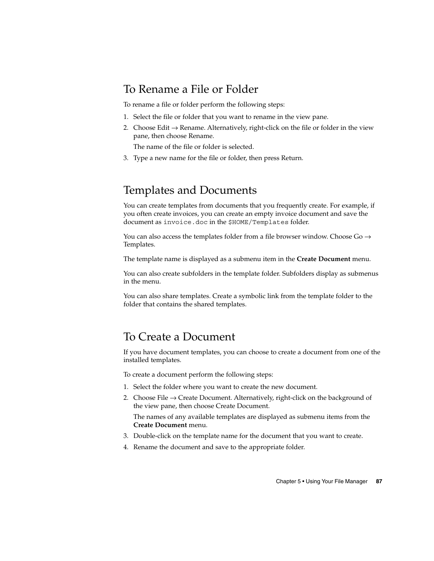### To Rename a File or Folder

To rename a file or folder perform the following steps:

- 1. Select the file or folder that you want to rename in the view pane.
- 2. Choose Edit  $\rightarrow$  Rename. Alternatively, right-click on the file or folder in the view pane, then choose Rename.

The name of the file or folder is selected.

3. Type a new name for the file or folder, then press Return.

## Templates and Documents

You can create templates from documents that you frequently create. For example, if you often create invoices, you can create an empty invoice document and save the document as invoice.doc in the \$HOME/Templates folder.

You can also access the templates folder from a file browser window. Choose Go  $\rightarrow$ Templates.

The template name is displayed as a submenu item in the **Create Document** menu.

You can also create subfolders in the template folder. Subfolders display as submenus in the menu.

You can also share templates. Create a symbolic link from the template folder to the folder that contains the shared templates.

### To Create a Document

If you have document templates, you can choose to create a document from one of the installed templates.

To create a document perform the following steps:

- 1. Select the folder where you want to create the new document.
- 2. Choose File  $\rightarrow$  Create Document. Alternatively, right-click on the background of the view pane, then choose Create Document.

The names of any available templates are displayed as submenu items from the **Create Document** menu.

- 3. Double-click on the template name for the document that you want to create.
- 4. Rename the document and save to the appropriate folder.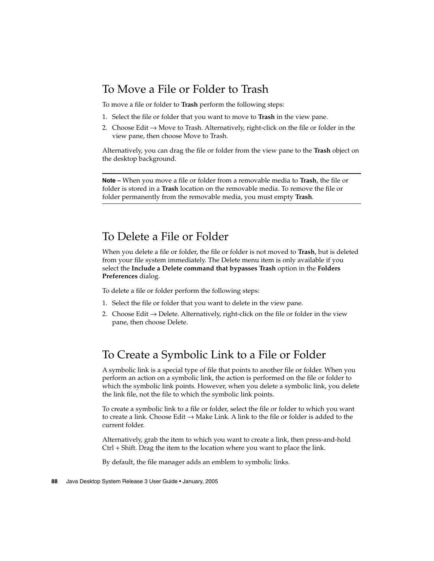#### To Move a File or Folder to Trash

To move a file or folder to **Trash** perform the following steps:

- 1. Select the file or folder that you want to move to **Trash** in the view pane.
- 2. Choose Edit  $\rightarrow$  Move to Trash. Alternatively, right-click on the file or folder in the view pane, then choose Move to Trash.

Alternatively, you can drag the file or folder from the view pane to the **Trash** object on the desktop background.

**Note –** When you move a file or folder from a removable media to **Trash**, the file or folder is stored in a **Trash** location on the removable media. To remove the file or folder permanently from the removable media, you must empty **Trash**.

## To Delete a File or Folder

When you delete a file or folder, the file or folder is not moved to **Trash**, but is deleted from your file system immediately. The Delete menu item is only available if you select the **Include a Delete command that bypasses Trash** option in the **Folders Preferences** dialog.

To delete a file or folder perform the following steps:

- 1. Select the file or folder that you want to delete in the view pane.
- 2. Choose Edit  $\rightarrow$  Delete. Alternatively, right-click on the file or folder in the view pane, then choose Delete.

#### To Create a Symbolic Link to a File or Folder

A symbolic link is a special type of file that points to another file or folder. When you perform an action on a symbolic link, the action is performed on the file or folder to which the symbolic link points. However, when you delete a symbolic link, you delete the link file, not the file to which the symbolic link points.

To create a symbolic link to a file or folder, select the file or folder to which you want to create a link. Choose Edit  $\rightarrow$  Make Link. A link to the file or folder is added to the current folder.

Alternatively, grab the item to which you want to create a link, then press-and-hold Ctrl + Shift. Drag the item to the location where you want to place the link.

By default, the file manager adds an emblem to symbolic links.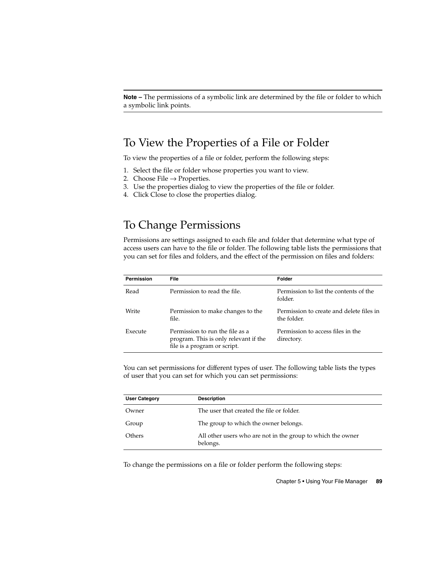**Note –** The permissions of a symbolic link are determined by the file or folder to which a symbolic link points.

### To View the Properties of a File or Folder

To view the properties of a file or folder, perform the following steps:

- 1. Select the file or folder whose properties you want to view.
- 2. Choose File  $\rightarrow$  Properties.
- 3. Use the properties dialog to view the properties of the file or folder.
- 4. Click Close to close the properties dialog.

## To Change Permissions

Permissions are settings assigned to each file and folder that determine what type of access users can have to the file or folder. The following table lists the permissions that you can set for files and folders, and the effect of the permission on files and folders:

| Permission | <b>File</b>                                                                                              | Folder                                                  |
|------------|----------------------------------------------------------------------------------------------------------|---------------------------------------------------------|
| Read       | Permission to read the file.                                                                             | Permission to list the contents of the<br>folder.       |
| Write      | Permission to make changes to the<br>file.                                                               | Permission to create and delete files in<br>the folder. |
| Execute    | Permission to run the file as a<br>program. This is only relevant if the<br>file is a program or script. | Permission to access files in the<br>directory.         |

You can set permissions for different types of user. The following table lists the types of user that you can set for which you can set permissions:

| <b>User Category</b> | <b>Description</b>                                                      |
|----------------------|-------------------------------------------------------------------------|
| Owner                | The user that created the file or folder.                               |
| Group                | The group to which the owner belongs.                                   |
| Others               | All other users who are not in the group to which the owner<br>belongs. |

To change the permissions on a file or folder perform the following steps: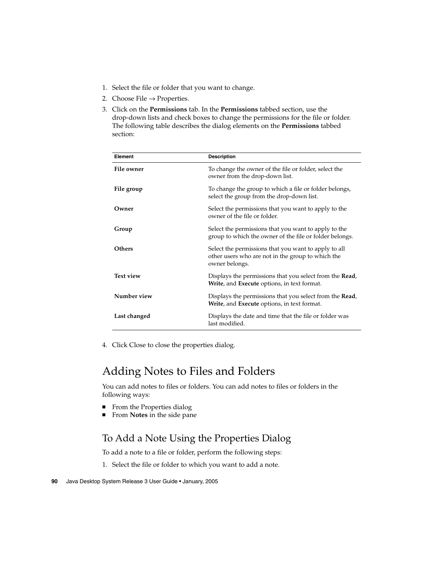- 1. Select the file or folder that you want to change.
- 2. Choose File  $\rightarrow$  Properties.
- 3. Click on the **Permissions** tab. In the **Permissions** tabbed section, use the drop-down lists and check boxes to change the permissions for the file or folder. The following table describes the dialog elements on the **Permissions** tabbed section:

| Element          | <b>Description</b>                                                                                                          |
|------------------|-----------------------------------------------------------------------------------------------------------------------------|
| File owner       | To change the owner of the file or folder, select the<br>owner from the drop-down list.                                     |
| File group       | To change the group to which a file or folder belongs,<br>select the group from the drop-down list.                         |
| Owner            | Select the permissions that you want to apply to the<br>owner of the file or folder.                                        |
| Group            | Select the permissions that you want to apply to the<br>group to which the owner of the file or folder belongs.             |
| <b>Others</b>    | Select the permissions that you want to apply to all<br>other users who are not in the group to which the<br>owner belongs. |
| <b>Text view</b> | Displays the permissions that you select from the <b>Read</b> ,<br>Write, and Execute options, in text format.              |
| Number view      | Displays the permissions that you select from the <b>Read</b> ,<br>Write, and Execute options, in text format.              |
| Last changed     | Displays the date and time that the file or folder was<br>last modified.                                                    |

4. Click Close to close the properties dialog.

## Adding Notes to Files and Folders

You can add notes to files or folders. You can add notes to files or folders in the following ways:

- From the Properties dialog
- From **Notes** in the side pane

#### To Add a Note Using the Properties Dialog

To add a note to a file or folder, perform the following steps:

1. Select the file or folder to which you want to add a note.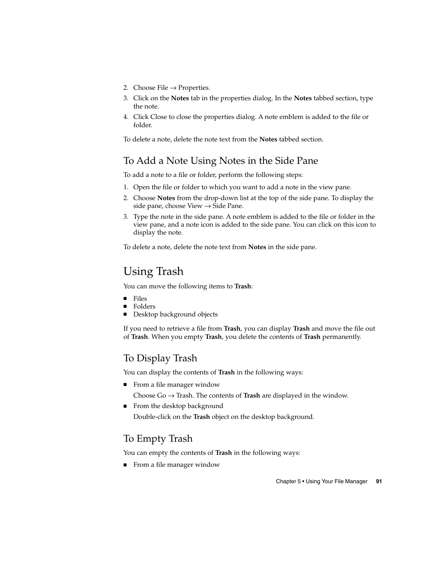- 2. Choose File  $\rightarrow$  Properties.
- 3. Click on the **Notes** tab in the properties dialog. In the **Notes** tabbed section, type the note.
- 4. Click Close to close the properties dialog. A note emblem is added to the file or folder.

To delete a note, delete the note text from the **Notes** tabbed section.

#### To Add a Note Using Notes in the Side Pane

To add a note to a file or folder, perform the following steps:

- 1. Open the file or folder to which you want to add a note in the view pane.
- 2. Choose **Notes** from the drop-down list at the top of the side pane. To display the side pane, choose View  $\rightarrow$  Side Pane.
- 3. Type the note in the side pane. A note emblem is added to the file or folder in the view pane, and a note icon is added to the side pane. You can click on this icon to display the note.

To delete a note, delete the note text from **Notes** in the side pane.

## Using Trash

You can move the following items to **Trash**:

- Files
- Folders
- Desktop background objects

If you need to retrieve a file from **Trash**, you can display **Trash** and move the file out of **Trash**. When you empty **Trash**, you delete the contents of **Trash** permanently.

#### To Display Trash

You can display the contents of **Trash** in the following ways:

- From a file manager window Choose Go → Trash. The contents of **Trash** are displayed in the window.
- From the desktop background

Double-click on the **Trash** object on the desktop background.

#### To Empty Trash

You can empty the contents of **Trash** in the following ways:

■ From a file manager window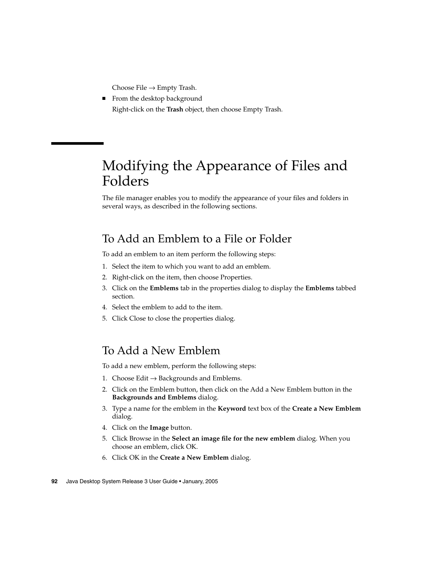Choose File  $\rightarrow$  Empty Trash.

<span id="page-91-0"></span>■ From the desktop background Right-click on the **Trash** object, then choose Empty Trash.

# Modifying the Appearance of Files and Folders

The file manager enables you to modify the appearance of your files and folders in several ways, as described in the following sections.

## To Add an Emblem to a File or Folder

To add an emblem to an item perform the following steps:

- 1. Select the item to which you want to add an emblem.
- 2. Right-click on the item, then choose Properties.
- 3. Click on the **Emblems** tab in the properties dialog to display the **Emblems** tabbed section.
- 4. Select the emblem to add to the item.
- 5. Click Close to close the properties dialog.

## To Add a New Emblem

To add a new emblem, perform the following steps:

- 1. Choose Edit  $\rightarrow$  Backgrounds and Emblems.
- 2. Click on the Emblem button, then click on the Add a New Emblem button in the **Backgrounds and Emblems** dialog.
- 3. Type a name for the emblem in the **Keyword** text box of the **Create a New Emblem** dialog.
- 4. Click on the **Image** button.
- 5. Click Browse in the **Select an image file for the new emblem** dialog. When you choose an emblem, click OK.
- 6. Click OK in the **Create a New Emblem** dialog.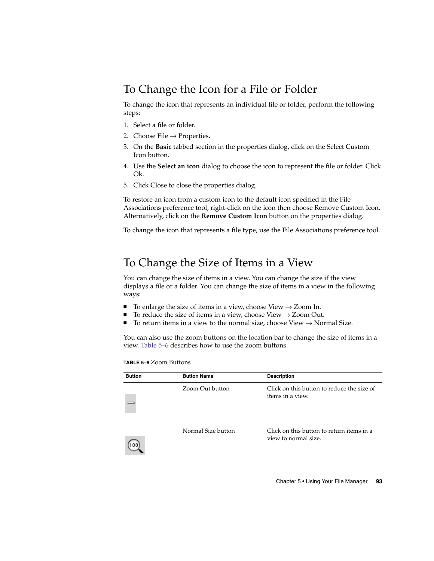# To Change the Icon for a File or Folder

To change the icon that represents an individual file or folder, perform the following steps:

- 1. Select a file or folder.
- 2. Choose File  $\rightarrow$  Properties.
- 3. On the **Basic** tabbed section in the properties dialog, click on the Select Custom Icon button.
- 4. Use the **Select an icon** dialog to choose the icon to represent the file or folder. Click Ok.
- 5. Click Close to close the properties dialog.

To restore an icon from a custom icon to the default icon specified in the File Associations preference tool, right-click on the icon then choose Remove Custom Icon. Alternatively, click on the **Remove Custom Icon** button on the properties dialog.

To change the icon that represents a file type, use the File Associations preference tool.

# To Change the Size of Items in a View

You can change the size of items in a view. You can change the size if the view displays a file or a folder. You can change the size of items in a view in the following ways:

- To enlarge the size of items in a view, choose View  $\rightarrow$  Zoom In.
- To reduce the size of items in a view, choose View  $\rightarrow$  Zoom Out.
- To return items in a view to the normal size, choose View  $\rightarrow$  Normal Size.

You can also use the zoom buttons on the location bar to change the size of items in a view. Table 5–6 describes how to use the zoom buttons.

**TABLE 5–6** Zoom Buttons

| <b>Button</b> | <b>Button Name</b> | <b>Description</b>                                                |
|---------------|--------------------|-------------------------------------------------------------------|
|               | Zoom Out button    | Click on this button to reduce the size of<br>items in a view.    |
|               | Normal Size button | Click on this button to return items in a<br>view to normal size. |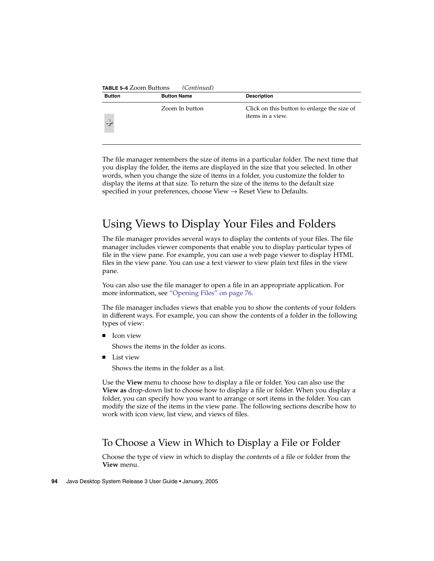| <b>Button</b> | <b>Button Name</b> | <b>Description</b>                                              |
|---------------|--------------------|-----------------------------------------------------------------|
| ÷             | Zoom In button     | Click on this button to enlarge the size of<br>items in a view. |

The file manager remembers the size of items in a particular folder. The next time that you display the folder, the items are displayed in the size that you selected. In other words, when you change the size of items in a folder, you customize the folder to display the items at that size. To return the size of the items to the default size specified in your preferences, choose View  $\rightarrow$  Reset View to Defaults.

# Using Views to Display Your Files and Folders

The file manager provides several ways to display the contents of your files. The file manager includes viewer components that enable you to display particular types of file in the view pane. For example, you can use a web page viewer to display HTML files in the view pane. You can use a text viewer to view plain text files in the view pane.

You can also use the file manager to open a file in an appropriate application. For more information, see ["Opening Files"](#page-75-0) on page 76.

The file manager includes views that enable you to show the contents of your folders in different ways. For example, you can show the contents of a folder in the following types of view:

■ Icon view

Shows the items in the folder as icons.

■ List view

Shows the items in the folder as a list.

Use the **View** menu to choose how to display a file or folder. You can also use the **View as** drop-down list to choose how to display a file or folder. When you display a folder, you can specify how you want to arrange or sort items in the folder. You can modify the size of the items in the view pane. The following sections describe how to work with icon view, list view, and views of files.

#### To Choose a View in Which to Display a File or Folder

Choose the type of view in which to display the contents of a file or folder from the **View** menu.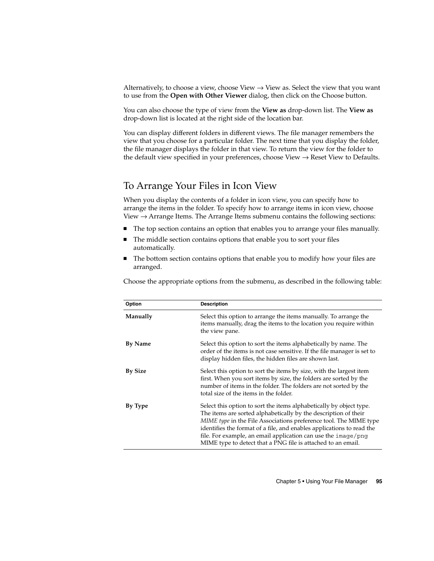Alternatively, to choose a view, choose View  $\rightarrow$  View as. Select the view that you want to use from the **Open with Other Viewer** dialog, then click on the Choose button.

You can also choose the type of view from the **View as** drop-down list. The **View as** drop-down list is located at the right side of the location bar.

You can display different folders in different views. The file manager remembers the view that you choose for a particular folder. The next time that you display the folder, the file manager displays the folder in that view. To return the view for the folder to the default view specified in your preferences, choose View  $\rightarrow$  Reset View to Defaults.

## To Arrange Your Files in Icon View

When you display the contents of a folder in icon view, you can specify how to arrange the items in the folder. To specify how to arrange items in icon view, choose View  $\rightarrow$  Arrange Items. The Arrange Items submenu contains the following sections:

- The top section contains an option that enables you to arrange your files manually.
- The middle section contains options that enable you to sort your files automatically.
- The bottom section contains options that enable you to modify how your files are arranged.

Choose the appropriate options from the submenu, as described in the following table:

| Option         | <b>Description</b>                                                                                                                                                                                                                                                                                                                                                                                                    |
|----------------|-----------------------------------------------------------------------------------------------------------------------------------------------------------------------------------------------------------------------------------------------------------------------------------------------------------------------------------------------------------------------------------------------------------------------|
| Manually       | Select this option to arrange the items manually. To arrange the<br>items manually, drag the items to the location you require within<br>the view pane.                                                                                                                                                                                                                                                               |
| By Name        | Select this option to sort the items alphabetically by name. The<br>order of the items is not case sensitive. If the file manager is set to<br>display hidden files, the hidden files are shown last.                                                                                                                                                                                                                 |
| <b>By Size</b> | Select this option to sort the items by size, with the largest item<br>first. When you sort items by size, the folders are sorted by the<br>number of items in the folder. The folders are not sorted by the<br>total size of the items in the folder.                                                                                                                                                                |
| By Type        | Select this option to sort the items alphabetically by object type.<br>The items are sorted alphabetically by the description of their<br>MIME type in the File Associations preference tool. The MIME type<br>identifies the format of a file, and enables applications to read the<br>file. For example, an email application can use the image/png<br>MIME type to detect that a PNG file is attached to an email. |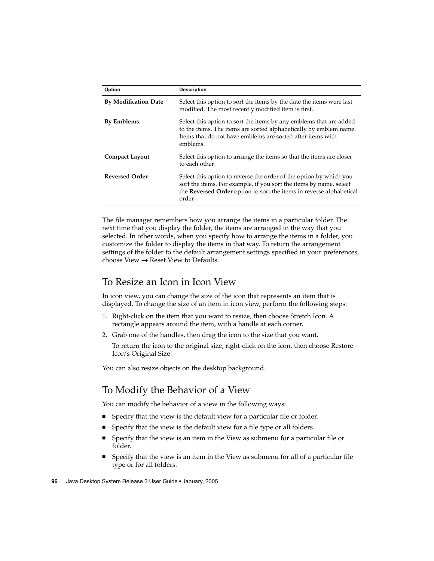| Option                      | <b>Description</b>                                                                                                                                                                                                        |
|-----------------------------|---------------------------------------------------------------------------------------------------------------------------------------------------------------------------------------------------------------------------|
| <b>By Modification Date</b> | Select this option to sort the items by the date the items were last<br>modified. The most recently modified item is first.                                                                                               |
| By Emblems                  | Select this option to sort the items by any emblems that are added<br>to the items. The items are sorted alphabetically by emblem name.<br>Items that do not have emblems are sorted after items with<br>emblems.         |
| <b>Compact Layout</b>       | Select this option to arrange the items so that the items are closer<br>to each other.                                                                                                                                    |
| <b>Reversed Order</b>       | Select this option to reverse the order of the option by which you<br>sort the items. For example, if you sort the items by name, select<br>the Reversed Order option to sort the items in reverse alphabetical<br>order. |

The file manager remembers how you arrange the items in a particular folder. The next time that you display the folder, the items are arranged in the way that you selected. In other words, when you specify how to arrange the items in a folder, you customize the folder to display the items in that way. To return the arrangement settings of the folder to the default arrangement settings specified in your preferences, choose View  $\rightarrow$  Reset View to Defaults.

#### To Resize an Icon in Icon View

In icon view, you can change the size of the icon that represents an item that is displayed. To change the size of an item in icon view, perform the following steps:

- 1. Right-click on the item that you want to resize, then choose Stretch Icon. A rectangle appears around the item, with a handle at each corner.
- 2. Grab one of the handles, then drag the icon to the size that you want.

To return the icon to the original size, right-click on the icon, then choose Restore Icon's Original Size.

You can also resize objects on the desktop background.

#### To Modify the Behavior of a View

You can modify the behavior of a view in the following ways:

- Specify that the view is the default view for a particular file or folder.
- Specify that the view is the default view for a file type or all folders.
- Specify that the view is an item in the View as submenu for a particular file or folder.
- Specify that the view is an item in the View as submenu for all of a particular file type or for all folders.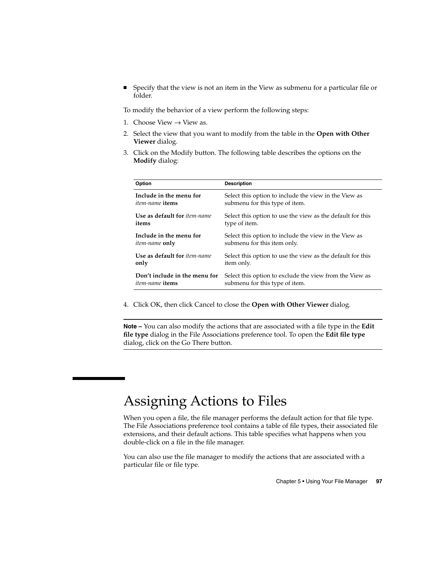■ Specify that the view is not an item in the View as submenu for a particular file or folder.

To modify the behavior of a view perform the following steps:

- 1. Choose View  $\rightarrow$  View as.
- 2. Select the view that you want to modify from the table in the **Open with Other Viewer** dialog.
- 3. Click on the Modify button. The following table describes the options on the **Modify** dialog:

| Option                              | <b>Description</b>                                         |
|-------------------------------------|------------------------------------------------------------|
| Include in the menu for             | Select this option to include the view in the View as      |
| <i>item-name items</i>              | submenu for this type of item.                             |
| Use as default for <i>item-name</i> | Select this option to use the view as the default for this |
| items                               | type of item.                                              |
| Include in the menu for             | Select this option to include the view in the View as      |
| <i>item-name</i> only               | submenu for this item only.                                |
| Use as default for <i>item-name</i> | Select this option to use the view as the default for this |
| only                                | item only.                                                 |
| Don't include in the menu for       | Select this option to exclude the view from the View as    |
| <i>item-name</i> items              | submenu for this type of item.                             |

4. Click OK, then click Cancel to close the **Open with Other Viewer** dialog.

**Note –** You can also modify the actions that are associated with a file type in the **Edit file type** dialog in the File Associations preference tool. To open the **Edit file type** dialog, click on the Go There button.

# Assigning Actions to Files

When you open a file, the file manager performs the default action for that file type. The File Associations preference tool contains a table of file types, their associated file extensions, and their default actions. This table specifies what happens when you double-click on a file in the file manager.

You can also use the file manager to modify the actions that are associated with a particular file or file type.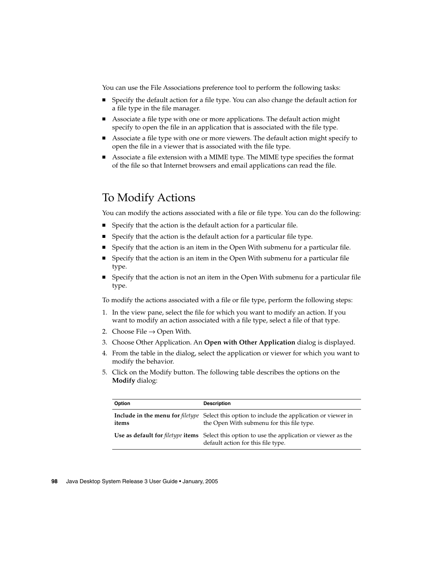You can use the File Associations preference tool to perform the following tasks:

- Specify the default action for a file type. You can also change the default action for a file type in the file manager.
- Associate a file type with one or more applications. The default action might specify to open the file in an application that is associated with the file type.
- Associate a file type with one or more viewers. The default action might specify to open the file in a viewer that is associated with the file type.
- Associate a file extension with a MIME type. The MIME type specifies the format of the file so that Internet browsers and email applications can read the file.

# To Modify Actions

You can modify the actions associated with a file or file type. You can do the following:

- Specify that the action is the default action for a particular file.
- Specify that the action is the default action for a particular file type.
- Specify that the action is an item in the Open With submenu for a particular file.
- Specify that the action is an item in the Open With submenu for a particular file type.
- Specify that the action is not an item in the Open With submenu for a particular file type.

To modify the actions associated with a file or file type, perform the following steps:

- 1. In the view pane, select the file for which you want to modify an action. If you want to modify an action associated with a file type, select a file of that type.
- 2. Choose File  $\rightarrow$  Open With.
- 3. Choose Other Application. An **Open with Other Application** dialog is displayed.
- 4. From the table in the dialog, select the application or viewer for which you want to modify the behavior.
- 5. Click on the Modify button. The following table describes the options on the **Modify** dialog:

| Option | <b>Description</b>                                                                                                                              |
|--------|-------------------------------------------------------------------------------------------------------------------------------------------------|
| items  | Include in the menu for <i>filetype</i> Select this option to include the application or viewer in<br>the Open With submenu for this file type. |
|        | Use as default for <i>filetype</i> items Select this option to use the application or viewer as the<br>default action for this file type.       |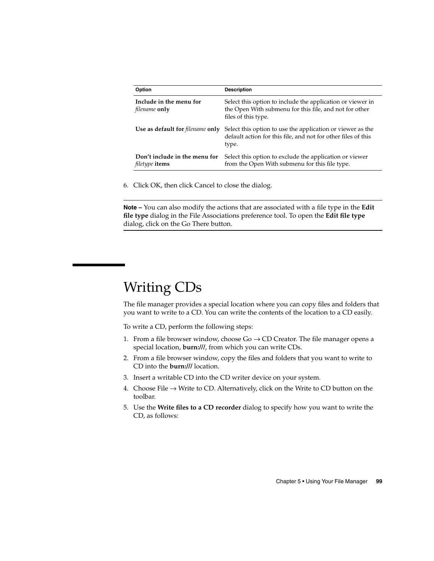| Option                                                        | <b>Description</b>                                                                                                                          |
|---------------------------------------------------------------|---------------------------------------------------------------------------------------------------------------------------------------------|
| Include in the menu for<br><i>filename</i> only               | Select this option to include the application or viewer in<br>the Open With submenu for this file, and not for other<br>files of this type. |
| Use as default for <i>filename</i> only                       | Select this option to use the application or viewer as the<br>default action for this file, and not for other files of this<br>type.        |
| Don't include in the menu for<br><i>filetype</i> <b>items</b> | Select this option to exclude the application or viewer<br>from the Open With submenu for this file type.                                   |

6. Click OK, then click Cancel to close the dialog.

**Note –** You can also modify the actions that are associated with a file type in the **Edit file type** dialog in the File Associations preference tool. To open the **Edit file type** dialog, click on the Go There button.

# Writing CDs

The file manager provides a special location where you can copy files and folders that you want to write to a CD. You can write the contents of the location to a CD easily.

To write a CD, perform the following steps:

- 1. From a file browser window, choose  $Go \rightarrow CD$  Creator. The file manager opens a special location, **burn:///**, from which you can write CDs.
- 2. From a file browser window, copy the files and folders that you want to write to CD into the **burn:///** location.
- 3. Insert a writable CD into the CD writer device on your system.
- 4. Choose File  $\rightarrow$  Write to CD. Alternatively, click on the Write to CD button on the toolbar.
- 5. Use the **Write files to a CD recorder** dialog to specify how you want to write the CD, as follows: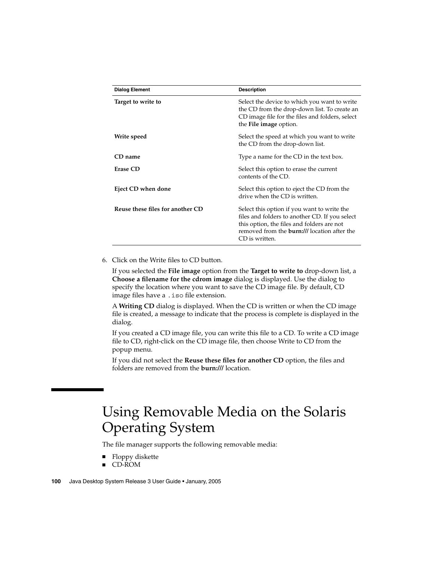| <b>Dialog Element</b>            | <b>Description</b>                                                                                                                                                                                                   |
|----------------------------------|----------------------------------------------------------------------------------------------------------------------------------------------------------------------------------------------------------------------|
| Target to write to               | Select the device to which you want to write<br>the CD from the drop-down list. To create an<br>CD image file for the files and folders, select<br>the File image option.                                            |
| Write speed                      | Select the speed at which you want to write<br>the CD from the drop-down list.                                                                                                                                       |
| CD name                          | Type a name for the CD in the text box.                                                                                                                                                                              |
| <b>Erase CD</b>                  | Select this option to erase the current<br>contents of the CD.                                                                                                                                                       |
| Eject CD when done               | Select this option to eject the CD from the<br>drive when the CD is written.                                                                                                                                         |
| Reuse these files for another CD | Select this option if you want to write the<br>files and folders to another CD. If you select<br>this option, the files and folders are not<br>removed from the <b>burn:///</b> location after the<br>CD is written. |

#### 6. Click on the Write files to CD button.

If you selected the **File image** option from the **Target to write to** drop-down list, a **Choose a filename for the cdrom image** dialog is displayed. Use the dialog to specify the location where you want to save the CD image file. By default, CD image files have a .iso file extension.

A **Writing CD** dialog is displayed. When the CD is written or when the CD image file is created, a message to indicate that the process is complete is displayed in the dialog.

If you created a CD image file, you can write this file to a CD. To write a CD image file to CD, right-click on the CD image file, then choose Write to CD from the popup menu.

If you did not select the **Reuse these files for another CD** option, the files and folders are removed from the **burn:///** location.

# Using Removable Media on the Solaris Operating System

The file manager supports the following removable media:

- Floppy diskette
- CD-ROM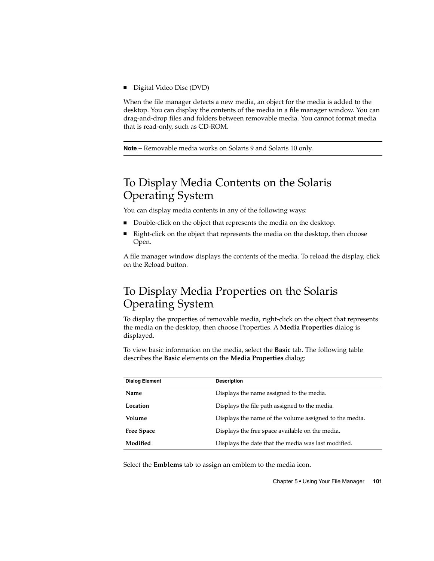■ Digital Video Disc (DVD)

When the file manager detects a new media, an object for the media is added to the desktop. You can display the contents of the media in a file manager window. You can drag-and-drop files and folders between removable media. You cannot format media that is read-only, such as CD-ROM.

**Note –** Removable media works on Solaris 9 and Solaris 10 only.

# To Display Media Contents on the Solaris Operating System

You can display media contents in any of the following ways:

- Double-click on the object that represents the media on the desktop.
- Right-click on the object that represents the media on the desktop, then choose Open.

A file manager window displays the contents of the media. To reload the display, click on the Reload button.

# To Display Media Properties on the Solaris Operating System

To display the properties of removable media, right-click on the object that represents the media on the desktop, then choose Properties. A **Media Properties** dialog is displayed.

To view basic information on the media, select the **Basic** tab. The following table describes the **Basic** elements on the **Media Properties** dialog:

| <b>Dialog Element</b> | <b>Description</b>                                     |
|-----------------------|--------------------------------------------------------|
| <b>Name</b>           | Displays the name assigned to the media.               |
| Location              | Displays the file path assigned to the media.          |
| Volume                | Displays the name of the volume assigned to the media. |
| <b>Free Space</b>     | Displays the free space available on the media.        |
| Modified              | Displays the date that the media was last modified.    |

Select the **Emblems** tab to assign an emblem to the media icon.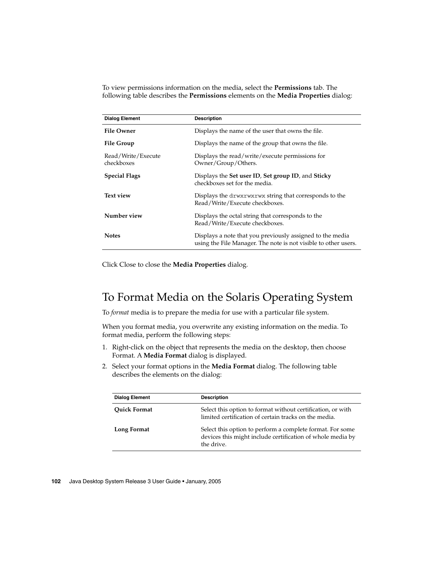To view permissions information on the media, select the **Permissions** tab. The following table describes the **Permissions** elements on the **Media Properties** dialog:

| <b>Dialog Element</b>            | <b>Description</b>                                                                                                           |
|----------------------------------|------------------------------------------------------------------------------------------------------------------------------|
| <b>File Owner</b>                | Displays the name of the user that owns the file.                                                                            |
| <b>File Group</b>                | Displays the name of the group that owns the file.                                                                           |
| Read/Write/Execute<br>checkboxes | Displays the read/write/execute permissions for<br>Owner/Group/Others.                                                       |
| <b>Special Flags</b>             | Displays the Set user ID, Set group ID, and Sticky<br>checkboxes set for the media.                                          |
| Text view                        | Displays the drwxrwxrwx string that corresponds to the<br>Read/Write/Execute checkboxes.                                     |
| Number view                      | Displays the octal string that corresponds to the<br>Read/Write/Execute checkboxes.                                          |
| <b>Notes</b>                     | Displays a note that you previously assigned to the media<br>using the File Manager. The note is not visible to other users. |

Click Close to close the **Media Properties** dialog.

## To Format Media on the Solaris Operating System

To *format* media is to prepare the media for use with a particular file system.

When you format media, you overwrite any existing information on the media. To format media, perform the following steps:

- 1. Right-click on the object that represents the media on the desktop, then choose Format. A **Media Format** dialog is displayed.
- 2. Select your format options in the **Media Format** dialog. The following table describes the elements on the dialog:

| <b>Dialog Element</b> | <b>Description</b>                                                                                                                    |
|-----------------------|---------------------------------------------------------------------------------------------------------------------------------------|
| <b>Ouick Format</b>   | Select this option to format without certification, or with<br>limited certification of certain tracks on the media.                  |
| Long Format           | Select this option to perform a complete format. For some<br>devices this might include certification of whole media by<br>the drive. |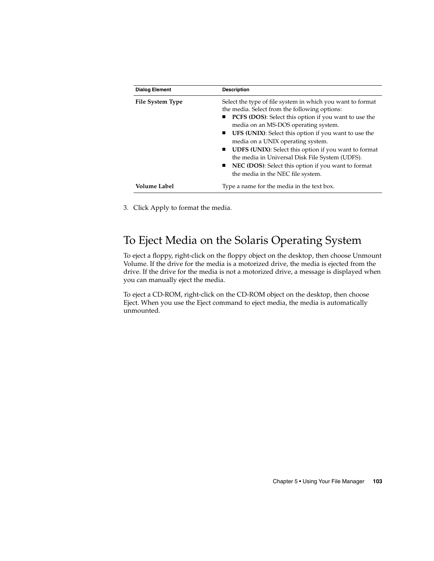| <b>Dialog Element</b> | <b>Description</b>                                                                                                                                                                                                                                                                                                                                                                                                                                                                                                                    |
|-----------------------|---------------------------------------------------------------------------------------------------------------------------------------------------------------------------------------------------------------------------------------------------------------------------------------------------------------------------------------------------------------------------------------------------------------------------------------------------------------------------------------------------------------------------------------|
| File System Type      | Select the type of file system in which you want to format<br>the media. Select from the following options:<br><b>PCFS (DOS)</b> : Select this option if you want to use the<br>media on an MS-DOS operating system.<br><b>UFS (UNIX):</b> Select this option if you want to use the<br>media on a UNIX operating system.<br>■ UDFS (UNIX): Select this option if you want to format<br>the media in Universal Disk File System (UDFS).<br>■ NEC (DOS): Select this option if you want to format<br>the media in the NEC file system. |
| Volume Label          | Type a name for the media in the text box.                                                                                                                                                                                                                                                                                                                                                                                                                                                                                            |

3. Click Apply to format the media.

# To Eject Media on the Solaris Operating System

To eject a floppy, right-click on the floppy object on the desktop, then choose Unmount Volume. If the drive for the media is a motorized drive, the media is ejected from the drive. If the drive for the media is not a motorized drive, a message is displayed when you can manually eject the media.

To eject a CD-ROM, right-click on the CD-ROM object on the desktop, then choose Eject. When you use the Eject command to eject media, the media is automatically unmounted.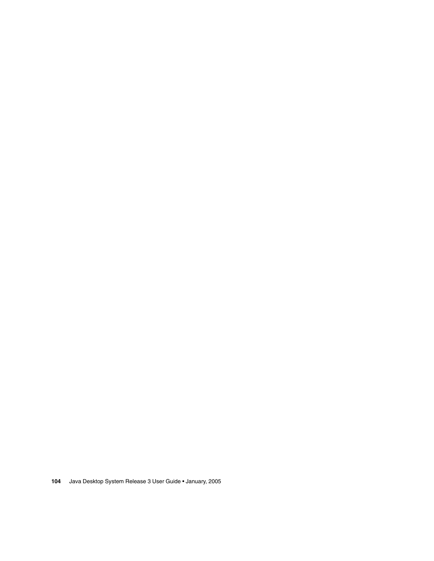Java Desktop System Release 3 User Guide • January, 2005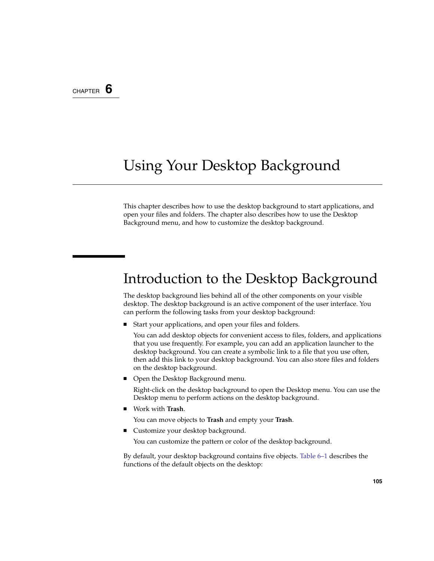#### CHAPTER **6**

# Using Your Desktop Background

This chapter describes how to use the desktop background to start applications, and open your files and folders. The chapter also describes how to use the Desktop Background menu, and how to customize the desktop background.

# Introduction to the Desktop Background

The desktop background lies behind all of the other components on your visible desktop. The desktop background is an active component of the user interface. You can perform the following tasks from your desktop background:

■ Start your applications, and open your files and folders.

You can add desktop objects for convenient access to files, folders, and applications that you use frequently. For example, you can add an application launcher to the desktop background. You can create a symbolic link to a file that you use often, then add this link to your desktop background. You can also store files and folders on the desktop background.

■ Open the Desktop Background menu.

Right-click on the desktop background to open the Desktop menu. You can use the Desktop menu to perform actions on the desktop background.

■ Work with **Trash**.

You can move objects to **Trash** and empty your **Trash**.

■ Customize your desktop background.

You can customize the pattern or color of the desktop background.

By default, your desktop background contains five objects. [Table 6–1](#page-105-0) describes the functions of the default objects on the desktop: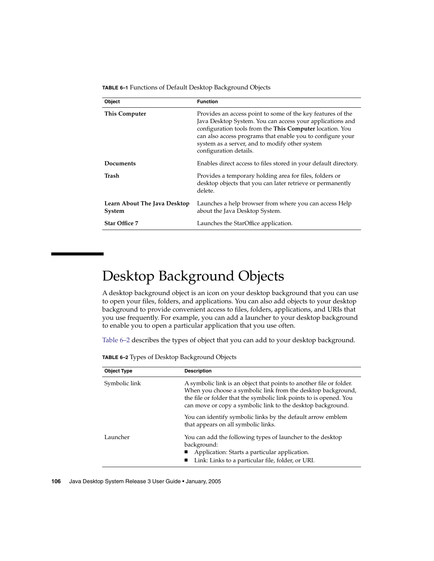<span id="page-105-0"></span>**TABLE 6–1** Functions of Default Desktop Background Objects

| <b>Object</b>                          | <b>Function</b>                                                                                                                                                                                                                                                                                                                |
|----------------------------------------|--------------------------------------------------------------------------------------------------------------------------------------------------------------------------------------------------------------------------------------------------------------------------------------------------------------------------------|
| <b>This Computer</b>                   | Provides an access point to some of the key features of the<br>Java Desktop System. You can access your applications and<br>configuration tools from the This Computer location. You<br>can also access programs that enable you to configure your<br>system as a server, and to modify other system<br>configuration details. |
| Documents                              | Enables direct access to files stored in your default directory.                                                                                                                                                                                                                                                               |
| Trash                                  | Provides a temporary holding area for files, folders or<br>desktop objects that you can later retrieve or permanently<br>delete.                                                                                                                                                                                               |
| Learn About The Java Desktop<br>System | Launches a help browser from where you can access Help<br>about the Java Desktop System.                                                                                                                                                                                                                                       |
| <b>Star Office 7</b>                   | Launches the StarOffice application.                                                                                                                                                                                                                                                                                           |

# Desktop Background Objects

A desktop background object is an icon on your desktop background that you can use to open your files, folders, and applications. You can also add objects to your desktop background to provide convenient access to files, folders, applications, and URIs that you use frequently. For example, you can add a launcher to your desktop background to enable you to open a particular application that you use often.

Table 6–2 describes the types of object that you can add to your desktop background.

**TABLE 6–2** Types of Desktop Background Objects

| <b>Object Type</b> | <b>Description</b>                                                                                                                                                                                                                                                       |
|--------------------|--------------------------------------------------------------------------------------------------------------------------------------------------------------------------------------------------------------------------------------------------------------------------|
| Symbolic link      | A symbolic link is an object that points to another file or folder.<br>When you choose a symbolic link from the desktop background,<br>the file or folder that the symbolic link points to is opened. You<br>can move or copy a symbolic link to the desktop background. |
|                    | You can identify symbolic links by the default arrow emblem<br>that appears on all symbolic links.                                                                                                                                                                       |
| Launcher           | You can add the following types of launcher to the desktop<br>background:<br>Application: Starts a particular application.<br>Link: Links to a particular file, folder, or URI.<br>п                                                                                     |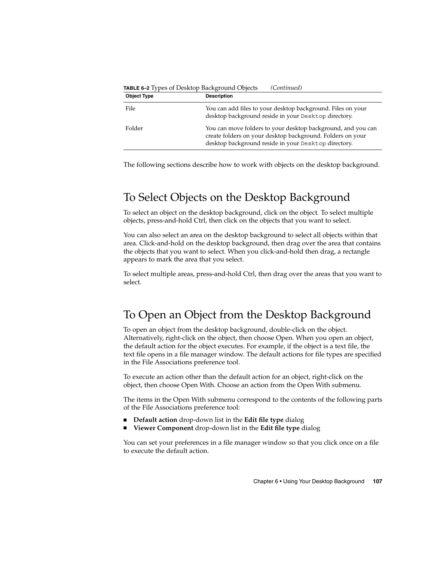| <b>Object Type</b> | <b>TABLE 6–2</b> Types of Desktop Background Objects<br>(Continued)<br><b>Description</b>                                                                                          |
|--------------------|------------------------------------------------------------------------------------------------------------------------------------------------------------------------------------|
| File               | You can add files to your desktop background. Files on your<br>desktop background reside in your Desktop directory.                                                                |
| Folder             | You can move folders to your desktop background, and you can<br>create folders on your desktop background. Folders on your<br>desktop background reside in your Desktop directory. |

**TABLE 6–2** Types of Desktop Background Objects *(Continued)*

The following sections describe how to work with objects on the desktop background.

# To Select Objects on the Desktop Background

To select an object on the desktop background, click on the object. To select multiple objects, press-and-hold Ctrl, then click on the objects that you want to select.

You can also select an area on the desktop background to select all objects within that area. Click-and-hold on the desktop background, then drag over the area that contains the objects that you want to select. When you click-and-hold then drag, a rectangle appears to mark the area that you select.

To select multiple areas, press-and-hold Ctrl, then drag over the areas that you want to select.

# To Open an Object from the Desktop Background

To open an object from the desktop background, double-click on the object. Alternatively, right-click on the object, then choose Open. When you open an object, the default action for the object executes. For example, if the object is a text file, the text file opens in a file manager window. The default actions for file types are specified in the File Associations preference tool.

To execute an action other than the default action for an object, right-click on the object, then choose Open With. Choose an action from the Open With submenu.

The items in the Open With submenu correspond to the contents of the following parts of the File Associations preference tool:

- **Default action** drop-down list in the **Edit file type** dialog
- **Viewer Component** drop-down list in the **Edit file type** dialog

You can set your preferences in a file manager window so that you click once on a file to execute the default action.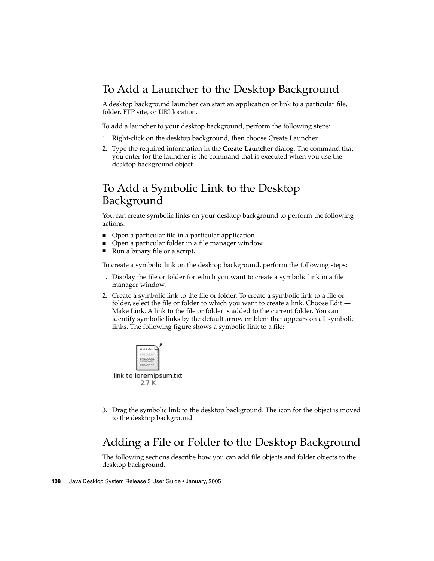# To Add a Launcher to the Desktop Background

A desktop background launcher can start an application or link to a particular file, folder, FTP site, or URI location.

To add a launcher to your desktop background, perform the following steps:

- 1. Right-click on the desktop background, then choose Create Launcher.
- 2. Type the required information in the **Create Launcher** dialog. The command that you enter for the launcher is the command that is executed when you use the desktop background object.

## To Add a Symbolic Link to the Desktop Background

You can create symbolic links on your desktop background to perform the following actions:

- Open a particular file in a particular application.
- Open a particular folder in a file manager window.
- Run a binary file or a script.

To create a symbolic link on the desktop background, perform the following steps:

- 1. Display the file or folder for which you want to create a symbolic link in a file manager window.
- 2. Create a symbolic link to the file or folder. To create a symbolic link to a file or folder, select the file or folder to which you want to create a link. Choose Edit  $\rightarrow$ Make Link. A link to the file or folder is added to the current folder. You can identify symbolic links by the default arrow emblem that appears on all symbolic links. The following figure shows a symbolic link to a file:



link to loremipsum.txt 2.7 K

3. Drag the symbolic link to the desktop background. The icon for the object is moved to the desktop background.

## Adding a File or Folder to the Desktop Background

The following sections describe how you can add file objects and folder objects to the desktop background.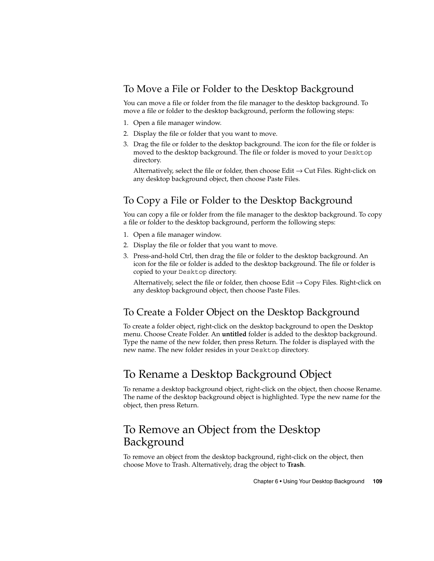#### To Move a File or Folder to the Desktop Background

You can move a file or folder from the file manager to the desktop background. To move a file or folder to the desktop background, perform the following steps:

- 1. Open a file manager window.
- 2. Display the file or folder that you want to move.
- 3. Drag the file or folder to the desktop background. The icon for the file or folder is moved to the desktop background. The file or folder is moved to your Desktop directory.

Alternatively, select the file or folder, then choose Edit  $\rightarrow$  Cut Files. Right-click on any desktop background object, then choose Paste Files.

### To Copy a File or Folder to the Desktop Background

You can copy a file or folder from the file manager to the desktop background. To copy a file or folder to the desktop background, perform the following steps:

- 1. Open a file manager window.
- 2. Display the file or folder that you want to move.
- 3. Press-and-hold Ctrl, then drag the file or folder to the desktop background. An icon for the file or folder is added to the desktop background. The file or folder is copied to your Desktop directory.

Alternatively, select the file or folder, then choose Edit  $\rightarrow$  Copy Files. Right-click on any desktop background object, then choose Paste Files.

#### To Create a Folder Object on the Desktop Background

To create a folder object, right-click on the desktop background to open the Desktop menu. Choose Create Folder. An **untitled** folder is added to the desktop background. Type the name of the new folder, then press Return. The folder is displayed with the new name. The new folder resides in your Desktop directory.

## To Rename a Desktop Background Object

To rename a desktop background object, right-click on the object, then choose Rename. The name of the desktop background object is highlighted. Type the new name for the object, then press Return.

### To Remove an Object from the Desktop Background

To remove an object from the desktop background, right-click on the object, then choose Move to Trash. Alternatively, drag the object to **Trash**.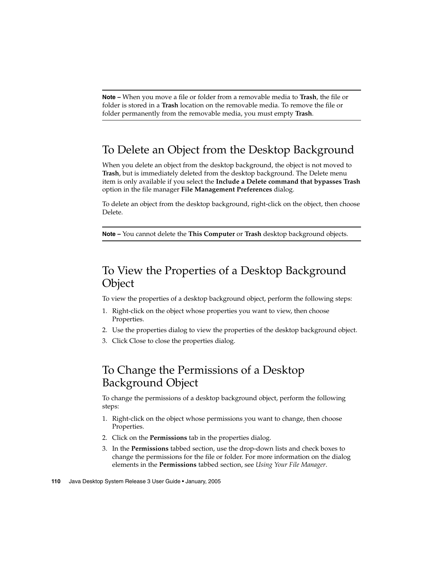**Note –** When you move a file or folder from a removable media to **Trash**, the file or folder is stored in a **Trash** location on the removable media. To remove the file or folder permanently from the removable media, you must empty **Trash**.

### To Delete an Object from the Desktop Background

When you delete an object from the desktop background, the object is not moved to **Trash**, but is immediately deleted from the desktop background. The Delete menu item is only available if you select the **Include a Delete command that bypasses Trash** option in the file manager **File Management Preferences** dialog.

To delete an object from the desktop background, right-click on the object, then choose Delete.

**Note –** You cannot delete the **This Computer** or **Trash** desktop background objects.

### To View the Properties of a Desktop Background **Object**

To view the properties of a desktop background object, perform the following steps:

- 1. Right-click on the object whose properties you want to view, then choose Properties.
- 2. Use the properties dialog to view the properties of the desktop background object.
- 3. Click Close to close the properties dialog.

### To Change the Permissions of a Desktop Background Object

To change the permissions of a desktop background object, perform the following steps:

- 1. Right-click on the object whose permissions you want to change, then choose Properties.
- 2. Click on the **Permissions** tab in the properties dialog.
- 3. In the **Permissions** tabbed section, use the drop-down lists and check boxes to change the permissions for the file or folder. For more information on the dialog elements in the **Permissions** tabbed section, see *Using Your File Manager*.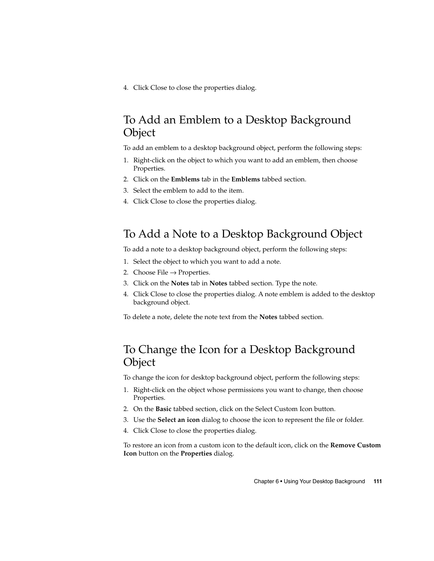4. Click Close to close the properties dialog.

### To Add an Emblem to a Desktop Background Object

To add an emblem to a desktop background object, perform the following steps:

- 1. Right-click on the object to which you want to add an emblem, then choose Properties.
- 2. Click on the **Emblems** tab in the **Emblems** tabbed section.
- 3. Select the emblem to add to the item.
- 4. Click Close to close the properties dialog.

### To Add a Note to a Desktop Background Object

To add a note to a desktop background object, perform the following steps:

- 1. Select the object to which you want to add a note.
- 2. Choose File  $\rightarrow$  Properties.
- 3. Click on the **Notes** tab in **Notes** tabbed section. Type the note.
- 4. Click Close to close the properties dialog. A note emblem is added to the desktop background object.

To delete a note, delete the note text from the **Notes** tabbed section.

### To Change the Icon for a Desktop Background Object

To change the icon for desktop background object, perform the following steps:

- 1. Right-click on the object whose permissions you want to change, then choose Properties.
- 2. On the **Basic** tabbed section, click on the Select Custom Icon button.
- 3. Use the **Select an icon** dialog to choose the icon to represent the file or folder.
- 4. Click Close to close the properties dialog.

To restore an icon from a custom icon to the default icon, click on the **Remove Custom Icon** button on the **Properties** dialog.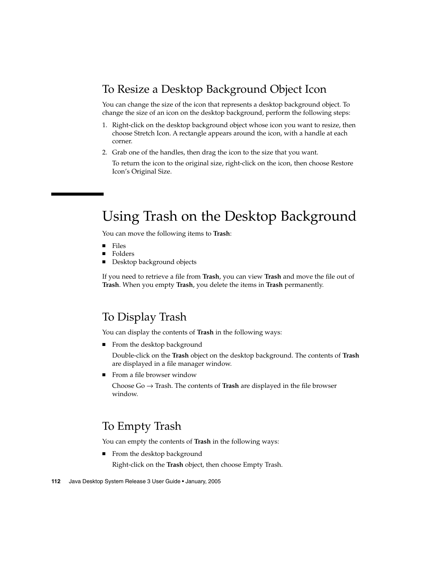### To Resize a Desktop Background Object Icon

You can change the size of the icon that represents a desktop background object. To change the size of an icon on the desktop background, perform the following steps:

- 1. Right-click on the desktop background object whose icon you want to resize, then choose Stretch Icon. A rectangle appears around the icon, with a handle at each corner.
- 2. Grab one of the handles, then drag the icon to the size that you want.

To return the icon to the original size, right-click on the icon, then choose Restore Icon's Original Size.

## Using Trash on the Desktop Background

You can move the following items to **Trash**:

- Files
- **Folders**
- Desktop background objects

If you need to retrieve a file from **Trash**, you can view **Trash** and move the file out of **Trash**. When you empty **Trash**, you delete the items in **Trash** permanently.

### To Display Trash

You can display the contents of **Trash** in the following ways:

■ From the desktop background

Double-click on the **Trash** object on the desktop background. The contents of **Trash** are displayed in a file manager window.

From a file browser window

Choose Go → Trash. The contents of **Trash** are displayed in the file browser window.

### To Empty Trash

You can empty the contents of **Trash** in the following ways:

■ From the desktop background Right-click on the **Trash** object, then choose Empty Trash.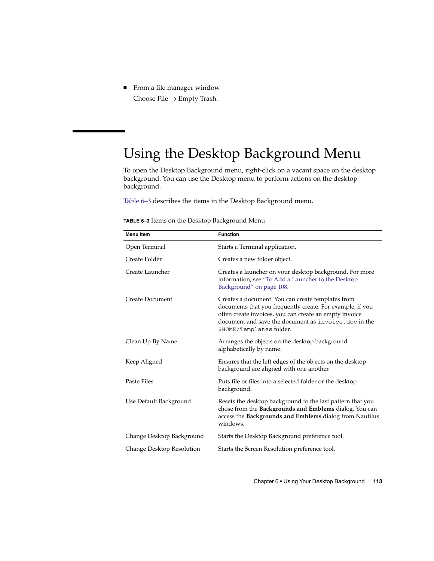■ From a file manager window Choose File  $\rightarrow$  Empty Trash.

# Using the Desktop Background Menu

To open the Desktop Background menu, right-click on a vacant space on the desktop background. You can use the Desktop menu to perform actions on the desktop background.

Table 6–3 describes the items in the Desktop Background menu.

| <b>Menu Item</b>          | <b>Function</b>                                                                                                                                                                                                                                               |
|---------------------------|---------------------------------------------------------------------------------------------------------------------------------------------------------------------------------------------------------------------------------------------------------------|
| Open Terminal             | Starts a Terminal application.                                                                                                                                                                                                                                |
| Create Folder             | Creates a new folder object.                                                                                                                                                                                                                                  |
| Create Launcher           | Creates a launcher on your desktop background. For more<br>information, see "To Add a Launcher to the Desktop<br>Background" on page 108.                                                                                                                     |
| Create Document           | Creates a document. You can create templates from<br>documents that you frequently create. For example, if you<br>often create invoices, you can create an empty invoice<br>document and save the document as invoice. doc in the<br>\$HOME/Templates folder. |
| Clean Up By Name          | Arranges the objects on the desktop background<br>alphabetically by name.                                                                                                                                                                                     |
| Keep Aligned              | Ensures that the left edges of the objects on the desktop<br>background are aligned with one another.                                                                                                                                                         |
| Paste Files               | Puts file or files into a selected folder or the desktop<br>background.                                                                                                                                                                                       |
| Use Default Background    | Resets the desktop background to the last pattern that you<br>chose from the Backgrounds and Emblems dialog. You can<br>access the Backgrounds and Emblems dialog from Nautilus<br>windows.                                                                   |
| Change Desktop Background | Starts the Desktop Background preference tool.                                                                                                                                                                                                                |
| Change Desktop Resolution | Starts the Screen Resolution preference tool.                                                                                                                                                                                                                 |

**TABLE 6–3** Items on the Desktop Background Menu

l,

Chapter 6 • Using Your Desktop Background **113**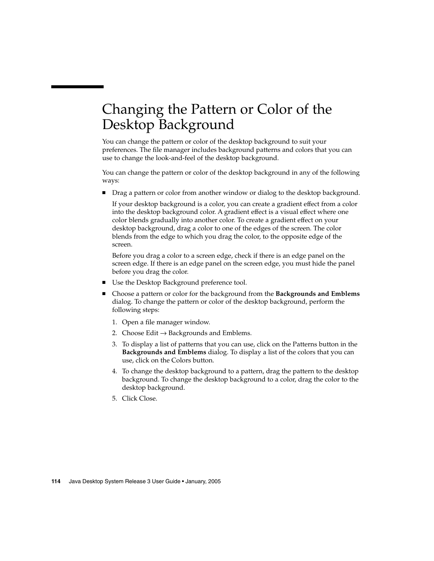# Changing the Pattern or Color of the Desktop Background

You can change the pattern or color of the desktop background to suit your preferences. The file manager includes background patterns and colors that you can use to change the look-and-feel of the desktop background.

You can change the pattern or color of the desktop background in any of the following ways:

■ Drag a pattern or color from another window or dialog to the desktop background.

If your desktop background is a color, you can create a gradient effect from a color into the desktop background color. A gradient effect is a visual effect where one color blends gradually into another color. To create a gradient effect on your desktop background, drag a color to one of the edges of the screen. The color blends from the edge to which you drag the color, to the opposite edge of the screen.

Before you drag a color to a screen edge, check if there is an edge panel on the screen edge. If there is an edge panel on the screen edge, you must hide the panel before you drag the color.

- Use the Desktop Background preference tool.
- Choose a pattern or color for the background from the **Backgrounds and Emblems** dialog. To change the pattern or color of the desktop background, perform the following steps:
	- 1. Open a file manager window.
	- 2. Choose Edit  $\rightarrow$  Backgrounds and Emblems.
	- 3. To display a list of patterns that you can use, click on the Patterns button in the **Backgrounds and Emblems** dialog. To display a list of the colors that you can use, click on the Colors button.
	- 4. To change the desktop background to a pattern, drag the pattern to the desktop background. To change the desktop background to a color, drag the color to the desktop background.
	- 5. Click Close.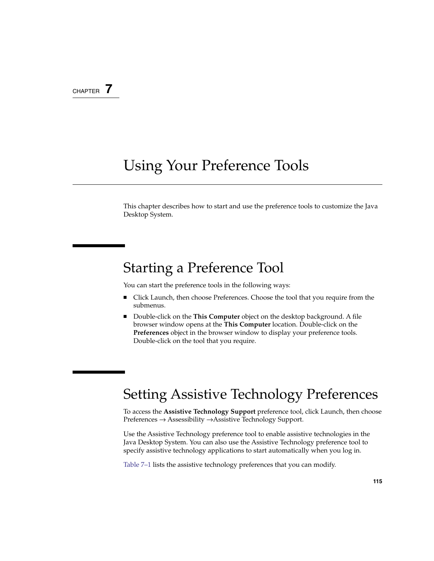#### CHAPTER **7**

## Using Your Preference Tools

This chapter describes how to start and use the preference tools to customize the Java Desktop System.

## Starting a Preference Tool

You can start the preference tools in the following ways:

- Click Launch, then choose Preferences. Choose the tool that you require from the submenus.
- Double-click on the **This Computer** object on the desktop background. A file browser window opens at the **This Computer** location. Double-click on the **Preferences** object in the browser window to display your preference tools. Double-click on the tool that you require.

# Setting Assistive Technology Preferences

To access the **Assistive Technology Support** preference tool, click Launch, then choose Preferences → Assessibility →Assistive Technology Support.

Use the Assistive Technology preference tool to enable assistive technologies in the Java Desktop System. You can also use the Assistive Technology preference tool to specify assistive technology applications to start automatically when you log in.

[Table 7–1](#page-115-0) lists the assistive technology preferences that you can modify.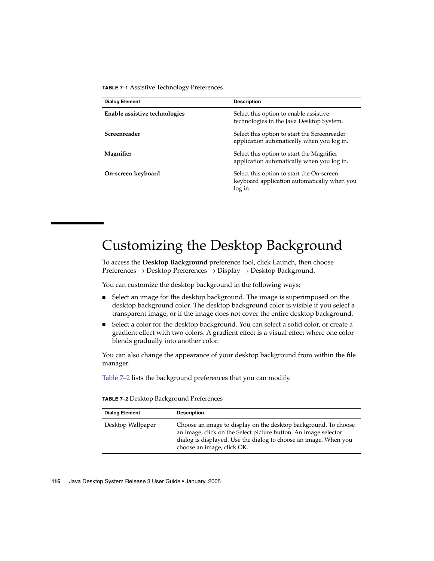<span id="page-115-0"></span>**TABLE 7–1** Assistive Technology Preferences

| <b>Dialog Element</b>         | <b>Description</b>                                                                                  |
|-------------------------------|-----------------------------------------------------------------------------------------------------|
| Enable assistive technologies | Select this option to enable assistive<br>technologies in the Java Desktop System.                  |
| Screenreader                  | Select this option to start the Screenreader<br>application automatically when you log in.          |
| Magnifier                     | Select this option to start the Magnifier<br>application automatically when you log in.             |
| On-screen keyboard            | Select this option to start the On-screen<br>keyboard application automatically when you<br>log in. |

## Customizing the Desktop Background

To access the **Desktop Background** preference tool, click Launch, then choose Preferences → Desktop Preferences → Display → Desktop Background.

You can customize the desktop background in the following ways:

- Select an image for the desktop background. The image is superimposed on the desktop background color. The desktop background color is visible if you select a transparent image, or if the image does not cover the entire desktop background.
- Select a color for the desktop background. You can select a solid color, or create a gradient effect with two colors. A gradient effect is a visual effect where one color blends gradually into another color.

You can also change the appearance of your desktop background from within the file manager.

Table 7–2 lists the background preferences that you can modify.

| <b>Dialog Element</b> | <b>Description</b>                                                                                                                                                                                                                   |
|-----------------------|--------------------------------------------------------------------------------------------------------------------------------------------------------------------------------------------------------------------------------------|
| Desktop Wallpaper     | Choose an image to display on the desktop background. To choose<br>an image, click on the Select picture button. An image selector<br>dialog is displayed. Use the dialog to choose an image. When you<br>choose an image, click OK. |

| TABLE 7-2 Desktop Background Preferences |  |
|------------------------------------------|--|
|                                          |  |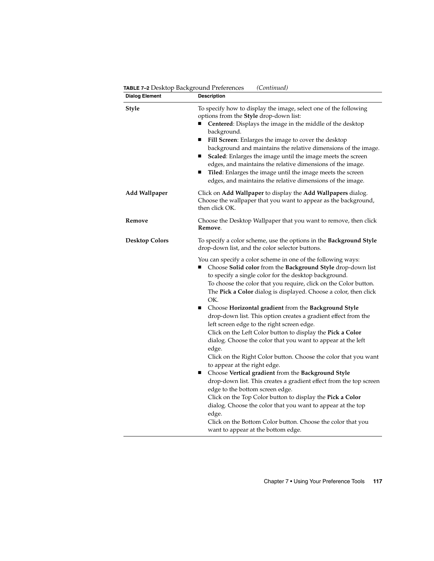| <b>Dialog Element</b> | <b>Description</b>                                                                                                                                                                                                                                                                                                                                                                                                                                                                                                                                                                                                                                                                                                                                                                                                                                                                                                                                                                                                                                                                                                                                                            |
|-----------------------|-------------------------------------------------------------------------------------------------------------------------------------------------------------------------------------------------------------------------------------------------------------------------------------------------------------------------------------------------------------------------------------------------------------------------------------------------------------------------------------------------------------------------------------------------------------------------------------------------------------------------------------------------------------------------------------------------------------------------------------------------------------------------------------------------------------------------------------------------------------------------------------------------------------------------------------------------------------------------------------------------------------------------------------------------------------------------------------------------------------------------------------------------------------------------------|
| <b>Style</b>          | To specify how to display the image, select one of the following<br>options from the Style drop-down list:<br><b>Centered:</b> Displays the image in the middle of the desktop<br>background.<br>Fill Screen: Enlarges the image to cover the desktop<br>п<br>background and maintains the relative dimensions of the image.<br>Scaled: Enlarges the image until the image meets the screen<br>п<br>edges, and maintains the relative dimensions of the image.<br>Tiled: Enlarges the image until the image meets the screen<br>ш<br>edges, and maintains the relative dimensions of the image.                                                                                                                                                                                                                                                                                                                                                                                                                                                                                                                                                                               |
| <b>Add Wallpaper</b>  | Click on Add Wallpaper to display the Add Wallpapers dialog.<br>Choose the wallpaper that you want to appear as the background,<br>then click OK.                                                                                                                                                                                                                                                                                                                                                                                                                                                                                                                                                                                                                                                                                                                                                                                                                                                                                                                                                                                                                             |
| Remove                | Choose the Desktop Wallpaper that you want to remove, then click<br>Remove.                                                                                                                                                                                                                                                                                                                                                                                                                                                                                                                                                                                                                                                                                                                                                                                                                                                                                                                                                                                                                                                                                                   |
| <b>Desktop Colors</b> | To specify a color scheme, use the options in the <b>Background Style</b><br>drop-down list, and the color selector buttons.                                                                                                                                                                                                                                                                                                                                                                                                                                                                                                                                                                                                                                                                                                                                                                                                                                                                                                                                                                                                                                                  |
|                       | You can specify a color scheme in one of the following ways:<br>Choose Solid color from the Background Style drop-down list<br>п<br>to specify a single color for the desktop background.<br>To choose the color that you require, click on the Color button.<br>The Pick a Color dialog is displayed. Choose a color, then click<br>OK.<br>п<br>Choose Horizontal gradient from the Background Style<br>drop-down list. This option creates a gradient effect from the<br>left screen edge to the right screen edge.<br>Click on the Left Color button to display the Pick a Color<br>dialog. Choose the color that you want to appear at the left<br>edge.<br>Click on the Right Color button. Choose the color that you want<br>to appear at the right edge.<br>Choose Vertical gradient from the Background Style<br>п<br>drop-down list. This creates a gradient effect from the top screen<br>edge to the bottom screen edge.<br>Click on the Top Color button to display the Pick a Color<br>dialog. Choose the color that you want to appear at the top<br>edge.<br>Click on the Bottom Color button. Choose the color that you<br>want to appear at the bottom edge. |

**TABLE 7–2** Desktop Background Preferences *(Continued)*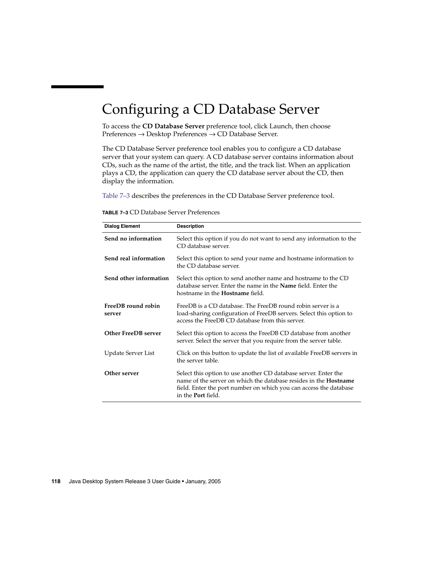# Configuring a CD Database Server

To access the **CD Database Server** preference tool, click Launch, then choose Preferences → Desktop Preferences → CD Database Server.

The CD Database Server preference tool enables you to configure a CD database server that your system can query. A CD database server contains information about CDs, such as the name of the artist, the title, and the track list. When an application plays a CD, the application can query the CD database server about the CD, then display the information.

Table 7–3 describes the preferences in the CD Database Server preference tool.

| <b>Dialog Element</b>        | <b>Description</b>                                                                                                                                                                                                                           |
|------------------------------|----------------------------------------------------------------------------------------------------------------------------------------------------------------------------------------------------------------------------------------------|
| Send no information          | Select this option if you do not want to send any information to the<br>CD database server.                                                                                                                                                  |
| Send real information        | Select this option to send your name and hostname information to<br>the CD database server.                                                                                                                                                  |
| Send other information       | Select this option to send another name and hostname to the CD<br>database server. Enter the name in the <b>Name</b> field. Enter the<br>hostname in the <b>Hostname</b> field.                                                              |
| FreeDB round robin<br>server | FreeDB is a CD database. The FreeDB round robin server is a<br>load-sharing configuration of FreeDB servers. Select this option to<br>access the FreeDB CD database from this server.                                                        |
| Other FreeDB server          | Select this option to access the FreeDB CD database from another<br>server. Select the server that you require from the server table.                                                                                                        |
| Update Server List           | Click on this button to update the list of available FreeDB servers in<br>the server table.                                                                                                                                                  |
| Other server                 | Select this option to use another CD database server. Enter the<br>name of the server on which the database resides in the <b>Hostname</b><br>field. Enter the port number on which you can access the database<br>in the <b>Port</b> field. |

**TABLE 7–3** CD Database Server Preferences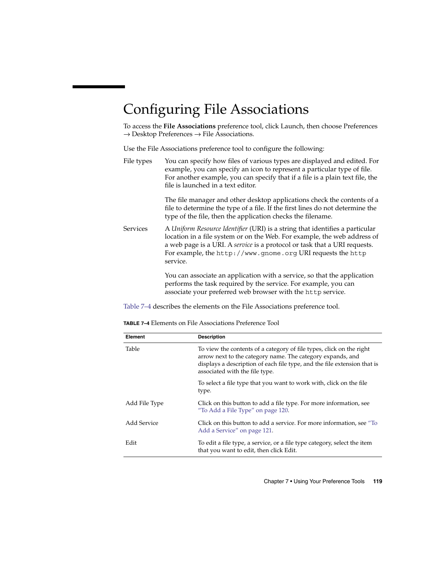## Configuring File Associations

To access the **File Associations** preference tool, click Launch, then choose Preferences  $\rightarrow$  Desktop Preferences  $\rightarrow$  File Associations.

Use the File Associations preference tool to configure the following:

File types You can specify how files of various types are displayed and edited. For example, you can specify an icon to represent a particular type of file. For another example, you can specify that if a file is a plain text file, the file is launched in a text editor.

> The file manager and other desktop applications check the contents of a file to determine the type of a file. If the first lines do not determine the type of the file, then the application checks the filename.

Services A *Uniform Resource Identifier* (URI) is a string that identifies a particular location in a file system or on the Web. For example, the web address of a web page is a URI. A *service* is a protocol or task that a URI requests. For example, the http://www.gnome.org URI requests the http service.

> You can associate an application with a service, so that the application performs the task required by the service. For example, you can associate your preferred web browser with the http service.

Table 7–4 describes the elements on the File Associations preference tool.

| Element       | <b>Description</b>                                                                                                                                                                                                                               |
|---------------|--------------------------------------------------------------------------------------------------------------------------------------------------------------------------------------------------------------------------------------------------|
| Table         | To view the contents of a category of file types, click on the right<br>arrow next to the category name. The category expands, and<br>displays a description of each file type, and the file extension that is<br>associated with the file type. |
|               | To select a file type that you want to work with, click on the file<br>type.                                                                                                                                                                     |
| Add File Type | Click on this button to add a file type. For more information, see<br>"To Add a File Type" on page 120.                                                                                                                                          |
| Add Service   | Click on this button to add a service. For more information, see "To<br>Add a Service" on page 121.                                                                                                                                              |
| Edit          | To edit a file type, a service, or a file type category, select the item<br>that you want to edit, then click Edit.                                                                                                                              |
|               |                                                                                                                                                                                                                                                  |

**TABLE 7–4** Elements on File Associations Preference Tool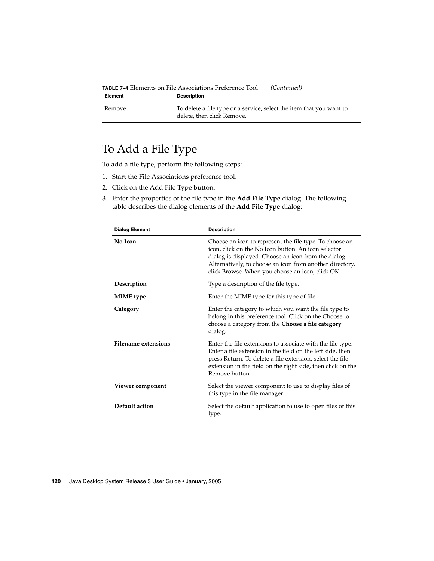<span id="page-119-0"></span>**TABLE 7–4** Elements on File Associations Preference Tool *(Continued)*

| Element | <b>Description</b>                                                                                 |
|---------|----------------------------------------------------------------------------------------------------|
| Remove  | To delete a file type or a service, select the item that you want to<br>delete, then click Remove. |

## To Add a File Type

To add a file type, perform the following steps:

- 1. Start the File Associations preference tool.
- 2. Click on the Add File Type button.
- 3. Enter the properties of the file type in the **Add File Type** dialog. The following table describes the dialog elements of the **Add File Type** dialog:

| <b>Dialog Element</b>      | <b>Description</b>                                                                                                                                                                                                                                                                     |
|----------------------------|----------------------------------------------------------------------------------------------------------------------------------------------------------------------------------------------------------------------------------------------------------------------------------------|
| No Icon                    | Choose an icon to represent the file type. To choose an<br>icon, click on the No Icon button. An icon selector<br>dialog is displayed. Choose an icon from the dialog.<br>Alternatively, to choose an icon from another directory,<br>click Browse. When you choose an icon, click OK. |
| Description                | Type a description of the file type.                                                                                                                                                                                                                                                   |
| <b>MIME</b> type           | Enter the MIME type for this type of file.                                                                                                                                                                                                                                             |
| Category                   | Enter the category to which you want the file type to<br>belong in this preference tool. Click on the Choose to<br>choose a category from the Choose a file category<br>dialog.                                                                                                        |
| <b>Filename extensions</b> | Enter the file extensions to associate with the file type.<br>Enter a file extension in the field on the left side, then<br>press Return. To delete a file extension, select the file<br>extension in the field on the right side, then click on the<br>Remove button.                 |
| Viewer component           | Select the viewer component to use to display files of<br>this type in the file manager.                                                                                                                                                                                               |
| Default action             | Select the default application to use to open files of this<br>type.                                                                                                                                                                                                                   |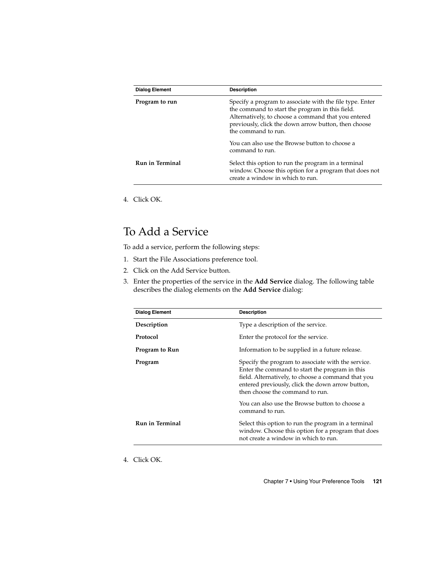<span id="page-120-0"></span>

| <b>Dialog Element</b>  | <b>Description</b>                                                                                                                                                                                                                                |
|------------------------|---------------------------------------------------------------------------------------------------------------------------------------------------------------------------------------------------------------------------------------------------|
| Program to run         | Specify a program to associate with the file type. Enter<br>the command to start the program in this field.<br>Alternatively, to choose a command that you entered<br>previously, click the down arrow button, then choose<br>the command to run. |
|                        | You can also use the Browse button to choose a<br>command to run.                                                                                                                                                                                 |
| <b>Run in Terminal</b> | Select this option to run the program in a terminal<br>window. Choose this option for a program that does not<br>create a window in which to run.                                                                                                 |

4. Click OK.

## To Add a Service

To add a service, perform the following steps:

- 1. Start the File Associations preference tool.
- 2. Click on the Add Service button.
- 3. Enter the properties of the service in the **Add Service** dialog. The following table describes the dialog elements on the **Add Service** dialog:

| <b>Dialog Element</b>  | <b>Description</b>                                                                                                                                                                                                                                |
|------------------------|---------------------------------------------------------------------------------------------------------------------------------------------------------------------------------------------------------------------------------------------------|
| Description            | Type a description of the service.                                                                                                                                                                                                                |
| Protocol               | Enter the protocol for the service.                                                                                                                                                                                                               |
| Program to Run         | Information to be supplied in a future release.                                                                                                                                                                                                   |
| Program                | Specify the program to associate with the service.<br>Enter the command to start the program in this<br>field. Alternatively, to choose a command that you<br>entered previously, click the down arrow button,<br>then choose the command to run. |
|                        | You can also use the Browse button to choose a<br>command to run.                                                                                                                                                                                 |
| <b>Run in Terminal</b> | Select this option to run the program in a terminal<br>window. Choose this option for a program that does<br>not create a window in which to run.                                                                                                 |

4. Click OK.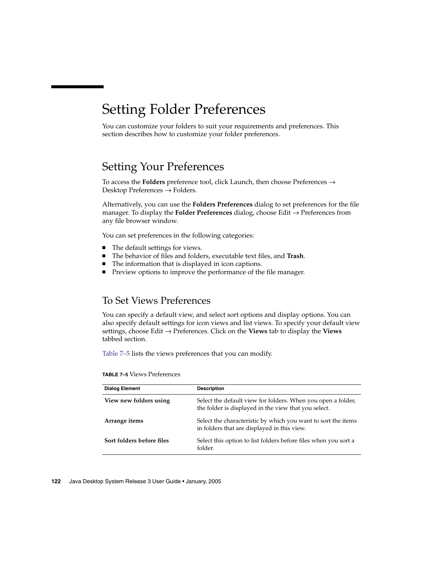## Setting Folder Preferences

You can customize your folders to suit your requirements and preferences. This section describes how to customize your folder preferences.

### Setting Your Preferences

To access the **Folders** preference tool, click Launch, then choose Preferences → Desktop Preferences  $\rightarrow$  Folders.

Alternatively, you can use the **Folders Preferences** dialog to set preferences for the file manager. To display the **Folder Preferences** dialog, choose Edit → Preferences from any file browser window.

You can set preferences in the following categories:

- The default settings for views.
- The behavior of files and folders, executable text files, and **Trash**.
- The information that is displayed in icon captions.
- Preview options to improve the performance of the file manager.

#### To Set Views Preferences

You can specify a default view, and select sort options and display options. You can also specify default settings for icon views and list views. To specify your default view settings, choose Edit → Preferences. Click on the **Views** tab to display the **Views** tabbed section.

Table 7–5 lists the views preferences that you can modify.

| <b>Dialog Element</b>     | <b>Description</b>                                                                                                   |
|---------------------------|----------------------------------------------------------------------------------------------------------------------|
| View new folders using    | Select the default view for folders. When you open a folder,<br>the folder is displayed in the view that you select. |
| Arrange items             | Select the characteristic by which you want to sort the items<br>in folders that are displayed in this view.         |
| Sort folders before files | Select this option to list folders before files when you sort a<br>folder.                                           |

#### **TABLE 7–5** Views Preferences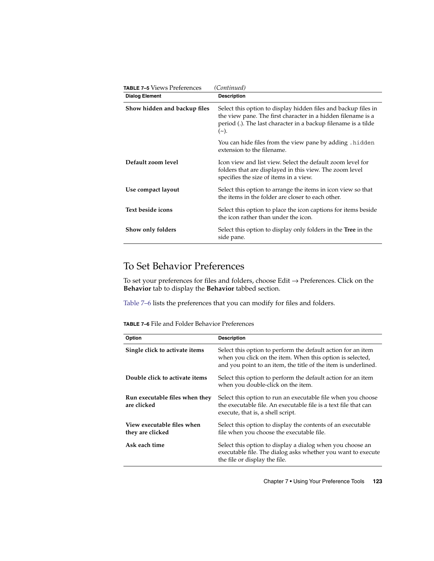| <b>TABLE 7-5 Views Preferences</b> | (Continued)                                                                                                                                                                                                   |
|------------------------------------|---------------------------------------------------------------------------------------------------------------------------------------------------------------------------------------------------------------|
| <b>Dialog Element</b>              | <b>Description</b>                                                                                                                                                                                            |
| Show hidden and backup files       | Select this option to display hidden files and backup files in<br>the view pane. The first character in a hidden filename is a<br>period (.). The last character in a backup filename is a tilde<br>$(\sim).$ |
|                                    | You can hide files from the view pane by adding. hidden<br>extension to the filename.                                                                                                                         |
| Default zoom level                 | Icon view and list view. Select the default zoom level for<br>folders that are displayed in this view. The zoom level<br>specifies the size of items in a view.                                               |
| Use compact layout                 | Select this option to arrange the items in icon view so that<br>the items in the folder are closer to each other.                                                                                             |
| Text beside icons                  | Select this option to place the icon captions for items beside<br>the icon rather than under the icon.                                                                                                        |
| Show only folders                  | Select this option to display only folders in the <b>Tree</b> in the<br>side pane.                                                                                                                            |

### To Set Behavior Preferences

To set your preferences for files and folders, choose Edit → Preferences. Click on the **Behavior** tab to display the **Behavior** tabbed section.

Table 7–6 lists the preferences that you can modify for files and folders.

**TABLE 7–6** File and Folder Behavior Preferences

| Option                                         | <b>Description</b>                                                                                                                                                                          |
|------------------------------------------------|---------------------------------------------------------------------------------------------------------------------------------------------------------------------------------------------|
| Single click to activate items                 | Select this option to perform the default action for an item<br>when you click on the item. When this option is selected,<br>and you point to an item, the title of the item is underlined. |
| Double click to activate items                 | Select this option to perform the default action for an item<br>when you double-click on the item.                                                                                          |
| Run executable files when they<br>are clicked  | Select this option to run an executable file when you choose<br>the executable file. An executable file is a text file that can<br>execute, that is, a shell script.                        |
| View executable files when<br>they are clicked | Select this option to display the contents of an executable<br>file when you choose the executable file.                                                                                    |
| Ask each time                                  | Select this option to display a dialog when you choose an<br>executable file. The dialog asks whether you want to execute<br>the file or display the file.                                  |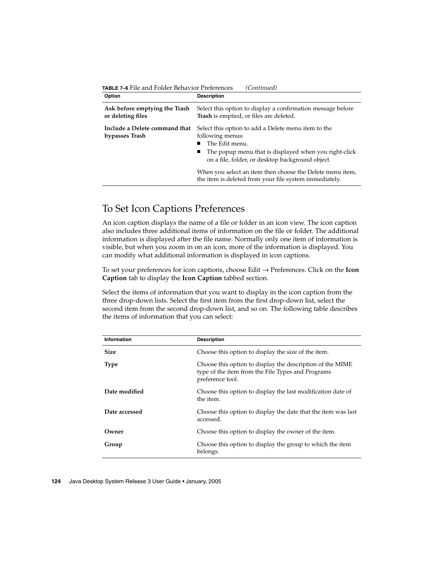| Option                                             | <b>Description</b>                                                                                                                                                                                                                                                                                                            |
|----------------------------------------------------|-------------------------------------------------------------------------------------------------------------------------------------------------------------------------------------------------------------------------------------------------------------------------------------------------------------------------------|
| Ask before emptying the Trash<br>or deleting files | Select this option to display a confirmation message before<br>Trash is emptied, or files are deleted.                                                                                                                                                                                                                        |
| Include a Delete command that<br>bypasses Trash    | Select this option to add a Delete menu item to the<br>following menus:<br>The Edit menu.<br>The popup menu that is displayed when you right-click<br>on a file, folder, or desktop background object.<br>When you select an item then choose the Delete menu item,<br>the item is deleted from your file system immediately. |

**TABLE 7–6** File and Folder Behavior Preferences *(Continued)*

#### To Set Icon Captions Preferences

An icon caption displays the name of a file or folder in an icon view. The icon caption also includes three additional items of information on the file or folder. The additional information is displayed after the file name. Normally only one item of information is visible, but when you zoom in on an icon, more of the information is displayed. You can modify what additional information is displayed in icon captions.

To set your preferences for icon captions, choose Edit → Preferences. Click on the **Icon Caption** tab to display the **Icon Caption** tabbed section.

Select the items of information that you want to display in the icon caption from the three drop-down lists. Select the first item from the first drop-down list, select the second item from the second drop-down list, and so on. The following table describes the items of information that you can select:

| Information   | <b>Description</b>                                                                                                                 |
|---------------|------------------------------------------------------------------------------------------------------------------------------------|
| <b>Size</b>   | Choose this option to display the size of the item.                                                                                |
| <b>Type</b>   | Choose this option to display the description of the MIME<br>type of the item from the File Types and Programs<br>preference tool. |
| Date modified | Choose this option to display the last modification date of<br>the item.                                                           |
| Date accessed | Choose this option to display the date that the item was last<br>accessed.                                                         |
| Owner         | Choose this option to display the owner of the item.                                                                               |
| Group         | Choose this option to display the group to which the item<br>belongs.                                                              |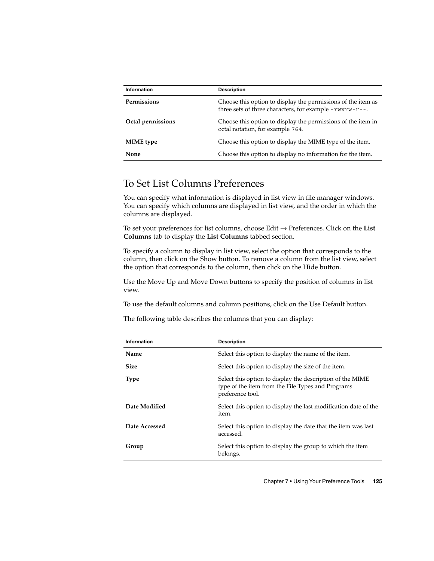| Information        | <b>Description</b>                                                                                                       |
|--------------------|--------------------------------------------------------------------------------------------------------------------------|
| <b>Permissions</b> | Choose this option to display the permissions of the item as<br>three sets of three characters, for example - rwxrw-r--. |
| Octal permissions  | Choose this option to display the permissions of the item in<br>octal notation, for example 764.                         |
| <b>MIME</b> type   | Choose this option to display the MIME type of the item.                                                                 |
| <b>None</b>        | Choose this option to display no information for the item.                                                               |

#### To Set List Columns Preferences

You can specify what information is displayed in list view in file manager windows. You can specify which columns are displayed in list view, and the order in which the columns are displayed.

To set your preferences for list columns, choose Edit → Preferences. Click on the **List Columns** tab to display the **List Columns** tabbed section.

To specify a column to display in list view, select the option that corresponds to the column, then click on the Show button. To remove a column from the list view, select the option that corresponds to the column, then click on the Hide button.

Use the Move Up and Move Down buttons to specify the position of columns in list view.

To use the default columns and column positions, click on the Use Default button.

The following table describes the columns that you can display:

| <b>Information</b> | <b>Description</b>                                                                                                                 |
|--------------------|------------------------------------------------------------------------------------------------------------------------------------|
| Name               | Select this option to display the name of the item.                                                                                |
| <b>Size</b>        | Select this option to display the size of the item.                                                                                |
| <b>Type</b>        | Select this option to display the description of the MIME<br>type of the item from the File Types and Programs<br>preference tool. |
| Date Modified      | Select this option to display the last modification date of the<br>item.                                                           |
| Date Accessed      | Select this option to display the date that the item was last<br>accessed.                                                         |
| Group              | Select this option to display the group to which the item<br>belongs.                                                              |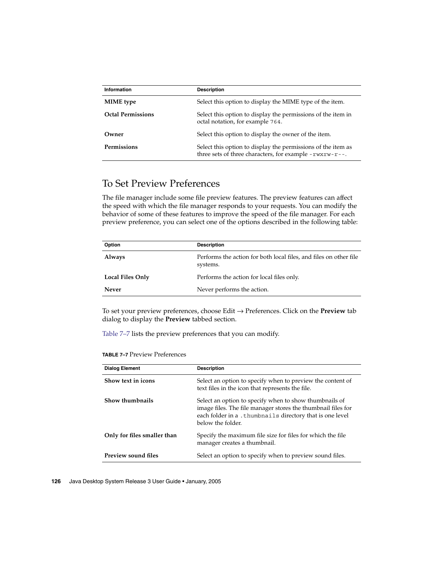| <b>Information</b>       | <b>Description</b>                                                                                                      |
|--------------------------|-------------------------------------------------------------------------------------------------------------------------|
| <b>MIME</b> type         | Select this option to display the MIME type of the item.                                                                |
| <b>Octal Permissions</b> | Select this option to display the permissions of the item in<br>octal notation, for example 764.                        |
| Owner                    | Select this option to display the owner of the item.                                                                    |
| <b>Permissions</b>       | Select this option to display the permissions of the item as<br>three sets of three characters, for example -rwxrw-r--. |

#### To Set Preview Preferences

The file manager include some file preview features. The preview features can affect the speed with which the file manager responds to your requests. You can modify the behavior of some of these features to improve the speed of the file manager. For each preview preference, you can select one of the options described in the following table:

| Option                  | <b>Description</b>                                                            |
|-------------------------|-------------------------------------------------------------------------------|
| Always                  | Performs the action for both local files, and files on other file<br>systems. |
| <b>Local Files Only</b> | Performs the action for local files only.                                     |
| Never                   | Never performs the action.                                                    |

To set your preview preferences, choose Edit → Preferences. Click on the **Preview** tab dialog to display the **Preview** tabbed section.

Table 7–7 lists the preview preferences that you can modify.

#### **TABLE 7–7** Preview Preferences

| <b>Dialog Element</b>       | <b>Description</b>                                                                                                                                                                                      |
|-----------------------------|---------------------------------------------------------------------------------------------------------------------------------------------------------------------------------------------------------|
| Show text in icons          | Select an option to specify when to preview the content of<br>text files in the icon that represents the file.                                                                                          |
| Show thumbnails             | Select an option to specify when to show thumbnails of<br>image files. The file manager stores the thumbnail files for<br>each folder in a .thumbnails directory that is one level<br>below the folder. |
| Only for files smaller than | Specify the maximum file size for files for which the file<br>manager creates a thumbnail.                                                                                                              |
| Preview sound files         | Select an option to specify when to preview sound files.                                                                                                                                                |

**126** Java Desktop System Release 3 User Guide • January, 2005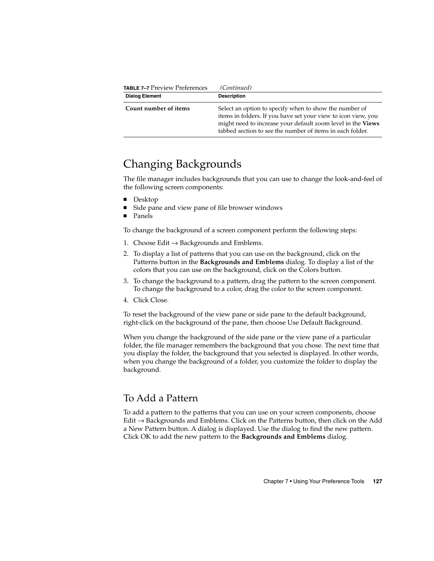| <b>TABLE 7-7</b> Preview Preferences | (Continued)                                                                                                                                                                                                                                         |
|--------------------------------------|-----------------------------------------------------------------------------------------------------------------------------------------------------------------------------------------------------------------------------------------------------|
| <b>Dialog Element</b>                | <b>Description</b>                                                                                                                                                                                                                                  |
| Count number of items                | Select an option to specify when to show the number of<br>items in folders. If you have set your view to icon view, you<br>might need to increase your default zoom level in the Views<br>tabbed section to see the number of items in each folder. |

## Changing Backgrounds

The file manager includes backgrounds that you can use to change the look-and-feel of the following screen components:

- Desktop
- Side pane and view pane of file browser windows
- Panels

To change the background of a screen component perform the following steps:

- 1. Choose Edit  $\rightarrow$  Backgrounds and Emblems.
- 2. To display a list of patterns that you can use on the background, click on the Patterns button in the **Backgrounds and Emblems** dialog. To display a list of the colors that you can use on the background, click on the Colors button.
- 3. To change the background to a pattern, drag the pattern to the screen component. To change the background to a color, drag the color to the screen component.
- 4. Click Close.

To reset the background of the view pane or side pane to the default background, right-click on the background of the pane, then choose Use Default Background.

When you change the background of the side pane or the view pane of a particular folder, the file manager remembers the background that you chose. The next time that you display the folder, the background that you selected is displayed. In other words, when you change the background of a folder, you customize the folder to display the background.

#### To Add a Pattern

To add a pattern to the patterns that you can use on your screen components, choose Edit  $\rightarrow$  Backgrounds and Emblems. Click on the Patterns button, then click on the Add a New Pattern button. A dialog is displayed. Use the dialog to find the new pattern. Click OK to add the new pattern to the **Backgrounds and Emblems** dialog.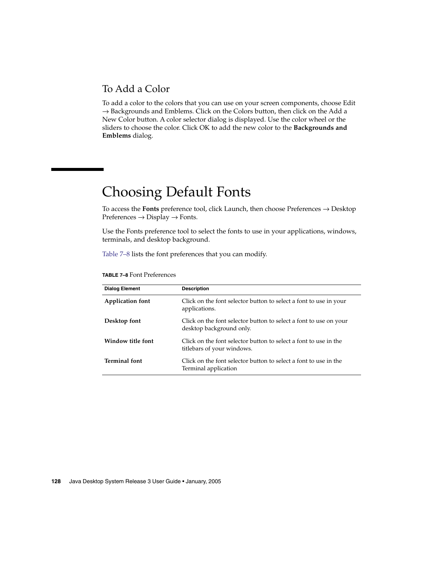#### To Add a Color

To add a color to the colors that you can use on your screen components, choose Edit  $\rightarrow$  Backgrounds and Emblems. Click on the Colors button, then click on the Add a New Color button. A color selector dialog is displayed. Use the color wheel or the sliders to choose the color. Click OK to add the new color to the **Backgrounds and Emblems** dialog.

## Choosing Default Fonts

To access the **Fonts** preference tool, click Launch, then choose Preferences → Desktop Preferences  $\rightarrow$  Display  $\rightarrow$  Fonts.

Use the Fonts preference tool to select the fonts to use in your applications, windows, terminals, and desktop background.

Table 7–8 lists the font preferences that you can modify.

| <b>Dialog Element</b>   | <b>Description</b>                                                                             |
|-------------------------|------------------------------------------------------------------------------------------------|
| <b>Application font</b> | Click on the font selector button to select a font to use in your<br>applications.             |
| Desktop font            | Click on the font selector button to select a font to use on your<br>desktop background only.  |
| Window title font       | Click on the font selector button to select a font to use in the<br>titlebars of your windows. |
| <b>Terminal font</b>    | Click on the font selector button to select a font to use in the<br>Terminal application       |

**TABLE 7–8** Font Preferences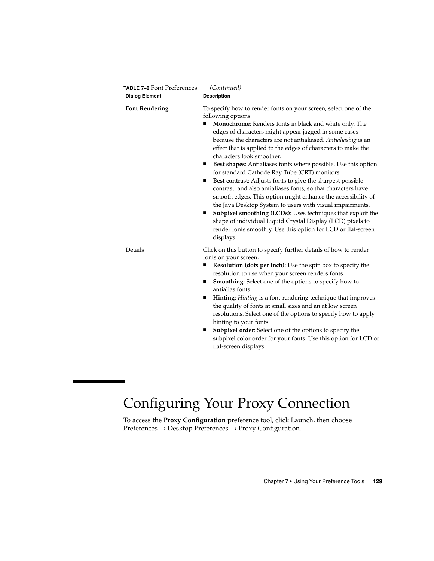| <b>Dialog Element</b> | <b>Description</b>                                                                                                                                                                                                                                                                                                                                                                                                                                                                                                                                                                                                                                                                                                                                                                                                                                                                                                                                                                      |
|-----------------------|-----------------------------------------------------------------------------------------------------------------------------------------------------------------------------------------------------------------------------------------------------------------------------------------------------------------------------------------------------------------------------------------------------------------------------------------------------------------------------------------------------------------------------------------------------------------------------------------------------------------------------------------------------------------------------------------------------------------------------------------------------------------------------------------------------------------------------------------------------------------------------------------------------------------------------------------------------------------------------------------|
| <b>Font Rendering</b> | To specify how to render fonts on your screen, select one of the<br>following options:<br>Monochrome: Renders fonts in black and white only. The<br>п<br>edges of characters might appear jagged in some cases<br>because the characters are not antialiased. Antialiasing is an<br>effect that is applied to the edges of characters to make the<br>characters look smoother.<br>Best shapes: Antialiases fonts where possible. Use this option<br>ш<br>for standard Cathode Ray Tube (CRT) monitors.<br>Best contrast: Adjusts fonts to give the sharpest possible<br>п<br>contrast, and also antialiases fonts, so that characters have<br>smooth edges. This option might enhance the accessibility of<br>the Java Desktop System to users with visual impairments.<br>Subpixel smoothing (LCDs): Uses techniques that exploit the<br>ш<br>shape of individual Liquid Crystal Display (LCD) pixels to<br>render fonts smoothly. Use this option for LCD or flat-screen<br>displays. |
| Details               | Click on this button to specify further details of how to render<br>fonts on your screen.<br>Resolution (dots per inch): Use the spin box to specify the<br>ш<br>resolution to use when your screen renders fonts.<br>Smoothing: Select one of the options to specify how to<br>ш<br>antialias fonts.<br>Hinting: Hinting is a font-rendering technique that improves<br>ш<br>the quality of fonts at small sizes and an at low screen<br>resolutions. Select one of the options to specify how to apply<br>hinting to your fonts.<br>Subpixel order: Select one of the options to specify the<br>ш<br>subpixel color order for your fonts. Use this option for LCD or<br>flat-screen displays.                                                                                                                                                                                                                                                                                         |

# Configuring Your Proxy Connection

To access the **Proxy Configuration** preference tool, click Launch, then choose Preferences → Desktop Preferences → Proxy Configuration.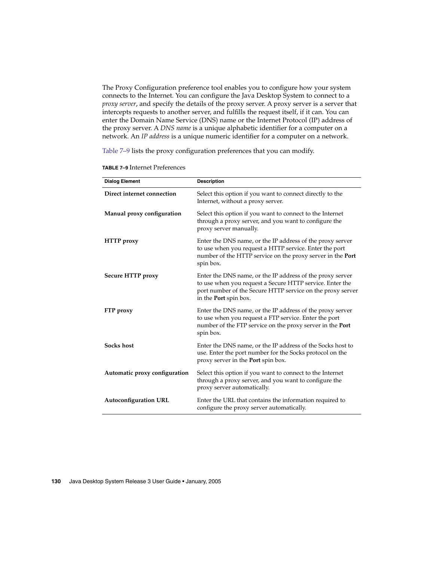The Proxy Configuration preference tool enables you to configure how your system connects to the Internet. You can configure the Java Desktop System to connect to a *proxy server*, and specify the details of the proxy server. A proxy server is a server that intercepts requests to another server, and fulfills the request itself, if it can. You can enter the Domain Name Service (DNS) name or the Internet Protocol (IP) address of the proxy server. A *DNS name* is a unique alphabetic identifier for a computer on a network. An *IP address* is a unique numeric identifier for a computer on a network.

Table 7–9 lists the proxy configuration preferences that you can modify.

| <b>TABLE 7-9 Internet Preferences</b> |
|---------------------------------------|
|---------------------------------------|

| <b>Dialog Element</b>         | <b>Description</b>                                                                                                                                                                                           |
|-------------------------------|--------------------------------------------------------------------------------------------------------------------------------------------------------------------------------------------------------------|
| Direct internet connection    | Select this option if you want to connect directly to the<br>Internet, without a proxy server.                                                                                                               |
| Manual proxy configuration    | Select this option if you want to connect to the Internet<br>through a proxy server, and you want to configure the<br>proxy server manually.                                                                 |
| <b>HTTP</b> proxy             | Enter the DNS name, or the IP address of the proxy server<br>to use when you request a HTTP service. Enter the port<br>number of the HTTP service on the proxy server in the Port<br>spin box.               |
| Secure HTTP proxy             | Enter the DNS name, or the IP address of the proxy server<br>to use when you request a Secure HTTP service. Enter the<br>port number of the Secure HTTP service on the proxy server<br>in the Port spin box. |
| FTP proxy                     | Enter the DNS name, or the IP address of the proxy server<br>to use when you request a FTP service. Enter the port<br>number of the FTP service on the proxy server in the Port<br>spin box.                 |
| Socks host                    | Enter the DNS name, or the IP address of the Socks host to<br>use. Enter the port number for the Socks protocol on the<br>proxy server in the <b>Port</b> spin box.                                          |
| Automatic proxy configuration | Select this option if you want to connect to the Internet<br>through a proxy server, and you want to configure the<br>proxy server automatically.                                                            |
| <b>Autoconfiguration URL</b>  | Enter the URL that contains the information required to<br>configure the proxy server automatically.                                                                                                         |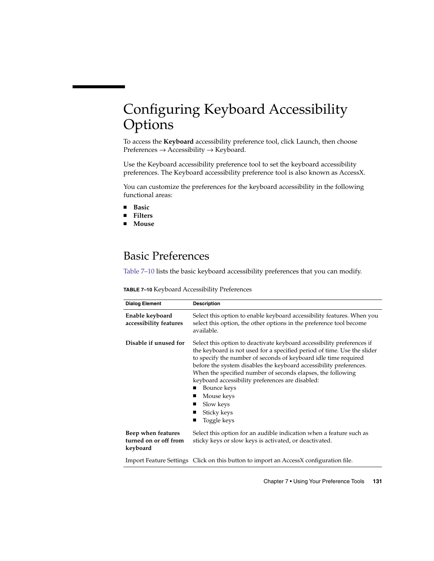## Configuring Keyboard Accessibility Options

To access the **Keyboard** accessibility preference tool, click Launch, then choose Preferences  $\rightarrow$  Accessibility  $\rightarrow$  Keyboard.

Use the Keyboard accessibility preference tool to set the keyboard accessibility preferences. The Keyboard accessibility preference tool is also known as AccessX.

You can customize the preferences for the keyboard accessibility in the following functional areas:

- **Basic**
- **Filters**
- **Mouse**

## Basic Preferences

Table 7–10 lists the basic keyboard accessibility preferences that you can modify.

| <b>Dialog Element</b>                                   | <b>Description</b>                                                                                                                                                                                                                                                                                                                                                                                                                                                                                   |
|---------------------------------------------------------|------------------------------------------------------------------------------------------------------------------------------------------------------------------------------------------------------------------------------------------------------------------------------------------------------------------------------------------------------------------------------------------------------------------------------------------------------------------------------------------------------|
| Enable keyboard<br>accessibility features               | Select this option to enable keyboard accessibility features. When you<br>select this option, the other options in the preference tool become<br>available.                                                                                                                                                                                                                                                                                                                                          |
| Disable if unused for                                   | Select this option to deactivate keyboard accessibility preferences if<br>the keyboard is not used for a specified period of time. Use the slider<br>to specify the number of seconds of keyboard idle time required<br>before the system disables the keyboard accessibility preferences.<br>When the specified number of seconds elapses, the following<br>keyboard accessibility preferences are disabled:<br>Bounce keys<br>Mouse keys<br>п<br>Slow keys<br>п<br>Sticky keys<br>п<br>Toggle keys |
| Beep when features<br>turned on or off from<br>keyboard | Select this option for an audible indication when a feature such as<br>sticky keys or slow keys is activated, or deactivated.                                                                                                                                                                                                                                                                                                                                                                        |
|                                                         | Import Feature Settings Click on this button to import an AccessX configuration file.                                                                                                                                                                                                                                                                                                                                                                                                                |

**TABLE 7–10** Keyboard Accessibility Preferences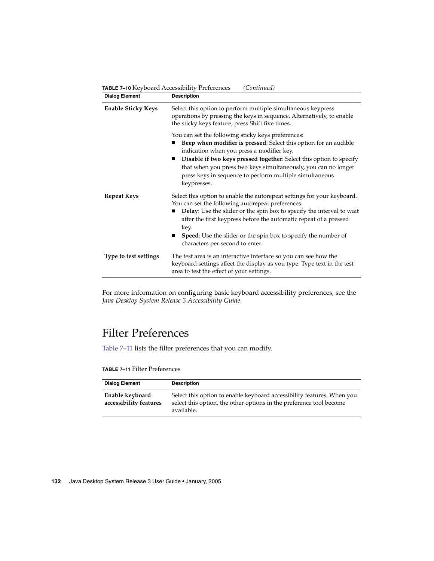| <b>Dialog Element</b>     | <b>Description</b>                                                                                                                                                                                                                                                                                                                                                                                                   |
|---------------------------|----------------------------------------------------------------------------------------------------------------------------------------------------------------------------------------------------------------------------------------------------------------------------------------------------------------------------------------------------------------------------------------------------------------------|
| <b>Enable Sticky Keys</b> | Select this option to perform multiple simultaneous keypress<br>operations by pressing the keys in sequence. Alternatively, to enable<br>the sticky keys feature, press Shift five times.                                                                                                                                                                                                                            |
|                           | You can set the following sticky keys preferences:<br>Beep when modifier is pressed: Select this option for an audible<br>■<br>indication when you press a modifier key.<br><b>Disable if two keys pressed together:</b> Select this option to specify<br>$\blacksquare$<br>that when you press two keys simultaneously, you can no longer<br>press keys in sequence to perform multiple simultaneous<br>keypresses. |
| <b>Repeat Keys</b>        | Select this option to enable the autorepeat settings for your keyboard.<br>You can set the following autorepeat preferences:<br>Delay: Use the slider or the spin box to specify the interval to wait<br>after the first keypress before the automatic repeat of a pressed<br>key.<br><b>Speed:</b> Use the slider or the spin box to specify the number of<br>$\blacksquare$<br>characters per second to enter.     |
| Type to test settings     | The test area is an interactive interface so you can see how the<br>keyboard settings affect the display as you type. Type text in the test<br>area to test the effect of your settings.                                                                                                                                                                                                                             |

**TABLE 7–10** Keyboard Accessibility Preferences *(Continued)*

For more information on configuring basic keyboard accessibility preferences, see the *Java Desktop System Release 3 Accessibility Guide*.

## Filter Preferences

Table 7–11 lists the filter preferences that you can modify.

#### **TABLE 7–11** Filter Preferences

| <b>Dialog Element</b>                     | <b>Description</b>                                                                                                                                          |
|-------------------------------------------|-------------------------------------------------------------------------------------------------------------------------------------------------------------|
| Enable keyboard<br>accessibility features | Select this option to enable keyboard accessibility features. When you<br>select this option, the other options in the preference tool become<br>available. |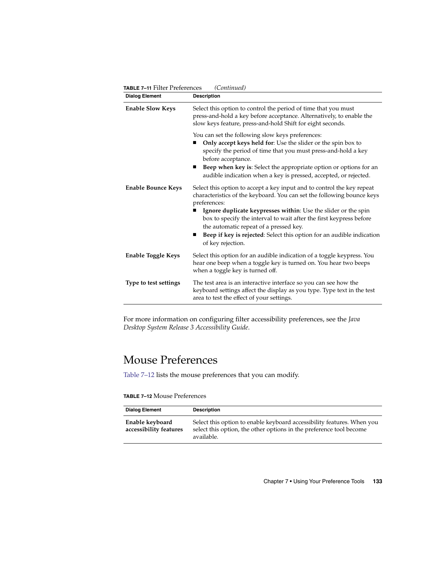| <b>Dialog Element</b>     | <b>Description</b>                                                                                                                                                                                                                                                                                                                                  |
|---------------------------|-----------------------------------------------------------------------------------------------------------------------------------------------------------------------------------------------------------------------------------------------------------------------------------------------------------------------------------------------------|
| <b>Enable Slow Keys</b>   | Select this option to control the period of time that you must<br>press-and-hold a key before acceptance. Alternatively, to enable the<br>slow keys feature, press-and-hold Shift for eight seconds.                                                                                                                                                |
|                           | You can set the following slow keys preferences:<br>Only accept keys held for: Use the slider or the spin box to<br>specify the period of time that you must press-and-hold a key<br>before acceptance.                                                                                                                                             |
|                           | Beep when key is: Select the appropriate option or options for an<br>audible indication when a key is pressed, accepted, or rejected.                                                                                                                                                                                                               |
| <b>Enable Bounce Keys</b> | Select this option to accept a key input and to control the key repeat<br>characteristics of the keyboard. You can set the following bounce keys<br>preferences:<br>Ignore duplicate keypresses within: Use the slider or the spin<br>box to specify the interval to wait after the first keypress before<br>the automatic repeat of a pressed key. |
|                           | Beep if key is rejected: Select this option for an audible indication<br>■<br>of key rejection.                                                                                                                                                                                                                                                     |
| <b>Enable Toggle Keys</b> | Select this option for an audible indication of a toggle keypress. You<br>hear one beep when a toggle key is turned on. You hear two beeps<br>when a toggle key is turned off.                                                                                                                                                                      |
| Type to test settings     | The test area is an interactive interface so you can see how the<br>keyboard settings affect the display as you type. Type text in the test<br>area to test the effect of your settings.                                                                                                                                                            |

**TABLE 7–11** Filter Preferences *(Continued)*

For more information on configuring filter accessibility preferences, see the *Java Desktop System Release 3 Accessibility Guide*.

## Mouse Preferences

Table 7–12 lists the mouse preferences that you can modify.

#### **TABLE 7–12** Mouse Preferences

| <b>Dialog Element</b>                     | <b>Description</b>                                                                                                                                          |
|-------------------------------------------|-------------------------------------------------------------------------------------------------------------------------------------------------------------|
| Enable keyboard<br>accessibility features | Select this option to enable keyboard accessibility features. When you<br>select this option, the other options in the preference tool become<br>available. |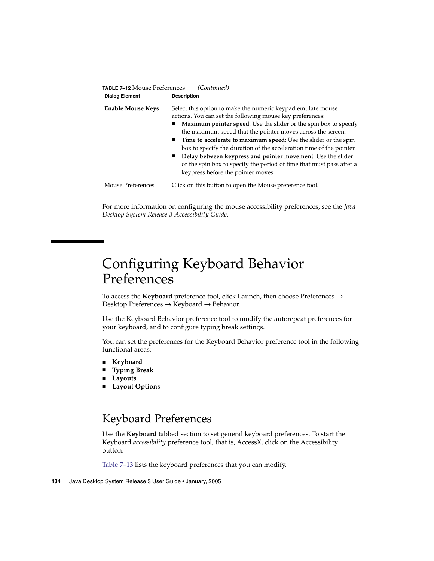| <b>TABLE 7-12 Mouse Preferences</b><br>(Continued) |                                                                                                                                                                                                                                                                                                                                                                                                                                                                                                                                                                                                     |
|----------------------------------------------------|-----------------------------------------------------------------------------------------------------------------------------------------------------------------------------------------------------------------------------------------------------------------------------------------------------------------------------------------------------------------------------------------------------------------------------------------------------------------------------------------------------------------------------------------------------------------------------------------------------|
| <b>Dialog Element</b>                              | <b>Description</b>                                                                                                                                                                                                                                                                                                                                                                                                                                                                                                                                                                                  |
| <b>Enable Mouse Keys</b>                           | Select this option to make the numeric keypad emulate mouse<br>actions. You can set the following mouse key preferences:<br>Maximum pointer speed: Use the slider or the spin box to specify<br>the maximum speed that the pointer moves across the screen.<br>Time to accelerate to maximum speed: Use the slider or the spin<br>$\mathbf{r}$<br>box to specify the duration of the acceleration time of the pointer.<br>Delay between keypress and pointer movement: Use the slider<br>or the spin box to specify the period of time that must pass after a<br>keypress before the pointer moves. |
| Mouse Preferences                                  | Click on this button to open the Mouse preference tool.                                                                                                                                                                                                                                                                                                                                                                                                                                                                                                                                             |

For more information on configuring the mouse accessibility preferences, see the *Java Desktop System Release 3 Accessibility Guide*.

## Configuring Keyboard Behavior Preferences

To access the **Keyboard** preference tool, click Launch, then choose Preferences → Desktop Preferences  $\rightarrow$  Keyboard  $\rightarrow$  Behavior.

Use the Keyboard Behavior preference tool to modify the autorepeat preferences for your keyboard, and to configure typing break settings.

You can set the preferences for the Keyboard Behavior preference tool in the following functional areas:

- **Keyboard**
- **Typing Break**
- **Layouts**
- **Layout Options**

## Keyboard Preferences

Use the **Keyboard** tabbed section to set general keyboard preferences. To start the Keyboard *accessibility* preference tool, that is, AccessX, click on the Accessibility button.

[Table 7–13](#page-134-0) lists the keyboard preferences that you can modify.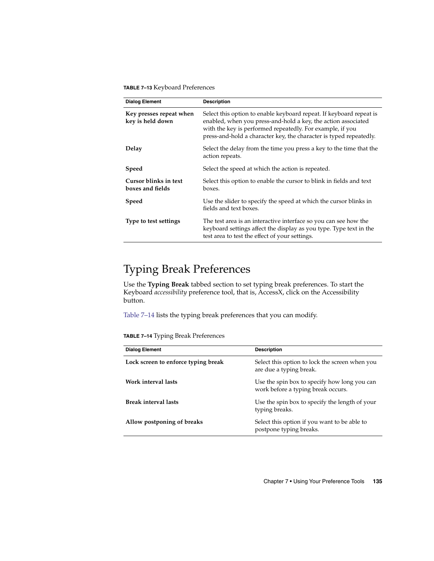#### <span id="page-134-0"></span>**TABLE 7–13** Keyboard Preferences

| <b>Dialog Element</b>                       | <b>Description</b>                                                                                                                                                                                                                                                      |
|---------------------------------------------|-------------------------------------------------------------------------------------------------------------------------------------------------------------------------------------------------------------------------------------------------------------------------|
| Key presses repeat when<br>key is held down | Select this option to enable keyboard repeat. If keyboard repeat is<br>enabled, when you press-and-hold a key, the action associated<br>with the key is performed repeatedly. For example, if you<br>press-and-hold a character key, the character is typed repeatedly. |
| Delay                                       | Select the delay from the time you press a key to the time that the<br>action repeats.                                                                                                                                                                                  |
| Speed                                       | Select the speed at which the action is repeated.                                                                                                                                                                                                                       |
| Cursor blinks in text<br>boxes and fields   | Select this option to enable the cursor to blink in fields and text<br>boxes.                                                                                                                                                                                           |
| Speed                                       | Use the slider to specify the speed at which the cursor blinks in<br>fields and text boxes.                                                                                                                                                                             |
| Type to test settings                       | The test area is an interactive interface so you can see how the<br>keyboard settings affect the display as you type. Type text in the<br>test area to test the effect of your settings.                                                                                |

## Typing Break Preferences

Use the **Typing Break** tabbed section to set typing break preferences. To start the Keyboard *accessibility* preference tool, that is, AccessX, click on the Accessibility button.

Table 7–14 lists the typing break preferences that you can modify.

| TABLE 7-14 Typing Break Preferences |  |  |
|-------------------------------------|--|--|
|-------------------------------------|--|--|

| <b>Dialog Element</b>               | <b>Description</b>                                                                 |
|-------------------------------------|------------------------------------------------------------------------------------|
| Lock screen to enforce typing break | Select this option to lock the screen when you<br>are due a typing break.          |
| Work interval lasts                 | Use the spin box to specify how long you can<br>work before a typing break occurs. |
| <b>Break interval lasts</b>         | Use the spin box to specify the length of your<br>typing breaks.                   |
| Allow postponing of breaks          | Select this option if you want to be able to<br>postpone typing breaks.            |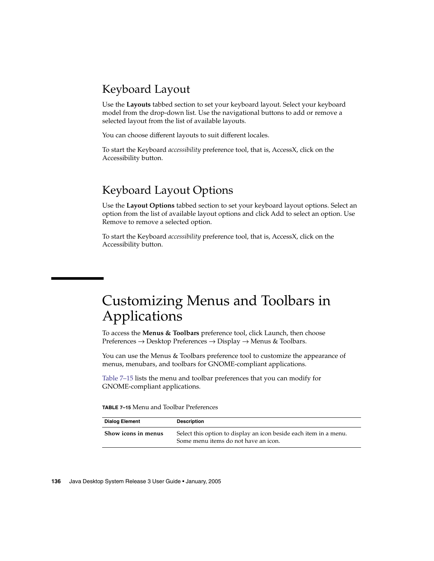## Keyboard Layout

Use the **Layouts** tabbed section to set your keyboard layout. Select your keyboard model from the drop-down list. Use the navigational buttons to add or remove a selected layout from the list of available layouts.

You can choose different layouts to suit different locales.

To start the Keyboard *accessibility* preference tool, that is, AccessX, click on the Accessibility button.

## Keyboard Layout Options

Use the **Layout Options** tabbed section to set your keyboard layout options. Select an option from the list of available layout options and click Add to select an option. Use Remove to remove a selected option.

To start the Keyboard *accessibility* preference tool, that is, AccessX, click on the Accessibility button.

## Customizing Menus and Toolbars in Applications

To access the **Menus & Toolbars** preference tool, click Launch, then choose Preferences → Desktop Preferences → Display → Menus & Toolbars.

You can use the Menus & Toolbars preference tool to customize the appearance of menus, menubars, and toolbars for GNOME-compliant applications.

Table 7–15 lists the menu and toolbar preferences that you can modify for GNOME-compliant applications.

#### **TABLE 7–15** Menu and Toolbar Preferences

| <b>Dialog Element</b> | <b>Description</b>                                                                                        |
|-----------------------|-----------------------------------------------------------------------------------------------------------|
| Show icons in menus   | Select this option to display an icon beside each item in a menu.<br>Some menu items do not have an icon. |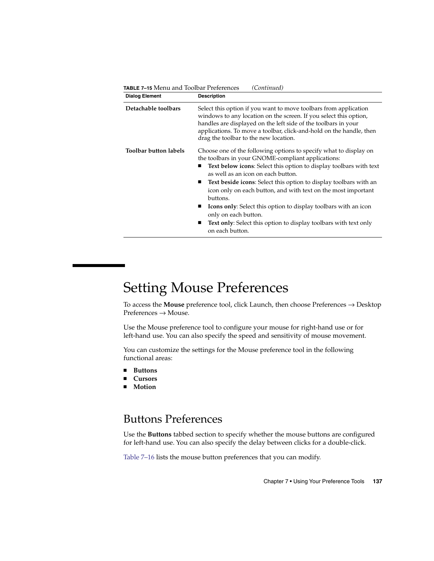| <b>Dialog Element</b> | <b>Description</b>                                                                                                                                                                                                                                                                                                                                                                                                                                                                                                                                                                            |  |
|-----------------------|-----------------------------------------------------------------------------------------------------------------------------------------------------------------------------------------------------------------------------------------------------------------------------------------------------------------------------------------------------------------------------------------------------------------------------------------------------------------------------------------------------------------------------------------------------------------------------------------------|--|
| Detachable toolbars   | Select this option if you want to move toolbars from application<br>windows to any location on the screen. If you select this option,<br>handles are displayed on the left side of the toolbars in your<br>applications. To move a toolbar, click-and-hold on the handle, then<br>drag the toolbar to the new location.                                                                                                                                                                                                                                                                       |  |
| Toolbar button labels | Choose one of the following options to specify what to display on<br>the toolbars in your GNOME-compliant applications:<br>Text below icons: Select this option to display toolbars with text<br>■<br>as well as an icon on each button.<br>Text beside icons: Select this option to display toolbars with an<br>icon only on each button, and with text on the most important<br>buttons.<br>Icons only: Select this option to display toolbars with an icon<br>ш<br>only on each button.<br><b>Text only:</b> Select this option to display toolbars with text only<br>ш<br>on each button. |  |

# Setting Mouse Preferences

To access the **Mouse** preference tool, click Launch, then choose Preferences → Desktop Preferences → Mouse.

Use the Mouse preference tool to configure your mouse for right-hand use or for left-hand use. You can also specify the speed and sensitivity of mouse movement.

You can customize the settings for the Mouse preference tool in the following functional areas:

- **Buttons**
- **Cursors**
- **Motion**

### Buttons Preferences

Use the **Buttons** tabbed section to specify whether the mouse buttons are configured for left-hand use. You can also specify the delay between clicks for a double-click.

[Table 7–16](#page-137-0) lists the mouse button preferences that you can modify.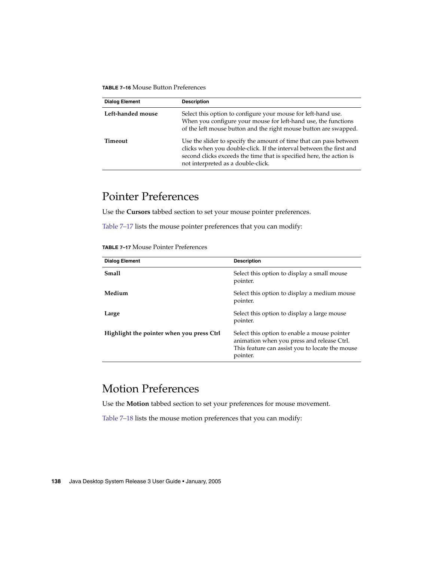#### <span id="page-137-0"></span>**TABLE 7–16** Mouse Button Preferences

| <b>Dialog Element</b> | <b>Description</b>                                                                                                                                                                                                                                      |
|-----------------------|---------------------------------------------------------------------------------------------------------------------------------------------------------------------------------------------------------------------------------------------------------|
| Left-handed mouse     | Select this option to configure your mouse for left-hand use.<br>When you configure your mouse for left-hand use, the functions<br>of the left mouse button and the right mouse button are swapped.                                                     |
| Timeout               | Use the slider to specify the amount of time that can pass between<br>clicks when you double-click. If the interval between the first and<br>second clicks exceeds the time that is specified here, the action is<br>not interpreted as a double-click. |

### Pointer Preferences

Use the **Cursors** tabbed section to set your mouse pointer preferences.

Table 7–17 lists the mouse pointer preferences that you can modify:

| <b>TABLE 7–17</b> Mouse Pointer Preferences |  |
|---------------------------------------------|--|
|---------------------------------------------|--|

| <b>Dialog Element</b>                     | <b>Description</b>                                                                                                                                        |
|-------------------------------------------|-----------------------------------------------------------------------------------------------------------------------------------------------------------|
| Small                                     | Select this option to display a small mouse<br>pointer.                                                                                                   |
| Medium                                    | Select this option to display a medium mouse<br>pointer.                                                                                                  |
| Large                                     | Select this option to display a large mouse<br>pointer.                                                                                                   |
| Highlight the pointer when you press Ctrl | Select this option to enable a mouse pointer<br>animation when you press and release Ctrl.<br>This feature can assist you to locate the mouse<br>pointer. |

### Motion Preferences

Use the **Motion** tabbed section to set your preferences for mouse movement.

[Table 7–18](#page-138-0) lists the mouse motion preferences that you can modify: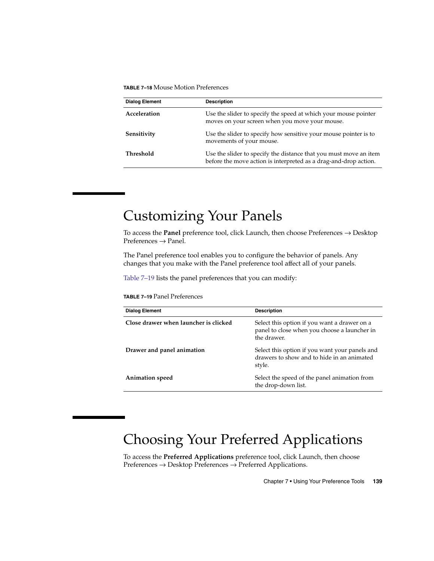<span id="page-138-0"></span>**TABLE 7–18** Mouse Motion Preferences

| <b>Dialog Element</b> | <b>Description</b>                                                                                                                    |
|-----------------------|---------------------------------------------------------------------------------------------------------------------------------------|
| Acceleration          | Use the slider to specify the speed at which your mouse pointer<br>moves on your screen when you move your mouse.                     |
| Sensitivity           | Use the slider to specify how sensitive your mouse pointer is to<br>movements of your mouse.                                          |
| <b>Threshold</b>      | Use the slider to specify the distance that you must move an item<br>before the move action is interpreted as a drag-and-drop action. |

## Customizing Your Panels

To access the **Panel** preference tool, click Launch, then choose Preferences → Desktop Preferences → Panel.

The Panel preference tool enables you to configure the behavior of panels. Any changes that you make with the Panel preference tool affect all of your panels.

Table 7–19 lists the panel preferences that you can modify:

**TABLE 7–19** Panel Preferences

| <b>Dialog Element</b>                 | <b>Description</b>                                                                                          |
|---------------------------------------|-------------------------------------------------------------------------------------------------------------|
| Close drawer when launcher is clicked | Select this option if you want a drawer on a<br>panel to close when you choose a launcher in<br>the drawer. |
| Drawer and panel animation            | Select this option if you want your panels and<br>drawers to show and to hide in an animated<br>style.      |
| <b>Animation speed</b>                | Select the speed of the panel animation from<br>the drop-down list.                                         |

# Choosing Your Preferred Applications

To access the **Preferred Applications** preference tool, click Launch, then choose Preferences → Desktop Preferences → Preferred Applications.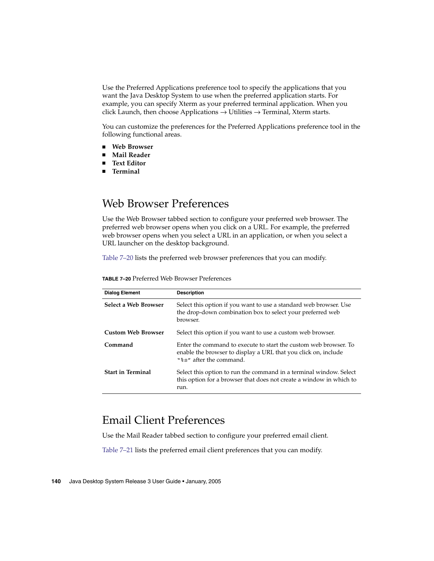Use the Preferred Applications preference tool to specify the applications that you want the Java Desktop System to use when the preferred application starts. For example, you can specify Xterm as your preferred terminal application. When you click Launch, then choose Applications  $\rightarrow$  Utilities  $\rightarrow$  Terminal, Xterm starts.

You can customize the preferences for the Preferred Applications preference tool in the following functional areas.

- **Web Browser**
- **Mail Reader**
- **Text Editor**
- **Terminal**

### Web Browser Preferences

Use the Web Browser tabbed section to configure your preferred web browser. The preferred web browser opens when you click on a URL. For example, the preferred web browser opens when you select a URL in an application, or when you select a URL launcher on the desktop background.

Table 7–20 lists the preferred web browser preferences that you can modify.

| <b>Dialog Element</b>     | <b>Description</b>                                                                                                                                            |
|---------------------------|---------------------------------------------------------------------------------------------------------------------------------------------------------------|
| Select a Web Browser      | Select this option if you want to use a standard web browser. Use<br>the drop-down combination box to select your preferred web<br>browser.                   |
| <b>Custom Web Browser</b> | Select this option if you want to use a custom web browser.                                                                                                   |
| Command                   | Enter the command to execute to start the custom web browser. To<br>enable the browser to display a URL that you click on, include<br>"%s" after the command. |
| <b>Start in Terminal</b>  | Select this option to run the command in a terminal window. Select<br>this option for a browser that does not create a window in which to<br>run.             |

**TABLE 7–20** Preferred Web Browser Preferences

### Email Client Preferences

Use the Mail Reader tabbed section to configure your preferred email client.

[Table 7–21](#page-140-0) lists the preferred email client preferences that you can modify.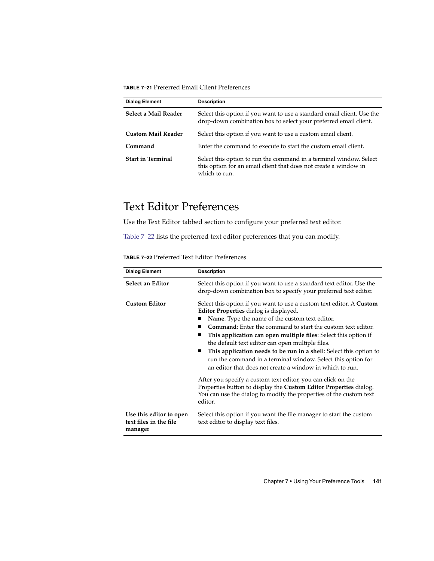<span id="page-140-0"></span>**TABLE 7–21** Preferred Email Client Preferences

| <b>Dialog Element</b>     | <b>Description</b>                                                                                                                                      |
|---------------------------|---------------------------------------------------------------------------------------------------------------------------------------------------------|
| Select a Mail Reader      | Select this option if you want to use a standard email client. Use the<br>drop-down combination box to select your preferred email client.              |
| <b>Custom Mail Reader</b> | Select this option if you want to use a custom email client.                                                                                            |
| Command                   | Enter the command to execute to start the custom email client.                                                                                          |
| <b>Start in Terminal</b>  | Select this option to run the command in a terminal window. Select<br>this option for an email client that does not create a window in<br>which to run. |

## Text Editor Preferences

Use the Text Editor tabbed section to configure your preferred text editor.

Table 7–22 lists the preferred text editor preferences that you can modify.

**TABLE 7–22** Preferred Text Editor Preferences

| <b>Dialog Element</b>                                        | <b>Description</b>                                                                                                                                                                                                                                                                                                                                                                                                                                                                                                                                                                                                                                                                                                                                                                                     |
|--------------------------------------------------------------|--------------------------------------------------------------------------------------------------------------------------------------------------------------------------------------------------------------------------------------------------------------------------------------------------------------------------------------------------------------------------------------------------------------------------------------------------------------------------------------------------------------------------------------------------------------------------------------------------------------------------------------------------------------------------------------------------------------------------------------------------------------------------------------------------------|
| <b>Select an Editor</b>                                      | Select this option if you want to use a standard text editor. Use the<br>drop-down combination box to specify your preferred text editor.                                                                                                                                                                                                                                                                                                                                                                                                                                                                                                                                                                                                                                                              |
| <b>Custom Editor</b>                                         | Select this option if you want to use a custom text editor. A <b>Custom</b><br>Editor Properties dialog is displayed.<br>Name: Type the name of the custom text editor.<br><b>Command:</b> Enter the command to start the custom text editor.<br>■<br>This application can open multiple files: Select this option if<br>■<br>the default text editor can open multiple files.<br>This application needs to be run in a shell: Select this option to<br>run the command in a terminal window. Select this option for<br>an editor that does not create a window in which to run.<br>After you specify a custom text editor, you can click on the<br>Properties button to display the Custom Editor Properties dialog.<br>You can use the dialog to modify the properties of the custom text<br>editor. |
| Use this editor to open<br>text files in the file<br>manager | Select this option if you want the file manager to start the custom<br>text editor to display text files.                                                                                                                                                                                                                                                                                                                                                                                                                                                                                                                                                                                                                                                                                              |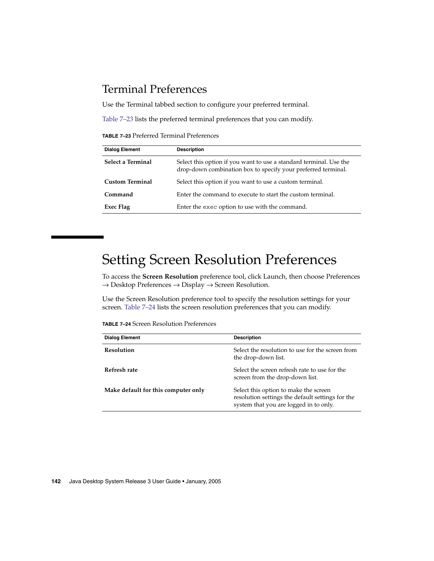## Terminal Preferences

Use the Terminal tabbed section to configure your preferred terminal.

Table 7–23 lists the preferred terminal preferences that you can modify.

**TABLE 7–23** Preferred Terminal Preferences

| <b>Dialog Element</b>  | <b>Description</b>                                                                                                                  |
|------------------------|-------------------------------------------------------------------------------------------------------------------------------------|
| Select a Terminal      | Select this option if you want to use a standard terminal. Use the<br>drop-down combination box to specify your preferred terminal. |
| <b>Custom Terminal</b> | Select this option if you want to use a custom terminal.                                                                            |
| Command                | Enter the command to execute to start the custom terminal.                                                                          |
| Exec Flag              | Enter the exec option to use with the command.                                                                                      |

# Setting Screen Resolution Preferences

To access the **Screen Resolution** preference tool, click Launch, then choose Preferences  $\rightarrow$  Desktop Preferences  $\rightarrow$  Display  $\rightarrow$  Screen Resolution.

Use the Screen Resolution preference tool to specify the resolution settings for your screen. Table 7–24 lists the screen resolution preferences that you can modify.

**TABLE 7–24** Screen Resolution Preferences

| <b>Dialog Element</b>               | <b>Description</b>                                                                                                                  |
|-------------------------------------|-------------------------------------------------------------------------------------------------------------------------------------|
| <b>Resolution</b>                   | Select the resolution to use for the screen from<br>the drop-down list.                                                             |
| Refresh rate                        | Select the screen refresh rate to use for the<br>screen from the drop-down list.                                                    |
| Make default for this computer only | Select this option to make the screen<br>resolution settings the default settings for the<br>system that you are logged in to only. |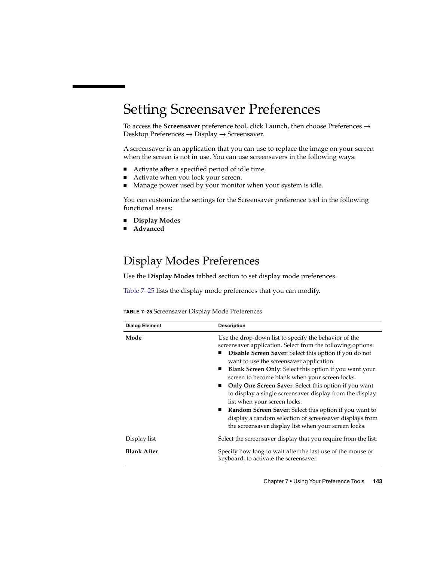## Setting Screensaver Preferences

To access the **Screensaver** preference tool, click Launch, then choose Preferences → Desktop Preferences  $→$  Display  $→$  Screensaver.

A screensaver is an application that you can use to replace the image on your screen when the screen is not in use. You can use screensavers in the following ways:

- Activate after a specified period of idle time.
- Activate when you lock your screen.
- Manage power used by your monitor when your system is idle.

You can customize the settings for the Screensaver preference tool in the following functional areas:

- **Display Modes**
- **Advanced**

### Display Modes Preferences

Use the **Display Modes** tabbed section to set display mode preferences.

Table 7–25 lists the display mode preferences that you can modify.

**TABLE 7–25** Screensaver Display Mode Preferences

| <b>Dialog Element</b> | <b>Description</b>                                                                                                                                                                                                                                                                                                                                                                                                                                                                                                                                                                                                                                                                                                       |
|-----------------------|--------------------------------------------------------------------------------------------------------------------------------------------------------------------------------------------------------------------------------------------------------------------------------------------------------------------------------------------------------------------------------------------------------------------------------------------------------------------------------------------------------------------------------------------------------------------------------------------------------------------------------------------------------------------------------------------------------------------------|
| Mode                  | Use the drop-down list to specify the behavior of the<br>screensaver application. Select from the following options:<br><b>Disable Screen Saver:</b> Select this option if you do not<br>■<br>want to use the screensaver application.<br><b>Blank Screen Only:</b> Select this option if you want your<br>ш<br>screen to become blank when your screen locks.<br><b>Only One Screen Saver:</b> Select this option if you want<br>п<br>to display a single screensaver display from the display<br>list when your screen locks.<br><b>Random Screen Saver:</b> Select this option if you want to<br>п<br>display a random selection of screensaver displays from<br>the screensaver display list when your screen locks. |
| Display list          | Select the screensaver display that you require from the list.                                                                                                                                                                                                                                                                                                                                                                                                                                                                                                                                                                                                                                                           |
| <b>Blank After</b>    | Specify how long to wait after the last use of the mouse or<br>keyboard, to activate the screensaver.                                                                                                                                                                                                                                                                                                                                                                                                                                                                                                                                                                                                                    |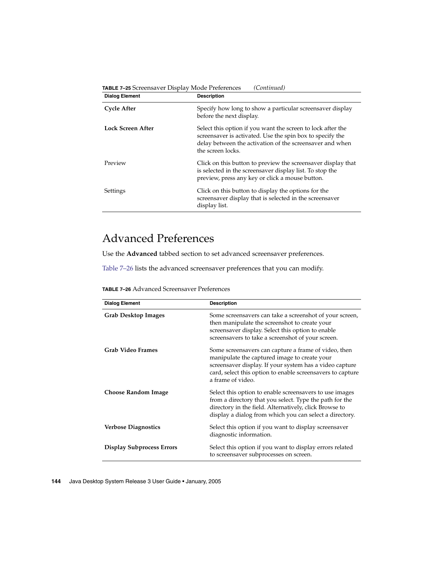| <b>Dialog Element</b> | <b>Description</b>                                                                                                                                                                                        |
|-----------------------|-----------------------------------------------------------------------------------------------------------------------------------------------------------------------------------------------------------|
| <b>Cycle After</b>    | Specify how long to show a particular screensaver display<br>before the next display.                                                                                                                     |
| Lock Screen After     | Select this option if you want the screen to lock after the<br>screensaver is activated. Use the spin box to specify the<br>delay between the activation of the screensaver and when<br>the screen locks. |
| Preview               | Click on this button to preview the screensaver display that<br>is selected in the screensaver display list. To stop the<br>preview, press any key or click a mouse button.                               |
| Settings              | Click on this button to display the options for the<br>screensaver display that is selected in the screensaver<br>display list.                                                                           |

**TABLE 7–25** Screensaver Display Mode Preferences *(Continued)*

## Advanced Preferences

Use the **Advanced** tabbed section to set advanced screensaver preferences.

Table 7–26 lists the advanced screensaver preferences that you can modify.

| <b>Dialog Element</b>            | <b>Description</b>                                                                                                                                                                                                                                 |
|----------------------------------|----------------------------------------------------------------------------------------------------------------------------------------------------------------------------------------------------------------------------------------------------|
| <b>Grab Desktop Images</b>       | Some screensavers can take a screenshot of your screen,<br>then manipulate the screenshot to create your<br>screensaver display. Select this option to enable<br>screensavers to take a screenshot of your screen.                                 |
| <b>Grab Video Frames</b>         | Some screensavers can capture a frame of video, then<br>manipulate the captured image to create your<br>screensaver display. If your system has a video capture<br>card, select this option to enable screensavers to capture<br>a frame of video. |
| <b>Choose Random Image</b>       | Select this option to enable screensavers to use images<br>from a directory that you select. Type the path for the<br>directory in the field. Alternatively, click Browse to<br>display a dialog from which you can select a directory.            |
| <b>Verbose Diagnostics</b>       | Select this option if you want to display screensaver<br>diagnostic information.                                                                                                                                                                   |
| <b>Display Subprocess Errors</b> | Select this option if you want to display errors related<br>to screensaver subprocesses on screen.                                                                                                                                                 |

**TABLE 7–26** Advanced Screensaver Preferences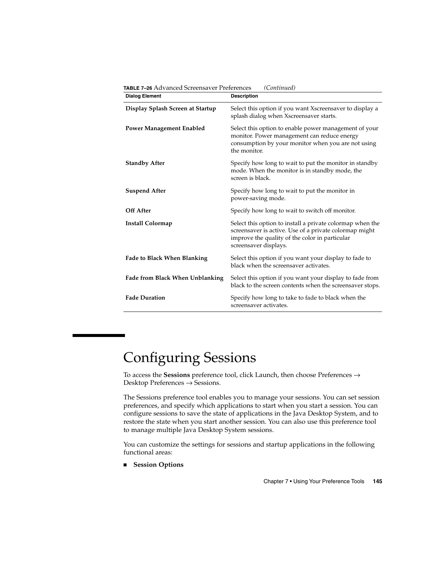| <b>Dialog Element</b>              | <b>Description</b>                                                                                                                                                                             |
|------------------------------------|------------------------------------------------------------------------------------------------------------------------------------------------------------------------------------------------|
| Display Splash Screen at Startup   | Select this option if you want Xscreensaver to display a<br>splash dialog when Xscreensaver starts.                                                                                            |
| <b>Power Management Enabled</b>    | Select this option to enable power management of your<br>monitor. Power management can reduce energy<br>consumption by your monitor when you are not using<br>the monitor.                     |
| <b>Standby After</b>               | Specify how long to wait to put the monitor in standby<br>mode. When the monitor is in standby mode, the<br>screen is black.                                                                   |
| <b>Suspend After</b>               | Specify how long to wait to put the monitor in<br>power-saving mode.                                                                                                                           |
| <b>Off After</b>                   | Specify how long to wait to switch off monitor.                                                                                                                                                |
| <b>Install Colormap</b>            | Select this option to install a private colormap when the<br>screensaver is active. Use of a private colormap might<br>improve the quality of the color in particular<br>screensaver displays. |
| <b>Fade to Black When Blanking</b> | Select this option if you want your display to fade to<br>black when the screensaver activates.                                                                                                |
| Fade from Black When Unblanking    | Select this option if you want your display to fade from<br>black to the screen contents when the screensaver stops.                                                                           |
| <b>Fade Duration</b>               | Specify how long to take to fade to black when the<br>screensaver activates.                                                                                                                   |

<span id="page-144-0"></span>**TABLE 7–26** Advanced Screensaver Preferences *(Continued)*

# Configuring Sessions

To access the **Sessions** preference tool, click Launch, then choose Preferences → Desktop Preferences → Sessions.

The Sessions preference tool enables you to manage your sessions. You can set session preferences, and specify which applications to start when you start a session. You can configure sessions to save the state of applications in the Java Desktop System, and to restore the state when you start another session. You can also use this preference tool to manage multiple Java Desktop System sessions.

You can customize the settings for sessions and startup applications in the following functional areas:

■ **Session Options**

Chapter 7 • Using Your Preference Tools **145**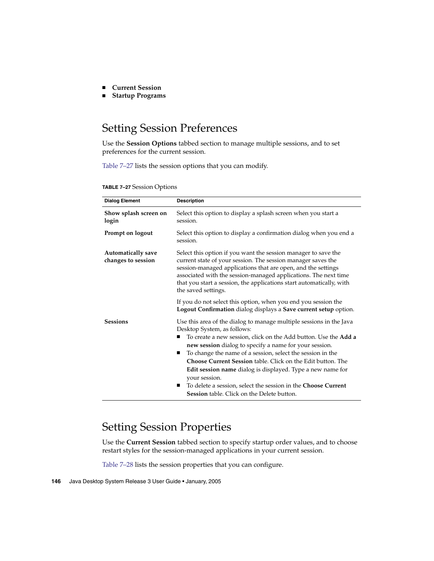- <span id="page-145-0"></span>■ **Current Session**
- **Startup Programs**

## Setting Session Preferences

Use the **Session Options** tabbed section to manage multiple sessions, and to set preferences for the current session.

Table 7–27 lists the session options that you can modify.

| <b>Dialog Element</b>                           | <b>Description</b>                                                                                                                                                                                                                                                                                                                                                                                                                                                                                                                                                                   |  |
|-------------------------------------------------|--------------------------------------------------------------------------------------------------------------------------------------------------------------------------------------------------------------------------------------------------------------------------------------------------------------------------------------------------------------------------------------------------------------------------------------------------------------------------------------------------------------------------------------------------------------------------------------|--|
| Show splash screen on<br>login                  | Select this option to display a splash screen when you start a<br>session.                                                                                                                                                                                                                                                                                                                                                                                                                                                                                                           |  |
| Prompt on logout                                | Select this option to display a confirmation dialog when you end a<br>session.                                                                                                                                                                                                                                                                                                                                                                                                                                                                                                       |  |
| <b>Automatically save</b><br>changes to session | Select this option if you want the session manager to save the<br>current state of your session. The session manager saves the<br>session-managed applications that are open, and the settings<br>associated with the session-managed applications. The next time<br>that you start a session, the applications start automatically, with<br>the saved settings.                                                                                                                                                                                                                     |  |
|                                                 | If you do not select this option, when you end you session the<br>Logout Confirmation dialog displays a Save current setup option.                                                                                                                                                                                                                                                                                                                                                                                                                                                   |  |
| <b>Sessions</b>                                 | Use this area of the dialog to manage multiple sessions in the Java<br>Desktop System, as follows:<br>To create a new session, click on the Add button. Use the <b>Add a</b><br>new session dialog to specify a name for your session.<br>To change the name of a session, select the session in the<br><b>Choose Current Session table. Click on the Edit button. The</b><br>Edit session name dialog is displayed. Type a new name for<br>your session.<br>To delete a session, select the session in the Choose Current<br>п<br><b>Session</b> table. Click on the Delete button. |  |

**TABLE 7–27** Session Options

## Setting Session Properties

Use the **Current Session** tabbed section to specify startup order values, and to choose restart styles for the session-managed applications in your current session.

[Table 7–28](#page-146-0) lists the session properties that you can configure.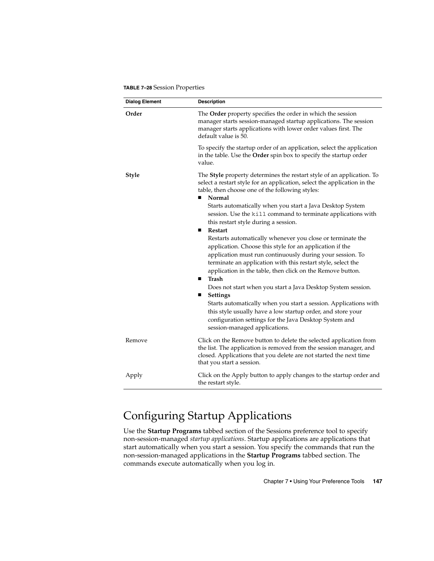#### <span id="page-146-0"></span>**TABLE 7–28** Session Properties

| <b>Dialog Element</b> | <b>Description</b>                                                                                                                                                                                                                                                                                                                     |  |
|-----------------------|----------------------------------------------------------------------------------------------------------------------------------------------------------------------------------------------------------------------------------------------------------------------------------------------------------------------------------------|--|
| Order                 | The Order property specifies the order in which the session<br>manager starts session-managed startup applications. The session<br>manager starts applications with lower order values first. The<br>default value is 50.                                                                                                              |  |
|                       | To specify the startup order of an application, select the application<br>in the table. Use the <b>Order</b> spin box to specify the startup order<br>value.                                                                                                                                                                           |  |
| <b>Style</b>          | The Style property determines the restart style of an application. To<br>select a restart style for an application, select the application in the<br>table, then choose one of the following styles:<br>Normal<br>■                                                                                                                    |  |
|                       | Starts automatically when you start a Java Desktop System<br>session. Use the kill command to terminate applications with<br>this restart style during a session.<br><b>Restart</b><br>■                                                                                                                                               |  |
|                       | Restarts automatically whenever you close or terminate the<br>application. Choose this style for an application if the<br>application must run continuously during your session. To<br>terminate an application with this restart style, select the<br>application in the table, then click on the Remove button.<br><b>Trash</b><br>ш |  |
|                       | Does not start when you start a Java Desktop System session.<br>Settings<br>п<br>Starts automatically when you start a session. Applications with<br>this style usually have a low startup order, and store your<br>configuration settings for the Java Desktop System and<br>session-managed applications.                            |  |
| Remove                | Click on the Remove button to delete the selected application from<br>the list. The application is removed from the session manager, and<br>closed. Applications that you delete are not started the next time<br>that you start a session.                                                                                            |  |
| Apply                 | Click on the Apply button to apply changes to the startup order and<br>the restart style.                                                                                                                                                                                                                                              |  |

# Configuring Startup Applications

Use the **Startup Programs** tabbed section of the Sessions preference tool to specify non-session-managed *startup applications*. Startup applications are applications that start automatically when you start a session. You specify the commands that run the non-session-managed applications in the **Startup Programs** tabbed section. The commands execute automatically when you log in.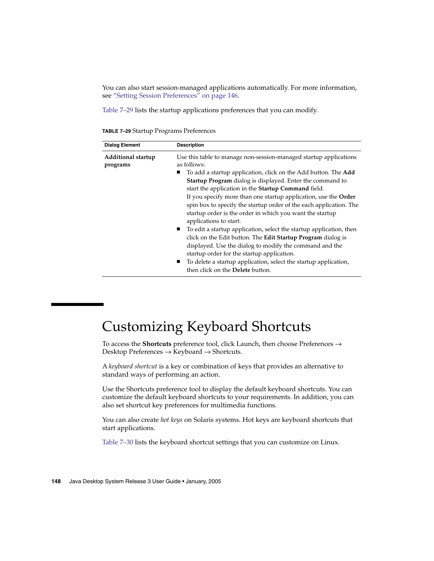<span id="page-147-0"></span>You can also start session-managed applications automatically. For more information, see ["Setting Session Preferences"](#page-145-0) on page 146.

Table 7–29 lists the startup applications preferences that you can modify.

**TABLE 7–29** Startup Programs Preferences

| <b>Dialog Element</b>                 | <b>Description</b>                                                                    |
|---------------------------------------|---------------------------------------------------------------------------------------|
| <b>Additional startup</b><br>programs | Use this table to manage non-session-managed startup applications<br>as follows:      |
|                                       | To add a startup application, click on the Add button. The <b>Add</b>                 |
|                                       | <b>Startup Program</b> dialog is displayed. Enter the command to                      |
|                                       | start the application in the Startup Command field.                                   |
|                                       | If you specify more than one startup application, use the <b>Order</b>                |
|                                       | spin box to specify the startup order of the each application. The                    |
|                                       | startup order is the order in which you want the startup                              |
|                                       | applications to start.                                                                |
|                                       | To edit a startup application, select the startup application, then<br>$\blacksquare$ |
|                                       | click on the Edit button. The Edit Startup Program dialog is                          |
|                                       | displayed. Use the dialog to modify the command and the                               |
|                                       | startup order for the startup application.                                            |
|                                       | To delete a startup application, select the startup application,<br>$\blacksquare$    |
|                                       | then click on the <b>Delete</b> button.                                               |

# Customizing Keyboard Shortcuts

To access the **Shortcuts** preference tool, click Launch, then choose Preferences → Desktop Preferences → Keyboard → Shortcuts.

A *keyboard shortcut* is a key or combination of keys that provides an alternative to standard ways of performing an action.

Use the Shortcuts preference tool to display the default keyboard shortcuts. You can customize the default keyboard shortcuts to your requirements. In addition, you can also set shortcut key preferences for multimedia functions.

You can also create *hot keys* on Solaris systems. Hot keys are keyboard shortcuts that start applications.

[Table 7–30](#page-148-0) lists the keyboard shortcut settings that you can customize on Linux.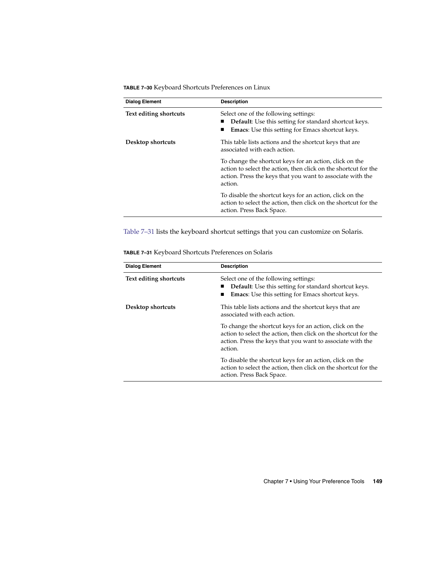| <b>Dialog Element</b>  | <b>Description</b>                                                                                                                                                                                  |
|------------------------|-----------------------------------------------------------------------------------------------------------------------------------------------------------------------------------------------------|
| Text editing shortcuts | Select one of the following settings:<br><b>Default:</b> Use this setting for standard shortcut keys.<br><b>Emacs:</b> Use this setting for Emacs shortcut keys.                                    |
| Desktop shortcuts      | This table lists actions and the shortcut keys that are<br>associated with each action.                                                                                                             |
|                        | To change the shortcut keys for an action, click on the<br>action to select the action, then click on the shortcut for the<br>action. Press the keys that you want to associate with the<br>action. |
|                        | To disable the shortcut keys for an action, click on the<br>action to select the action, then click on the shortcut for the<br>action. Press Back Space.                                            |

<span id="page-148-0"></span>**TABLE 7–30** Keyboard Shortcuts Preferences on Linux

Table 7–31 lists the keyboard shortcut settings that you can customize on Solaris.

|  | <b>TABLE 7-31</b> Keyboard Shortcuts Preferences on Solaris |  |
|--|-------------------------------------------------------------|--|
|  |                                                             |  |

| <b>Dialog Element</b>  | <b>Description</b>                                                                                                                                                                                  |  |
|------------------------|-----------------------------------------------------------------------------------------------------------------------------------------------------------------------------------------------------|--|
| Text editing shortcuts | Select one of the following settings:<br><b>Default:</b> Use this setting for standard shortcut keys.<br><b>Emacs:</b> Use this setting for Emacs shortcut keys.                                    |  |
| Desktop shortcuts      | This table lists actions and the shortcut keys that are<br>associated with each action.                                                                                                             |  |
|                        | To change the shortcut keys for an action, click on the<br>action to select the action, then click on the shortcut for the<br>action. Press the keys that you want to associate with the<br>action. |  |
|                        | To disable the shortcut keys for an action, click on the<br>action to select the action, then click on the shortcut for the<br>action. Press Back Space.                                            |  |

Chapter 7 • Using Your Preference Tools **149**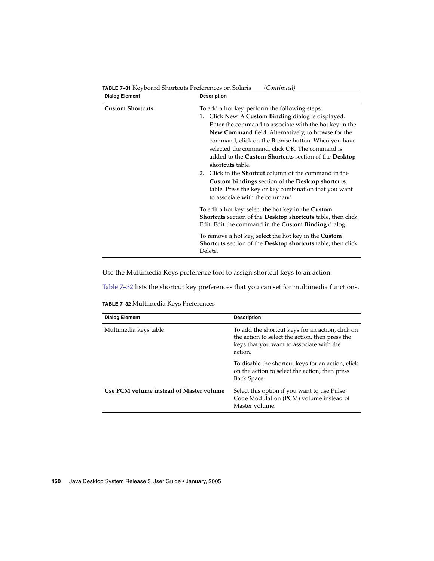| <b>Dialog Element</b>   | <b>Description</b>                                                                                                                                                                                                                                                                                                                                                                                                                                                                                                                                                                                                        |
|-------------------------|---------------------------------------------------------------------------------------------------------------------------------------------------------------------------------------------------------------------------------------------------------------------------------------------------------------------------------------------------------------------------------------------------------------------------------------------------------------------------------------------------------------------------------------------------------------------------------------------------------------------------|
| <b>Custom Shortcuts</b> | To add a hot key, perform the following steps:<br>1. Click New. A Custom Binding dialog is displayed.<br>Enter the command to associate with the hot key in the<br>New Command field. Alternatively, to browse for the<br>command, click on the Browse button. When you have<br>selected the command, click OK. The command is<br>added to the Custom Shortcuts section of the Desktop<br>shortcuts table.<br>2. Click in the <b>Shortcut</b> column of the command in the<br>Custom bindings section of the Desktop shortcuts<br>table. Press the key or key combination that you want<br>to associate with the command. |
|                         | To edit a hot key, select the hot key in the <b>Custom</b><br>Shortcuts section of the Desktop shortcuts table, then click<br>Edit. Edit the command in the <b>Custom Binding</b> dialog.                                                                                                                                                                                                                                                                                                                                                                                                                                 |
|                         | To remove a hot key, select the hot key in the <b>Custom</b><br><b>Shortcuts</b> section of the <b>Desktop shortcuts</b> table, then click<br>Delete.                                                                                                                                                                                                                                                                                                                                                                                                                                                                     |

<span id="page-149-0"></span>**TABLE 7–31** Keyboard Shortcuts Preferences on Solaris *(Continued)*

Use the Multimedia Keys preference tool to assign shortcut keys to an action.

Table 7–32 lists the shortcut key preferences that you can set for multimedia functions.

| <b>Dialog Element</b>                   | <b>Description</b>                                                                                                                                         |
|-----------------------------------------|------------------------------------------------------------------------------------------------------------------------------------------------------------|
| Multimedia keys table                   | To add the shortcut keys for an action, click on<br>the action to select the action, then press the<br>keys that you want to associate with the<br>action. |
|                                         | To disable the shortcut keys for an action, click<br>on the action to select the action, then press<br>Back Space.                                         |
| Use PCM volume instead of Master volume | Select this option if you want to use Pulse<br>Code Modulation (PCM) volume instead of<br>Master volume.                                                   |

**TABLE 7–32** Multimedia Keys Preferences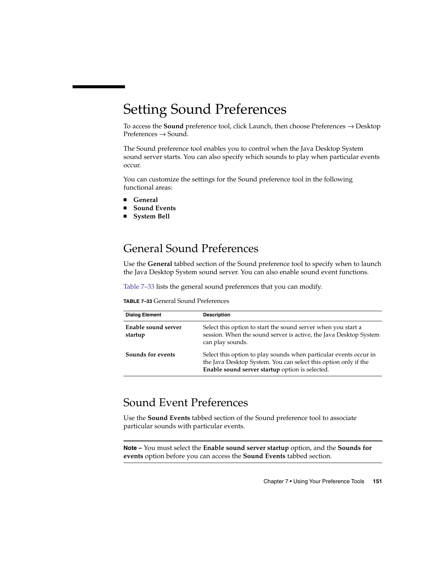# <span id="page-150-0"></span>Setting Sound Preferences

To access the **Sound** preference tool, click Launch, then choose Preferences → Desktop  $Preferences \rightarrow Sound.$ 

The Sound preference tool enables you to control when the Java Desktop System sound server starts. You can also specify which sounds to play when particular events occur.

You can customize the settings for the Sound preference tool in the following functional areas:

- **General**
- **Sound Events**
- **System Bell**

### General Sound Preferences

Use the **General** tabbed section of the Sound preference tool to specify when to launch the Java Desktop System sound server. You can also enable sound event functions.

Table 7–33 lists the general sound preferences that you can modify.

**TABLE 7–33** General Sound Preferences

| <b>Dialog Element</b>          | <b>Description</b>                                                                                                                                                                      |
|--------------------------------|-----------------------------------------------------------------------------------------------------------------------------------------------------------------------------------------|
| Enable sound server<br>startup | Select this option to start the sound server when you start a<br>session. When the sound server is active, the Java Desktop System<br>can play sounds.                                  |
| Sounds for events              | Select this option to play sounds when particular events occur in<br>the Java Desktop System. You can select this option only if the<br>Enable sound server startup option is selected. |

### Sound Event Preferences

Use the **Sound Events** tabbed section of the Sound preference tool to associate particular sounds with particular events.

**Note –** You must select the **Enable sound server startup** option, and the **Sounds for events** option before you can access the **Sound Events** tabbed section.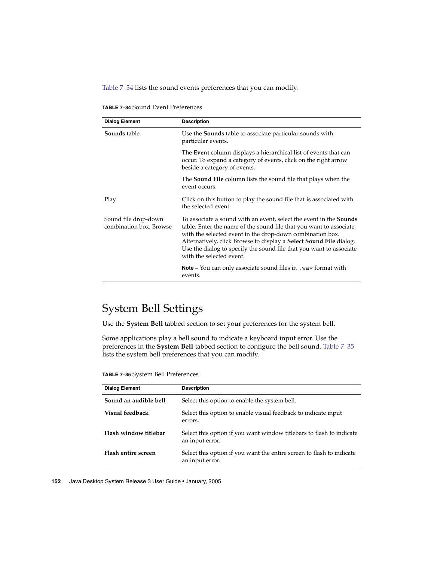<span id="page-151-0"></span>Table 7–34 lists the sound events preferences that you can modify.

**TABLE 7–34** Sound Event Preferences

| <b>Dialog Element</b>                           | <b>Description</b>                                                                                                                                                                                                                                                                                                                                                                    |
|-------------------------------------------------|---------------------------------------------------------------------------------------------------------------------------------------------------------------------------------------------------------------------------------------------------------------------------------------------------------------------------------------------------------------------------------------|
| <b>Sounds</b> table                             | Use the <b>Sounds</b> table to associate particular sounds with<br>particular events.                                                                                                                                                                                                                                                                                                 |
|                                                 | The <b>Event</b> column displays a hierarchical list of events that can<br>occur. To expand a category of events, click on the right arrow<br>beside a category of events.                                                                                                                                                                                                            |
|                                                 | The <b>Sound File</b> column lists the sound file that plays when the<br>event occurs.                                                                                                                                                                                                                                                                                                |
| Play                                            | Click on this button to play the sound file that is associated with<br>the selected event.                                                                                                                                                                                                                                                                                            |
| Sound file drop-down<br>combination box, Browse | To associate a sound with an event, select the event in the <b>Sounds</b><br>table. Enter the name of the sound file that you want to associate<br>with the selected event in the drop-down combination box.<br>Alternatively, click Browse to display a Select Sound File dialog.<br>Use the dialog to specify the sound file that you want to associate<br>with the selected event. |
|                                                 | <b>Note –</b> You can only associate sound files in . way format with<br>events.                                                                                                                                                                                                                                                                                                      |

## System Bell Settings

Use the **System Bell** tabbed section to set your preferences for the system bell.

Some applications play a bell sound to indicate a keyboard input error. Use the preferences in the **System Bell** tabbed section to configure the bell sound. Table 7–35 lists the system bell preferences that you can modify.

| <b>TABLE 7-35</b> System Bell Preferences |  |  |
|-------------------------------------------|--|--|
|-------------------------------------------|--|--|

| <b>Dialog Element</b> | <b>Description</b>                                                                       |
|-----------------------|------------------------------------------------------------------------------------------|
| Sound an audible bell | Select this option to enable the system bell.                                            |
| Visual feedback       | Select this option to enable visual feedback to indicate input<br>errors.                |
| Flash window titlebar | Select this option if you want window titlebars to flash to indicate<br>an input error.  |
| Flash entire screen   | Select this option if you want the entire screen to flash to indicate<br>an input error. |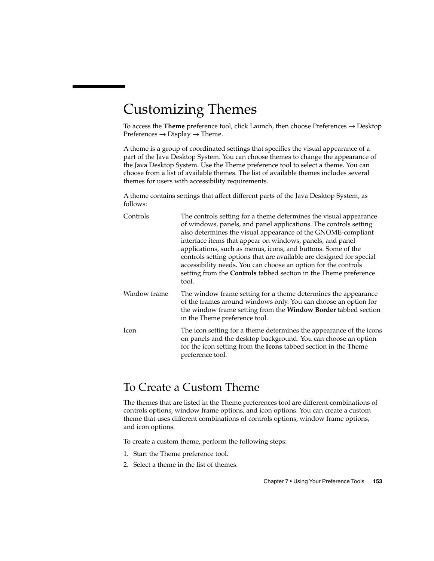# <span id="page-152-0"></span>Customizing Themes

To access the **Theme** preference tool, click Launch, then choose Preferences → Desktop Preferences  $\rightarrow$  Display  $\rightarrow$  Theme.

A theme is a group of coordinated settings that specifies the visual appearance of a part of the Java Desktop System. You can choose themes to change the appearance of the Java Desktop System. Use the Theme preference tool to select a theme. You can choose from a list of available themes. The list of available themes includes several themes for users with accessibility requirements.

A theme contains settings that affect different parts of the Java Desktop System, as follows:

| Controls     | The controls setting for a theme determines the visual appearance<br>of windows, panels, and panel applications. The controls setting<br>also determines the visual appearance of the GNOME-compliant<br>interface items that appear on windows, panels, and panel<br>applications, such as menus, icons, and buttons. Some of the<br>controls setting options that are available are designed for special<br>accessibility needs. You can choose an option for the controls<br>setting from the <b>Controls</b> tabbed section in the Theme preference<br>tool. |
|--------------|------------------------------------------------------------------------------------------------------------------------------------------------------------------------------------------------------------------------------------------------------------------------------------------------------------------------------------------------------------------------------------------------------------------------------------------------------------------------------------------------------------------------------------------------------------------|
| Window frame | The window frame setting for a theme determines the appearance<br>of the frames around windows only. You can choose an option for<br>the window frame setting from the Window Border tabbed section<br>in the Theme preference tool.                                                                                                                                                                                                                                                                                                                             |
| Icon         | The icon setting for a theme determines the appearance of the icons<br>on panels and the desktop background. You can choose an option<br>for the icon setting from the Icons tabbed section in the Theme<br>preference tool.                                                                                                                                                                                                                                                                                                                                     |

### To Create a Custom Theme

The themes that are listed in the Theme preferences tool are different combinations of controls options, window frame options, and icon options. You can create a custom theme that uses different combinations of controls options, window frame options, and icon options.

To create a custom theme, perform the following steps:

- 1. Start the Theme preference tool.
- 2. Select a theme in the list of themes.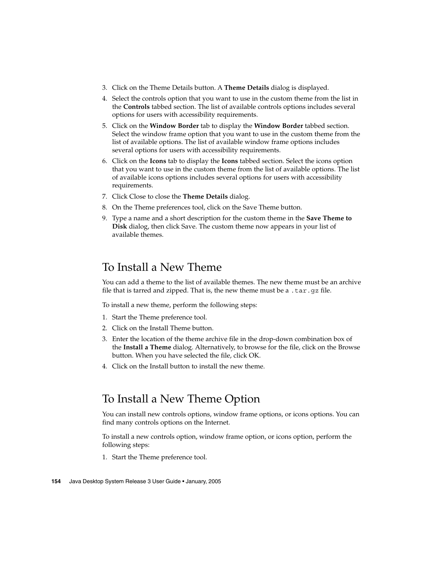- 3. Click on the Theme Details button. A **Theme Details** dialog is displayed.
- 4. Select the controls option that you want to use in the custom theme from the list in the **Controls** tabbed section. The list of available controls options includes several options for users with accessibility requirements.
- 5. Click on the **Window Border** tab to display the **Window Border** tabbed section. Select the window frame option that you want to use in the custom theme from the list of available options. The list of available window frame options includes several options for users with accessibility requirements.
- 6. Click on the **Icons** tab to display the **Icons** tabbed section. Select the icons option that you want to use in the custom theme from the list of available options. The list of available icons options includes several options for users with accessibility requirements.
- 7. Click Close to close the **Theme Details** dialog.
- 8. On the Theme preferences tool, click on the Save Theme button.
- 9. Type a name and a short description for the custom theme in the **Save Theme to Disk** dialog, then click Save. The custom theme now appears in your list of available themes.

### To Install a New Theme

You can add a theme to the list of available themes. The new theme must be an archive file that is tarred and zipped. That is, the new theme must be a  $.\text{tar}.gz$  file.

To install a new theme, perform the following steps:

- 1. Start the Theme preference tool.
- 2. Click on the Install Theme button.
- 3. Enter the location of the theme archive file in the drop-down combination box of the **Install a Theme** dialog. Alternatively, to browse for the file, click on the Browse button. When you have selected the file, click OK.
- 4. Click on the Install button to install the new theme.

### To Install a New Theme Option

You can install new controls options, window frame options, or icons options. You can find many controls options on the Internet.

To install a new controls option, window frame option, or icons option, perform the following steps:

1. Start the Theme preference tool.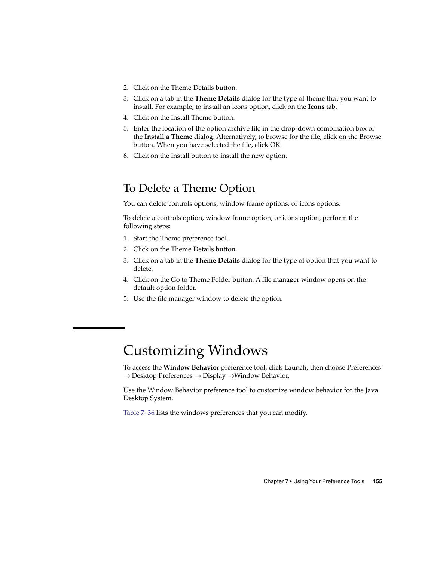- <span id="page-154-0"></span>2. Click on the Theme Details button.
- 3. Click on a tab in the **Theme Details** dialog for the type of theme that you want to install. For example, to install an icons option, click on the **Icons** tab.
- 4. Click on the Install Theme button.
- 5. Enter the location of the option archive file in the drop-down combination box of the **Install a Theme** dialog. Alternatively, to browse for the file, click on the Browse button. When you have selected the file, click OK.
- 6. Click on the Install button to install the new option.

### To Delete a Theme Option

You can delete controls options, window frame options, or icons options.

To delete a controls option, window frame option, or icons option, perform the following steps:

- 1. Start the Theme preference tool.
- 2. Click on the Theme Details button.
- 3. Click on a tab in the **Theme Details** dialog for the type of option that you want to delete.
- 4. Click on the Go to Theme Folder button. A file manager window opens on the default option folder.
- 5. Use the file manager window to delete the option.

# Customizing Windows

To access the **Window Behavior** preference tool, click Launch, then choose Preferences  $\rightarrow$  Desktop Preferences  $\rightarrow$  Display  $\rightarrow$ Window Behavior.

Use the Window Behavior preference tool to customize window behavior for the Java Desktop System.

[Table 7–36](#page-155-0) lists the windows preferences that you can modify.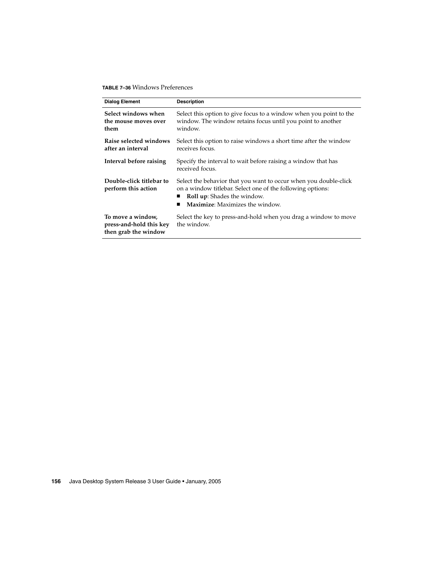#### <span id="page-155-0"></span>**TABLE 7–36** Windows Preferences

| <b>Dialog Element</b>                                                | <b>Description</b>                                                                                                                                                                                                  |
|----------------------------------------------------------------------|---------------------------------------------------------------------------------------------------------------------------------------------------------------------------------------------------------------------|
| Select windows when<br>the mouse moves over<br>them                  | Select this option to give focus to a window when you point to the<br>window. The window retains focus until you point to another<br>window.                                                                        |
| Raise selected windows<br>after an interval                          | Select this option to raise windows a short time after the window<br>receives focus.                                                                                                                                |
| Interval before raising                                              | Specify the interval to wait before raising a window that has<br>received focus.                                                                                                                                    |
| Double-click titlebar to<br>perform this action                      | Select the behavior that you want to occur when you double-click<br>on a window titlebar. Select one of the following options:<br><b>Roll up:</b> Shades the window.<br><b>Maximize:</b> Maximizes the window.<br>п |
| To move a window,<br>press-and-hold this key<br>then grab the window | Select the key to press-and-hold when you drag a window to move<br>the window.                                                                                                                                      |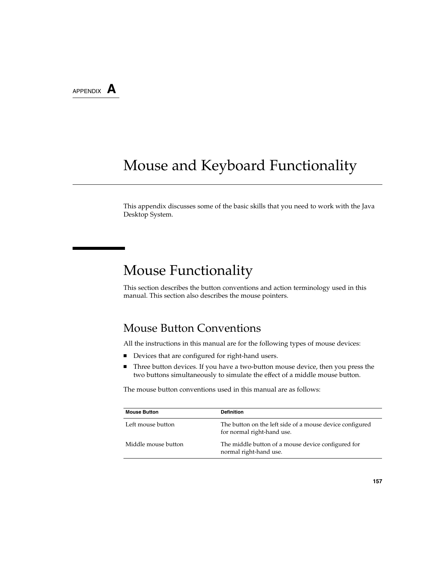<span id="page-156-0"></span>APPENDIX **A**

# Mouse and Keyboard Functionality

This appendix discusses some of the basic skills that you need to work with the Java Desktop System.

# Mouse Functionality

This section describes the button conventions and action terminology used in this manual. This section also describes the mouse pointers.

### Mouse Button Conventions

All the instructions in this manual are for the following types of mouse devices:

- Devices that are configured for right-hand users.
- Three button devices. If you have a two-button mouse device, then you press the two buttons simultaneously to simulate the effect of a middle mouse button.

The mouse button conventions used in this manual are as follows:

| <b>Mouse Button</b> | <b>Definition</b>                                                                      |
|---------------------|----------------------------------------------------------------------------------------|
| Left mouse button   | The button on the left side of a mouse device configured<br>for normal right-hand use. |
| Middle mouse button | The middle button of a mouse device configured for<br>normal right-hand use.           |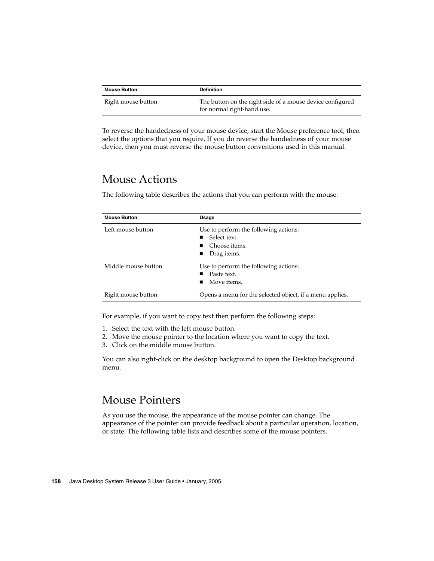<span id="page-157-0"></span>

| <b>Mouse Button</b> | <b>Definition</b>                                                                       |
|---------------------|-----------------------------------------------------------------------------------------|
| Right mouse button  | The button on the right side of a mouse device configured<br>for normal right-hand use. |

To reverse the handedness of your mouse device, start the Mouse preference tool, then select the options that you require. If you do reverse the handedness of your mouse device, then you must reverse the mouse button conventions used in this manual.

### Mouse Actions

The following table describes the actions that you can perform with the mouse:

| <b>Mouse Button</b> | Usage                                                    |
|---------------------|----------------------------------------------------------|
| Left mouse button   | Use to perform the following actions:                    |
|                     | Select text.<br>$\blacksquare$                           |
|                     | Choose items.                                            |
|                     | Drag items.                                              |
| Middle mouse button | Use to perform the following actions:                    |
|                     | Paste text.                                              |
|                     | Move items.                                              |
| Right mouse button  | Opens a menu for the selected object, if a menu applies. |

For example, if you want to copy text then perform the following steps:

- 1. Select the text with the left mouse button.
- 2. Move the mouse pointer to the location where you want to copy the text.
- 3. Click on the middle mouse button.

You can also right-click on the desktop background to open the Desktop background menu.

### Mouse Pointers

As you use the mouse, the appearance of the mouse pointer can change. The appearance of the pointer can provide feedback about a particular operation, location, or state. The following table lists and describes some of the mouse pointers.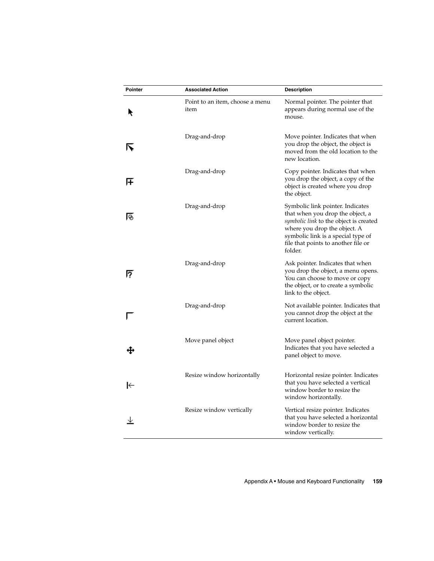| Pointer | <b>Associated Action</b>                | <b>Description</b>                                                                                                                                                                                                                     |
|---------|-----------------------------------------|----------------------------------------------------------------------------------------------------------------------------------------------------------------------------------------------------------------------------------------|
|         | Point to an item, choose a menu<br>item | Normal pointer. The pointer that<br>appears during normal use of the<br>mouse.                                                                                                                                                         |
|         | Drag-and-drop                           | Move pointer. Indicates that when<br>you drop the object, the object is<br>moved from the old location to the<br>new location.                                                                                                         |
| 厈       | Drag-and-drop                           | Copy pointer. Indicates that when<br>you drop the object, a copy of the<br>object is created where you drop<br>the object.                                                                                                             |
| छि      | Drag-and-drop                           | Symbolic link pointer. Indicates<br>that when you drop the object, a<br>symbolic link to the object is created<br>where you drop the object. A<br>symbolic link is a special type of<br>file that points to another file or<br>folder. |
| 7       | Drag-and-drop                           | Ask pointer. Indicates that when<br>you drop the object, a menu opens.<br>You can choose to move or copy<br>the object, or to create a symbolic<br>link to the object.                                                                 |
|         | Drag-and-drop                           | Not available pointer. Indicates that<br>you cannot drop the object at the<br>current location.                                                                                                                                        |
|         | Move panel object                       | Move panel object pointer.<br>Indicates that you have selected a<br>panel object to move.                                                                                                                                              |
| К       | Resize window horizontally              | Horizontal resize pointer. Indicates<br>that you have selected a vertical<br>window border to resize the<br>window horizontally.                                                                                                       |
|         | Resize window vertically                | Vertical resize pointer. Indicates<br>that you have selected a horizontal<br>window border to resize the<br>window vertically.                                                                                                         |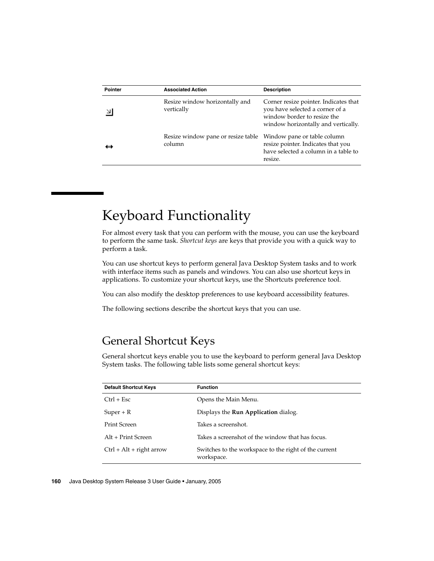<span id="page-159-0"></span>

| Pointer | <b>Associated Action</b>                     | <b>Description</b>                                                                                                                             |
|---------|----------------------------------------------|------------------------------------------------------------------------------------------------------------------------------------------------|
| ∐∠      | Resize window horizontally and<br>vertically | Corner resize pointer. Indicates that<br>you have selected a corner of a<br>window border to resize the<br>window horizontally and vertically. |
|         | Resize window pane or resize table<br>column | Window pane or table column<br>resize pointer. Indicates that you<br>have selected a column in a table to<br>resize.                           |

# Keyboard Functionality

For almost every task that you can perform with the mouse, you can use the keyboard to perform the same task. *Shortcut keys* are keys that provide you with a quick way to perform a task.

You can use shortcut keys to perform general Java Desktop System tasks and to work with interface items such as panels and windows. You can also use shortcut keys in applications. To customize your shortcut keys, use the Shortcuts preference tool.

You can also modify the desktop preferences to use keyboard accessibility features.

The following sections describe the shortcut keys that you can use.

### General Shortcut Keys

General shortcut keys enable you to use the keyboard to perform general Java Desktop System tasks. The following table lists some general shortcut keys:

| <b>Default Shortcut Keys</b> | <b>Function</b>                                                     |
|------------------------------|---------------------------------------------------------------------|
| $Ctrl + Esc$                 | Opens the Main Menu.                                                |
| $Super + R$                  | Displays the <b>Run Application</b> dialog.                         |
| Print Screen                 | Takes a screenshot.                                                 |
| Alt + Print Screen           | Takes a screenshot of the window that has focus.                    |
| $Ctrl + Alt + right arrow$   | Switches to the workspace to the right of the current<br>workspace. |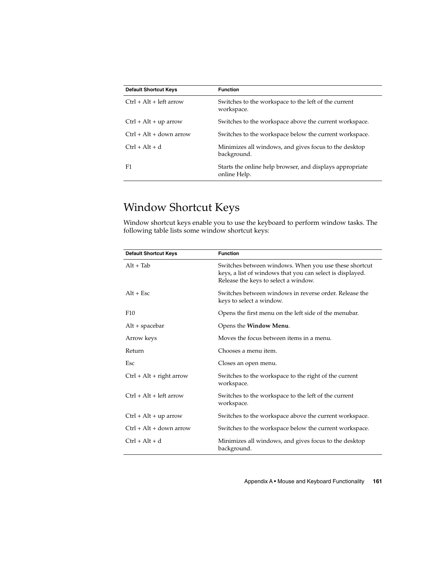<span id="page-160-0"></span>

| <b>Default Shortcut Keys</b> | <b>Function</b>                                                          |
|------------------------------|--------------------------------------------------------------------------|
| $Ctrl + Alt + left arrow$    | Switches to the workspace to the left of the current<br>workspace.       |
| $Ctrl + Alt + up arrow$      | Switches to the workspace above the current workspace.                   |
| $Ctrl + Alt + down arrow$    | Switches to the workspace below the current workspace.                   |
| $C$ trl + Alt + d            | Minimizes all windows, and gives focus to the desktop<br>background.     |
| F1                           | Starts the online help browser, and displays appropriate<br>online Help. |

# Window Shortcut Keys

Window shortcut keys enable you to use the keyboard to perform window tasks. The following table lists some window shortcut keys:

| <b>Function</b>                                                                                                                                            |
|------------------------------------------------------------------------------------------------------------------------------------------------------------|
| Switches between windows. When you use these shortcut<br>keys, a list of windows that you can select is displayed.<br>Release the keys to select a window. |
| Switches between windows in reverse order. Release the<br>keys to select a window.                                                                         |
| Opens the first menu on the left side of the menubar.                                                                                                      |
| Opens the Window Menu.                                                                                                                                     |
| Moves the focus between items in a menu.                                                                                                                   |
| Chooses a menu item.                                                                                                                                       |
| Closes an open menu.                                                                                                                                       |
| Switches to the workspace to the right of the current<br>workspace.                                                                                        |
| Switches to the workspace to the left of the current<br>workspace.                                                                                         |
| Switches to the workspace above the current workspace.                                                                                                     |
| Switches to the workspace below the current workspace.                                                                                                     |
| Minimizes all windows, and gives focus to the desktop<br>background.                                                                                       |
|                                                                                                                                                            |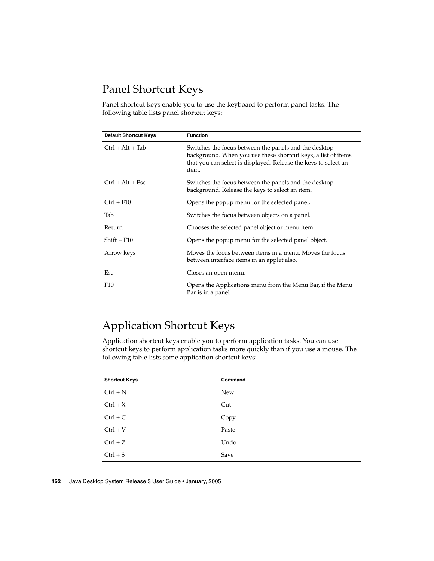## <span id="page-161-0"></span>Panel Shortcut Keys

Panel shortcut keys enable you to use the keyboard to perform panel tasks. The following table lists panel shortcut keys:

| <b>Default Shortcut Keys</b> | <b>Function</b>                                                                                                                                                                                    |
|------------------------------|----------------------------------------------------------------------------------------------------------------------------------------------------------------------------------------------------|
| $Ctrl + Alt + Tab$           | Switches the focus between the panels and the desktop<br>background. When you use these shortcut keys, a list of items<br>that you can select is displayed. Release the keys to select an<br>item. |
| $Ctrl + Alt + Esc$           | Switches the focus between the panels and the desktop<br>background. Release the keys to select an item.                                                                                           |
| $Ctrl + F10$                 | Opens the popup menu for the selected panel.                                                                                                                                                       |
| Tab                          | Switches the focus between objects on a panel.                                                                                                                                                     |
| Return                       | Chooses the selected panel object or menu item.                                                                                                                                                    |
| $Shift + F10$                | Opens the popup menu for the selected panel object.                                                                                                                                                |
| Arrow keys                   | Moves the focus between items in a menu. Moves the focus<br>between interface items in an applet also.                                                                                             |
| Esc                          | Closes an open menu.                                                                                                                                                                               |
| F <sub>10</sub>              | Opens the Applications menu from the Menu Bar, if the Menu<br>Bar is in a panel.                                                                                                                   |

# Application Shortcut Keys

Application shortcut keys enable you to perform application tasks. You can use shortcut keys to perform application tasks more quickly than if you use a mouse. The following table lists some application shortcut keys:

| <b>Shortcut Keys</b> | Command    |
|----------------------|------------|
| $Ctrl + N$           | <b>New</b> |
| $Ctrl + X$           | Cut        |
| $Ctrl + C$           | Copy       |
| $Ctrl + V$           | Paste      |
| $Ctrl + Z$           | Undo       |
| $Ctrl + S$           | Save       |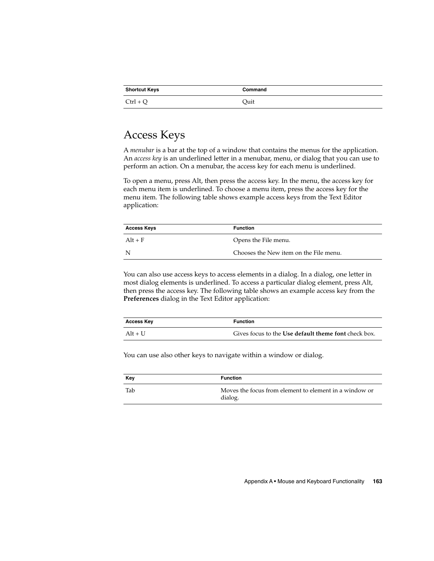<span id="page-162-0"></span>

| <b>Shortcut Keys</b> | Command |
|----------------------|---------|
| $Ctrl + Q$           | Quit    |

## Access Keys

A *menubar* is a bar at the top of a window that contains the menus for the application. An *access key* is an underlined letter in a menubar, menu, or dialog that you can use to perform an action. On a menubar, the access key for each menu is underlined.

To open a menu, press Alt, then press the access key. In the menu, the access key for each menu item is underlined. To choose a menu item, press the access key for the menu item. The following table shows example access keys from the Text Editor application:

| <b>Access Keys</b> | <b>Function</b>                        |
|--------------------|----------------------------------------|
| $Alt + F$          | Opens the File menu.                   |
| N                  | Chooses the New item on the File menu. |

You can also use access keys to access elements in a dialog. In a dialog, one letter in most dialog elements is underlined. To access a particular dialog element, press Alt, then press the access key. The following table shows an example access key from the **Preferences** dialog in the Text Editor application:

| <b>Access Key</b> | <b>Function</b>                                      |
|-------------------|------------------------------------------------------|
| $Alt + U$         | Gives focus to the Use default theme font check box. |

You can use also other keys to navigate within a window or dialog.

| Kev | <b>Function</b>                                                   |
|-----|-------------------------------------------------------------------|
| Tab | Moves the focus from element to element in a window or<br>dialog. |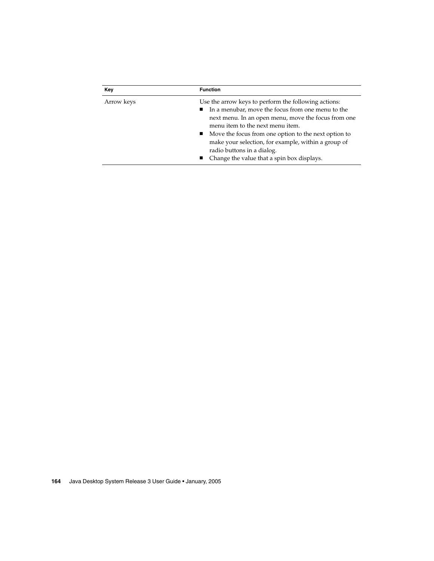| Key        | <b>Function</b>                                                                                                                                                                                                                                                                                                                                                                                   |
|------------|---------------------------------------------------------------------------------------------------------------------------------------------------------------------------------------------------------------------------------------------------------------------------------------------------------------------------------------------------------------------------------------------------|
| Arrow keys | Use the arrow keys to perform the following actions:<br>In a menubar, move the focus from one menu to the<br>next menu. In an open menu, move the focus from one<br>menu item to the next menu item.<br>• Move the focus from one option to the next option to<br>make your selection, for example, within a group of<br>radio buttons in a dialog.<br>Change the value that a spin box displays. |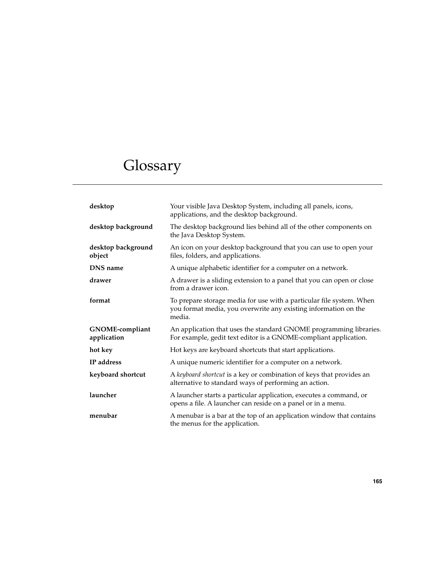# Glossary

| desktop                        | Your visible Java Desktop System, including all panels, icons,<br>applications, and the desktop background.                                       |
|--------------------------------|---------------------------------------------------------------------------------------------------------------------------------------------------|
| desktop background             | The desktop background lies behind all of the other components on<br>the Java Desktop System.                                                     |
| desktop background<br>object   | An icon on your desktop background that you can use to open your<br>files, folders, and applications.                                             |
| DNS name                       | A unique alphabetic identifier for a computer on a network.                                                                                       |
| drawer                         | A drawer is a sliding extension to a panel that you can open or close<br>from a drawer icon.                                                      |
| format                         | To prepare storage media for use with a particular file system. When<br>you format media, you overwrite any existing information on the<br>media. |
| GNOME-compliant<br>application | An application that uses the standard GNOME programming libraries.<br>For example, gedit text editor is a GNOME-compliant application.            |
| hot key                        | Hot keys are keyboard shortcuts that start applications.                                                                                          |
| IP address                     | A unique numeric identifier for a computer on a network.                                                                                          |
| keyboard shortcut              | A keyboard shortcut is a key or combination of keys that provides an<br>alternative to standard ways of performing an action.                     |
| launcher                       | A launcher starts a particular application, executes a command, or<br>opens a file. A launcher can reside on a panel or in a menu.                |
| menubar                        | A menubar is a bar at the top of an application window that contains<br>the menus for the application.                                            |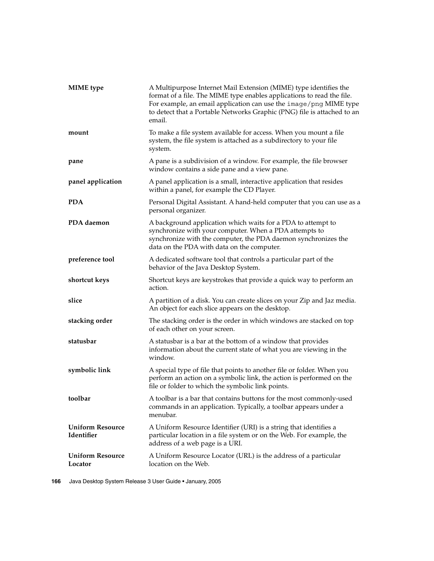| <b>MIME</b> type                      | A Multipurpose Internet Mail Extension (MIME) type identifies the<br>format of a file. The MIME type enables applications to read the file.<br>For example, an email application can use the image/png MIME type<br>to detect that a Portable Networks Graphic (PNG) file is attached to an<br>email. |
|---------------------------------------|-------------------------------------------------------------------------------------------------------------------------------------------------------------------------------------------------------------------------------------------------------------------------------------------------------|
| mount                                 | To make a file system available for access. When you mount a file<br>system, the file system is attached as a subdirectory to your file<br>system.                                                                                                                                                    |
| pane                                  | A pane is a subdivision of a window. For example, the file browser<br>window contains a side pane and a view pane.                                                                                                                                                                                    |
| panel application                     | A panel application is a small, interactive application that resides<br>within a panel, for example the CD Player.                                                                                                                                                                                    |
| <b>PDA</b>                            | Personal Digital Assistant. A hand-held computer that you can use as a<br>personal organizer.                                                                                                                                                                                                         |
| PDA daemon                            | A background application which waits for a PDA to attempt to<br>synchronize with your computer. When a PDA attempts to<br>synchronize with the computer, the PDA daemon synchronizes the<br>data on the PDA with data on the computer.                                                                |
| preference tool                       | A dedicated software tool that controls a particular part of the<br>behavior of the Java Desktop System.                                                                                                                                                                                              |
| shortcut keys                         | Shortcut keys are keystrokes that provide a quick way to perform an<br>action.                                                                                                                                                                                                                        |
| slice                                 | A partition of a disk. You can create slices on your Zip and Jaz media.<br>An object for each slice appears on the desktop.                                                                                                                                                                           |
| stacking order                        | The stacking order is the order in which windows are stacked on top<br>of each other on your screen.                                                                                                                                                                                                  |
| statusbar                             | A statusbar is a bar at the bottom of a window that provides<br>information about the current state of what you are viewing in the<br>window.                                                                                                                                                         |
| symbolic link                         | A special type of file that points to another file or folder. When you<br>perform an action on a symbolic link, the action is performed on the<br>file or folder to which the symbolic link points.                                                                                                   |
| toolbar                               | A toolbar is a bar that contains buttons for the most commonly-used<br>commands in an application. Typically, a toolbar appears under a<br>menubar.                                                                                                                                                   |
| <b>Uniform Resource</b><br>Identifier | A Uniform Resource Identifier (URI) is a string that identifies a<br>particular location in a file system or on the Web. For example, the<br>address of a web page is a URI.                                                                                                                          |
| <b>Uniform Resource</b><br>Locator    | A Uniform Resource Locator (URL) is the address of a particular<br>location on the Web.                                                                                                                                                                                                               |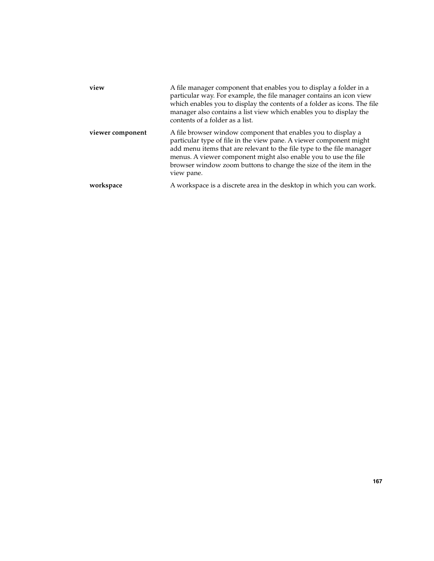| view             | A file manager component that enables you to display a folder in a<br>particular way. For example, the file manager contains an icon view<br>which enables you to display the contents of a folder as icons. The file<br>manager also contains a list view which enables you to display the<br>contents of a folder as a list.                                     |
|------------------|--------------------------------------------------------------------------------------------------------------------------------------------------------------------------------------------------------------------------------------------------------------------------------------------------------------------------------------------------------------------|
| viewer component | A file browser window component that enables you to display a<br>particular type of file in the view pane. A viewer component might<br>add menu items that are relevant to the file type to the file manager<br>menus. A viewer component might also enable you to use the file<br>browser window zoom buttons to change the size of the item in the<br>view pane. |
| workspace        | A workspace is a discrete area in the desktop in which you can work.                                                                                                                                                                                                                                                                                               |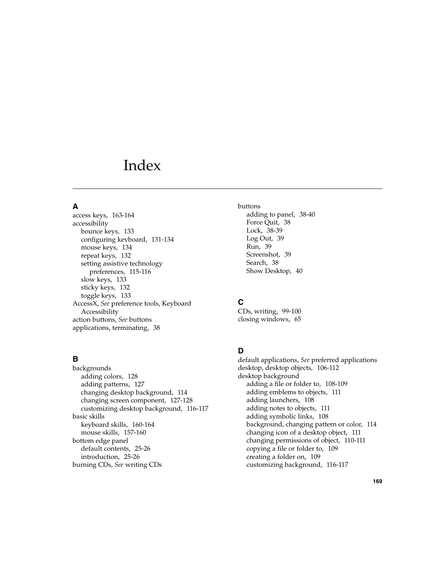# Index

### **A**

access keys, [163-164](#page-162-0) accessibility bounce keys, [133](#page-132-0) configuring keyboard, [131-134](#page-130-0) mouse keys, [134](#page-133-0) repeat keys, [132](#page-131-0) setting assistive technology preferences, [115-116](#page-114-0) slow keys, [133](#page-132-0) sticky keys, [132](#page-131-0) toggle keys, [133](#page-132-0) AccessX, *See* preference tools, Keyboard Accessibility action buttons, *See* buttons applications, terminating, [38](#page-37-0)

#### **B**

backgrounds adding colors, [128](#page-127-0) adding patterns, [127](#page-126-0) changing desktop background, [114](#page-113-0) changing screen component, [127-128](#page-126-0) customizing desktop background, [116-117](#page-115-0) basic skills keyboard skills, [160-164](#page-159-0) mouse skills, [157-160](#page-156-0) bottom edge panel default contents, [25-26](#page-24-0) introduction, [25-26](#page-24-0) burning CDs, *See* writing CDs

buttons adding to panel, [38-40](#page-37-0) Force Quit, [38](#page-37-0) Lock, [38-39](#page-37-0) Log Out, [39](#page-38-0) Run, [39](#page-38-0) Screenshot, [39](#page-38-0) Search, [38](#page-37-0) Show Desktop, [40](#page-39-0)

### **C**

CDs, writing, [99-100](#page-98-0) closing windows, [65](#page-64-0)

### **D**

default applications, *See* preferred applications desktop, desktop objects, [106-112](#page-105-0) desktop background adding a file or folder to, [108-109](#page-107-0) adding emblems to objects, [111](#page-110-0) adding launchers, [108](#page-107-0) adding notes to objects, [111](#page-110-0) adding symbolic links, [108](#page-107-0) background, changing pattern or color, [114](#page-113-0) changing icon of a desktop object, [111](#page-110-0) changing permissions of object, [110-111](#page-109-0) copying a file or folder to, [109](#page-108-0) creating a folder on, [109](#page-108-0) customizing background, [116-117](#page-115-0)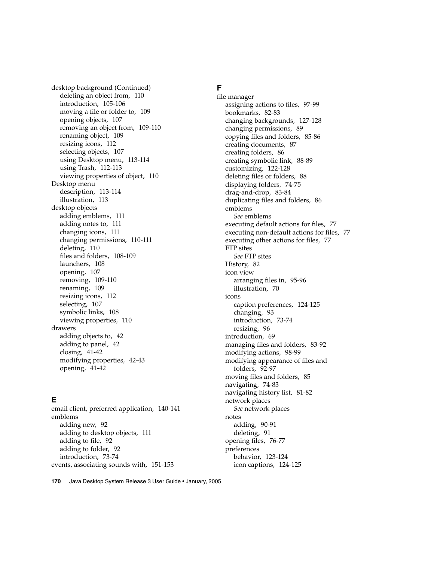desktop background (Continued) deleting an object from, [110](#page-109-0) introduction, [105-106](#page-104-0) moving a file or folder to, [109](#page-108-0) opening objects, [107](#page-106-0) removing an object from, [109-110](#page-108-0) renaming object, [109](#page-108-0) resizing icons, [112](#page-111-0) selecting objects, [107](#page-106-0) using Desktop menu, [113-114](#page-112-0) using Trash, [112-113](#page-111-0) viewing properties of object, [110](#page-109-0) Desktop menu description, [113-114](#page-112-0) illustration, [113](#page-112-0) desktop objects adding emblems, [111](#page-110-0) adding notes to, [111](#page-110-0) changing icons, [111](#page-110-0) changing permissions, [110-111](#page-109-0) deleting, [110](#page-109-0) files and folders, [108-109](#page-107-0) launchers, [108](#page-107-0) opening, [107](#page-106-0) removing, [109-110](#page-108-0) renaming, [109](#page-108-0) resizing icons, [112](#page-111-0) selecting, [107](#page-106-0) symbolic links, [108](#page-107-0) viewing properties, [110](#page-109-0) drawers adding objects to, [42](#page-41-0) adding to panel, [42](#page-41-0) closing, [41-42](#page-40-0) modifying properties, [42-43](#page-41-0)

### **E**

opening, [41-42](#page-40-0)

email client, preferred application, [140-141](#page-139-0) emblems adding new, [92](#page-91-0) adding to desktop objects, [111](#page-110-0) adding to file, [92](#page-91-0) adding to folder, [92](#page-91-0) introduction, [73-74](#page-72-0) events, associating sounds with, [151-153](#page-150-0)

### **F**

file manager assigning actions to files, [97-99](#page-96-0) bookmarks, [82-83](#page-81-0) changing backgrounds, [127-128](#page-126-0) changing permissions, [89](#page-88-0) copying files and folders, [85-86](#page-84-0) creating documents, [87](#page-86-0) creating folders, [86](#page-85-0) creating symbolic link, [88-89](#page-87-0) customizing, [122-128](#page-121-0) deleting files or folders, [88](#page-87-0) displaying folders, [74-75](#page-73-0) drag-and-drop, [83-84](#page-82-0) duplicating files and folders, [86](#page-85-0) emblems *See* emblems executing default actions for files, [77](#page-76-0) executing non-default actions for files, [77](#page-76-0) executing other actions for files, [77](#page-76-0) FTP sites *See* FTP sites History, [82](#page-81-0) icon view arranging files in, [95-96](#page-94-0) illustration, [70](#page-69-0) icons caption preferences, [124-125](#page-123-0) changing, [93](#page-92-0) introduction, [73-74](#page-72-0) resizing, [96](#page-95-0) introduction, [69](#page-68-0) managing files and folders, [83-92](#page-82-0) modifying actions, [98-99](#page-97-0) modifying appearance of files and folders, [92-97](#page-91-0) moving files and folders, [85](#page-84-0) navigating, [74-83](#page-73-0) navigating history list, [81-82](#page-80-0) network places *See* network places notes adding, [90-91](#page-89-0) deleting, [91](#page-90-0) opening files, [76-77](#page-75-0) preferences behavior, [123-124](#page-122-0) icon captions, [124-125](#page-123-0)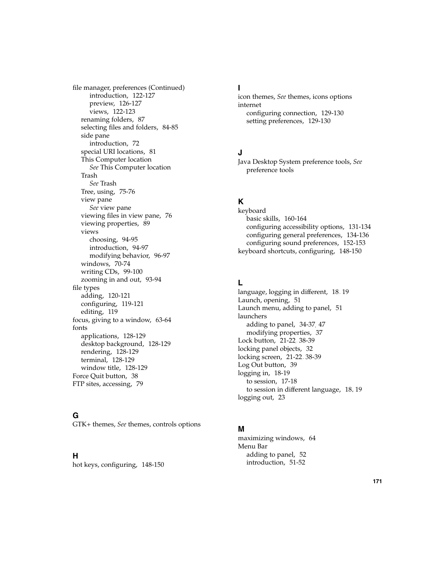file manager, preferences (Continued) introduction, [122-127](#page-121-0) preview, [126-127](#page-125-0) views, [122-123](#page-121-0) renaming folders, [87](#page-86-0) selecting files and folders, [84-85](#page-83-0) side pane introduction, [72](#page-71-0) special URI locations, [81](#page-80-0) This Computer location *See* This Computer location Trash *See* Trash Tree, using, [75-76](#page-74-0) view pane *See* view pane viewing files in view pane, [76](#page-75-0) viewing properties, [89](#page-88-0) views choosing, [94-95](#page-93-0) introduction, [94-97](#page-93-0) modifying behavior, [96-97](#page-95-0) windows, [70-74](#page-69-0) writing CDs, [99-100](#page-98-0) zooming in and out, [93-94](#page-92-0) file types adding, [120-121](#page-119-0) configuring, [119-121](#page-118-0) editing, [119](#page-118-0) focus, giving to a window, [63-64](#page-62-0) fonts applications, [128-129](#page-127-0) desktop background, [128-129](#page-127-0) rendering, [128-129](#page-127-0) terminal, [128-129](#page-127-0) window title, [128-129](#page-127-0) Force Quit button, [38](#page-37-0) FTP sites, accessing, [79](#page-78-0)

### **G**

GTK+ themes, *See* themes, controls options

### **H**

hot keys, configuring, [148-150](#page-147-0)

#### **I**

icon themes, *See* themes, icons options internet configuring connection, [129-130](#page-128-0) setting preferences, [129-130](#page-128-0)

#### **J**

Java Desktop System preference tools, *See* preference tools

### **K**

keyboard basic skills, [160-164](#page-159-0) configuring accessibility options, [131-134](#page-130-0) configuring general preferences, [134-136](#page-133-0) configuring sound preferences, [152-153](#page-151-0) keyboard shortcuts, configuring, [148-150](#page-147-0)

#### **L**

language, logging in different, [18,](#page-17-0) [19](#page-18-0) Launch, opening, [51](#page-50-0) Launch menu, adding to panel, [51](#page-50-0) launchers adding to panel, [34-37,](#page-33-0) [47](#page-46-0) modifying properties, [37](#page-36-0) Lock button, [21-22,](#page-20-0) [38-39](#page-37-0) locking panel objects, [32](#page-31-0) locking screen, [21-22,](#page-20-0) [38-39](#page-37-0) Log Out button, [39](#page-38-0) logging in, [18-19](#page-17-0) to session, [17-18](#page-16-0) to session in different language, [18,](#page-17-0) [19](#page-18-0) logging out, [23](#page-22-0)

#### **M**

maximizing windows, [64](#page-63-0) Menu Bar adding to panel, [52](#page-51-0) introduction, [51-52](#page-50-0)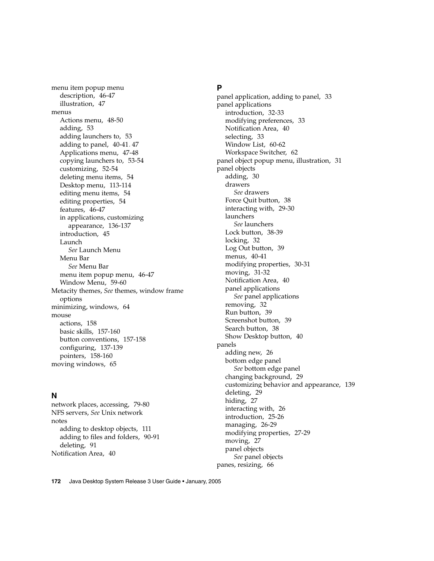menu item popup menu description, [46-47](#page-45-0) illustration, [47](#page-46-0) menus Actions menu, [48-50](#page-47-0) adding, [53](#page-52-0) adding launchers to, [53](#page-52-0) adding to panel, [40-41,](#page-39-0) [47](#page-46-0) Applications menu, [47-48](#page-46-0) copying launchers to, [53-54](#page-52-0) customizing, [52-54](#page-51-0) deleting menu items, [54](#page-53-0) Desktop menu, [113-114](#page-112-0) editing menu items, [54](#page-53-0) editing properties, [54](#page-53-0) features, [46-47](#page-45-0) in applications, customizing appearance, [136-137](#page-135-0) introduction, [45](#page-44-0) Launch *See* Launch Menu Menu Bar *See* Menu Bar menu item popup menu, [46-47](#page-45-0) Window Menu, [59-60](#page-58-0) Metacity themes, *See* themes, window frame options minimizing, windows, [64](#page-63-0) mouse actions, [158](#page-157-0) basic skills, [157-160](#page-156-0) button conventions, [157-158](#page-156-0) configuring, [137-139](#page-136-0) pointers, [158-160](#page-157-0) moving windows, [65](#page-64-0)

#### **N**

network places, accessing, [79-80](#page-78-0) NFS servers, *See* Unix network notes adding to desktop objects, [111](#page-110-0) adding to files and folders, [90-91](#page-89-0) deleting, [91](#page-90-0) Notification Area, [40](#page-39-0)

#### **P**

panel application, adding to panel, [33](#page-32-0) panel applications introduction, [32-33](#page-31-0) modifying preferences, [33](#page-32-0) Notification Area, [40](#page-39-0) selecting, [33](#page-32-0) Window List, [60-62](#page-59-0) Workspace Switcher, [62](#page-61-0) panel object popup menu, illustration, [31](#page-30-0) panel objects adding, [30](#page-29-0) drawers *See* drawers Force Quit button, [38](#page-37-0) interacting with, [29-30](#page-28-0) launchers *See* launchers Lock button, [38-39](#page-37-0) locking, [32](#page-31-0) Log Out button, [39](#page-38-0) menus, [40-41](#page-39-0) modifying properties, [30-31](#page-29-0) moving, [31-32](#page-30-0) Notification Area, [40](#page-39-0) panel applications *See* panel applications removing, [32](#page-31-0) Run button, [39](#page-38-0) Screenshot button, [39](#page-38-0) Search button, [38](#page-37-0) Show Desktop button, [40](#page-39-0) panels adding new, [26](#page-25-0) bottom edge panel *See* bottom edge panel changing background, [29](#page-28-0) customizing behavior and appearance, [139](#page-138-0) deleting, [29](#page-28-0) hiding, [27](#page-26-0) interacting with, [26](#page-25-0) introduction, [25-26](#page-24-0) managing, [26-29](#page-25-0) modifying properties, [27-29](#page-26-0) moving, [27](#page-26-0) panel objects *See* panel objects panes, resizing, [66](#page-65-0)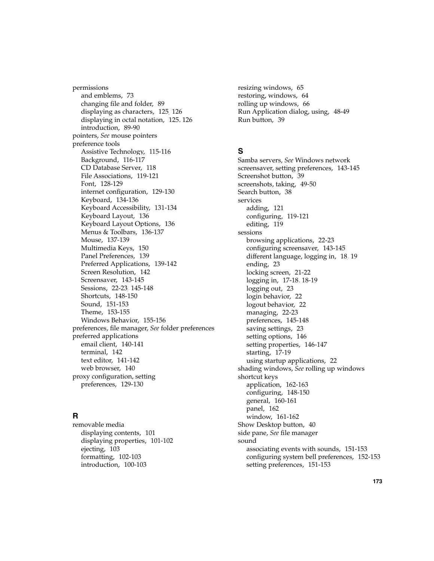permissions and emblems, [73](#page-72-0) changing file and folder, [89](#page-88-0) displaying as characters, [125,](#page-124-0) [126](#page-125-0) displaying in octal notation, [125,](#page-124-0) [126](#page-125-0) introduction, [89-90](#page-88-0) pointers, *See* mouse pointers preference tools Assistive Technology, [115-116](#page-114-0) Background, [116-117](#page-115-0) CD Database Server, [118](#page-117-0) File Associations, [119-121](#page-118-0) Font, [128-129](#page-127-0) internet configuration, [129-130](#page-128-0) Keyboard, [134-136](#page-133-0) Keyboard Accessibility, [131-134](#page-130-0) Keyboard Layout, [136](#page-135-0) Keyboard Layout Options, [136](#page-135-0) Menus & Toolbars, [136-137](#page-135-0) Mouse, [137-139](#page-136-0) Multimedia Keys, [150](#page-149-0) Panel Preferences, [139](#page-138-0) Preferred Applications, [139-142](#page-138-0) Screen Resolution, [142](#page-141-0) Screensaver, [143-145](#page-142-0) Sessions, [22-23,](#page-21-0) [145-148](#page-144-0) Shortcuts, [148-150](#page-147-0) Sound, [151-153](#page-150-0) Theme, [153-155](#page-152-0) Windows Behavior, [155-156](#page-154-0) preferences, file manager, *See* folder preferences preferred applications email client, [140-141](#page-139-0) terminal, [142](#page-141-0) text editor, [141-142](#page-140-0) web browser, [140](#page-139-0) proxy configuration, setting preferences, [129-130](#page-128-0)

### **R**

removable media displaying contents, [101](#page-100-0) displaying properties, [101-102](#page-100-0) ejecting, [103](#page-102-0) formatting, [102-103](#page-101-0) introduction, [100-103](#page-99-0)

resizing windows, [65](#page-64-0) restoring, windows, [64](#page-63-0) rolling up windows, [66](#page-65-0) Run Application dialog, using, [48-49](#page-47-0) Run button, [39](#page-38-0)

### **S**

Samba servers, *See* Windows network screensaver, setting preferences, [143-145](#page-142-0) Screenshot button, [39](#page-38-0) screenshots, taking, [49-50](#page-48-0) Search button, [38](#page-37-0) services adding, [121](#page-120-0) configuring, [119-121](#page-118-0) editing, [119](#page-118-0) sessions browsing applications, [22-23](#page-21-0) configuring screensaver, [143-145](#page-142-0) different language, logging in, [18,](#page-17-0) [19](#page-18-0) ending, [23](#page-22-0) locking screen, [21-22](#page-20-0) logging in, [17-18,](#page-16-0) [18-19](#page-17-0) logging out, [23](#page-22-0) login behavior, [22](#page-21-0) logout behavior, [22](#page-21-0) managing, [22-23](#page-21-0) preferences, [145-148](#page-144-0) saving settings, [23](#page-22-0) setting options, [146](#page-145-0) setting properties, [146-147](#page-145-0) starting, [17-19](#page-16-0) using startup applications, [22](#page-21-0) shading windows, *See* rolling up windows shortcut keys application, [162-163](#page-161-0) configuring, [148-150](#page-147-0) general, [160-161](#page-159-0) panel, [162](#page-161-0) window, [161-162](#page-160-0) Show Desktop button, [40](#page-39-0) side pane, *See* file manager sound associating events with sounds, [151-153](#page-150-0) configuring system bell preferences, [152-153](#page-151-0) setting preferences, [151-153](#page-150-0)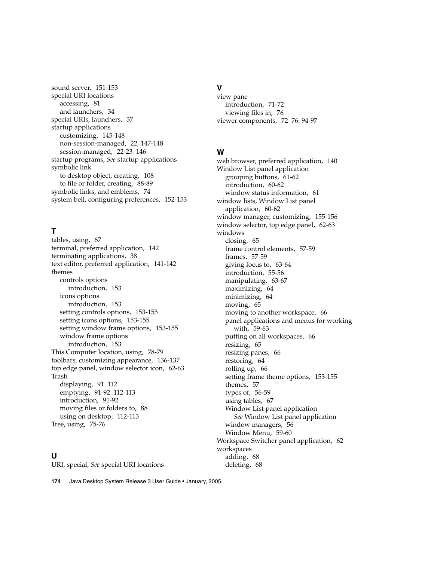sound server, [151-153](#page-150-0) special URI locations accessing, [81](#page-80-0) and launchers, [34](#page-33-0) special URIs, launchers, [37](#page-36-0) startup applications customizing, [145-148](#page-144-0) non-session-managed, [22,](#page-21-0) [147-148](#page-146-0) session-managed, [22-23,](#page-21-0) [146](#page-145-0) startup programs, *See* startup applications symbolic link to desktop object, creating, [108](#page-107-0) to file or folder, creating, [88-89](#page-87-0) symbolic links, and emblems, [74](#page-73-0) system bell, configuring preferences, [152-153](#page-151-0)

### **T**

tables, using, [67](#page-66-0) terminal, preferred application, [142](#page-141-0) terminating applications, [38](#page-37-0) text editor, preferred application, [141-142](#page-140-0) themes controls options introduction, [153](#page-152-0) icons options introduction, [153](#page-152-0) setting controls options, [153-155](#page-152-0) setting icons options, [153-155](#page-152-0) setting window frame options, [153-155](#page-152-0) window frame options introduction, [153](#page-152-0) This Computer location, using, [78-79](#page-77-0) toolbars, customizing appearance, [136-137](#page-135-0) top edge panel, window selector icon, [62-63](#page-61-0) Trash displaying, [91,](#page-90-0) [112](#page-111-0) emptying, [91-92,](#page-90-0) [112-113](#page-111-0) introduction, [91-92](#page-90-0) moving files or folders to, [88](#page-87-0) using on desktop, [112-113](#page-111-0) Tree, using, [75-76](#page-74-0)

### **U**

URI, special, *See* special URI locations

view pane introduction, [71-72](#page-70-0) viewing files in, [76](#page-75-0) viewer components, [72,](#page-71-0) [76,](#page-75-0) [94-97](#page-93-0)

#### **W**

web browser, preferred application, [140](#page-139-0) Window List panel application grouping buttons, [61-62](#page-60-0) introduction, [60-62](#page-59-0) window status information, [61](#page-60-0) window lists, Window List panel application, [60-62](#page-59-0) window manager, customizing, [155-156](#page-154-0) window selector, top edge panel, [62-63](#page-61-0) windows closing, [65](#page-64-0) frame control elements, [57-59](#page-56-0) frames, [57-59](#page-56-0) giving focus to, [63-64](#page-62-0) introduction, [55-56](#page-54-0) manipulating, [63-67](#page-62-0) maximizing, [64](#page-63-0) minimizing, [64](#page-63-0) moving, [65](#page-64-0) moving to another workspace, [66](#page-65-0) panel applications and menus for working with, [59-63](#page-58-0) putting on all workspaces, [66](#page-65-0) resizing, [65](#page-64-0) resizing panes, [66](#page-65-0) restoring, [64](#page-63-0) rolling up, [66](#page-65-0) setting frame theme options, [153-155](#page-152-0) themes, [57](#page-56-0) types of, [56-59](#page-55-0) using tables, [67](#page-66-0) Window List panel application *See* Window List panel application window managers, [56](#page-55-0) Window Menu, [59-60](#page-58-0) Workspace Switcher panel application, [62](#page-61-0) workspaces adding, [68](#page-67-0) deleting, [68](#page-67-0)

**174** Java Desktop System Release 3 User Guide • January, 2005

#### **V**